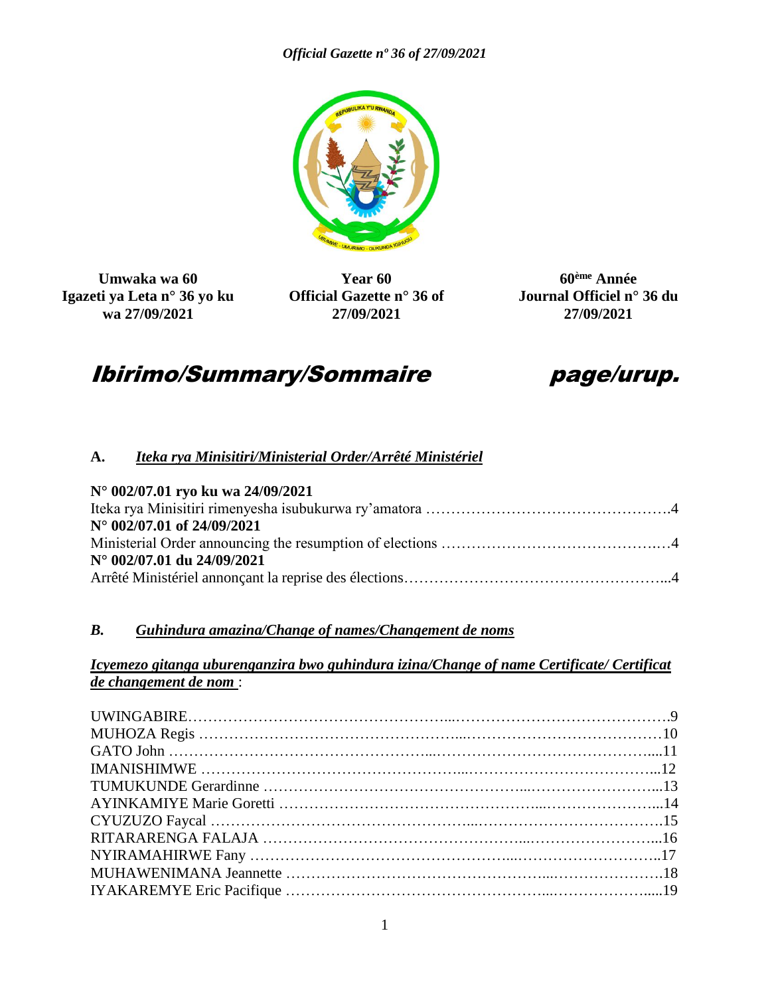

**Umwaka wa 60 Igazeti ya Leta n° 36 yo ku wa 27/09/2021**

**Year 60 Official Gazette n° 36 of 27/09/2021**

**60ème Année Journal Officiel n° 36 du 27/09/2021**

# Ibirimo/Summary/Sommaire page/urup.

# **A.** *Iteka rya Minisitiri/Ministerial Order/Arrêté Ministériel*

| $N^{\circ}$ 002/07.01 ryo ku wa 24/09/2021 |
|--------------------------------------------|
|                                            |
| $N^{\circ}$ 002/07.01 of 24/09/2021        |
|                                            |
| $N^{\circ}$ 002/07.01 du 24/09/2021        |
|                                            |

# *B. Guhindura amazina/Change of names/Changement de noms*

#### *Icyemezo gitanga uburenganzira bwo guhindura izina/Change of name Certificate/ Certificat de changement de nom* :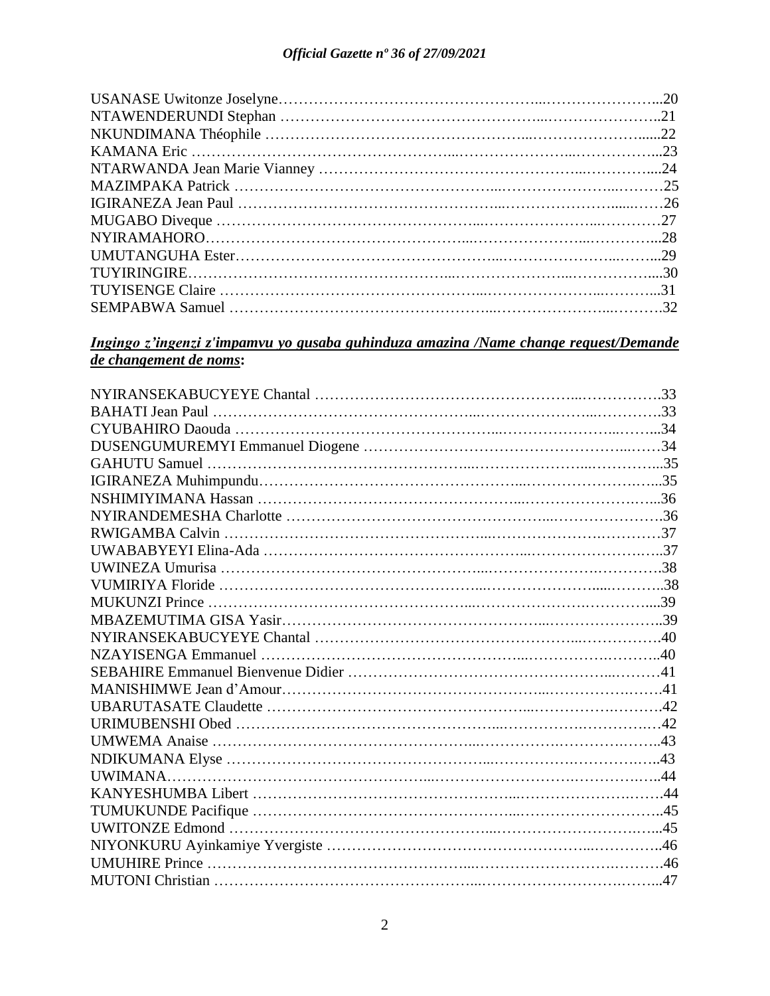# *Ingingo z'ingenzi z'impamvu yo gusaba guhinduza amazina /Name change request/Demande de changement de noms***:**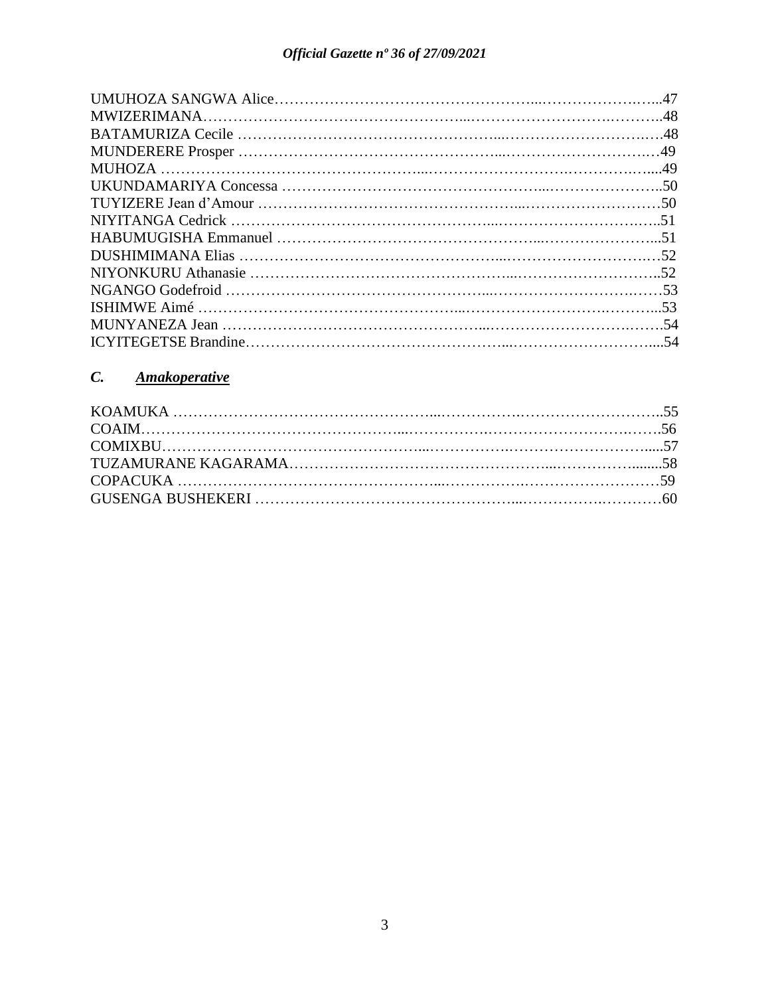# *C. Amakoperative*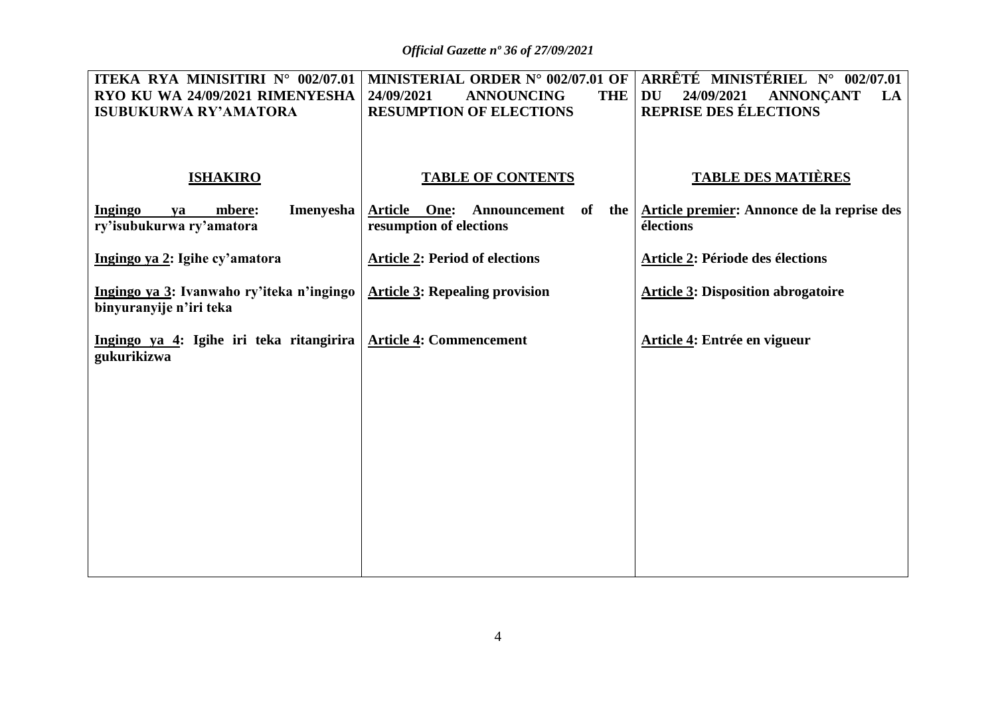*Official Gazette nº 36 of 27/09/2021*

| ITEKA RYA MINISITIRI N° 002/07.01<br>RYO KU WA 24/09/2021 RIMENYESHA<br><b>ISUBUKURWA RY'AMATORA</b> | 24/09/2021<br><b>ANNOUNCING</b><br><b>THE</b><br><b>RESUMPTION OF ELECTIONS</b> | MINISTERIAL ORDER N° 002/07.01 OF   ARRÊTÉ MINISTÉRIEL N° 002/07.01<br><b>DU</b><br>24/09/2021<br><b>ANNONÇANT</b><br>LA<br><b>REPRISE DES ÉLECTIONS</b> |
|------------------------------------------------------------------------------------------------------|---------------------------------------------------------------------------------|----------------------------------------------------------------------------------------------------------------------------------------------------------|
| <b>ISHAKIRO</b>                                                                                      | <b>TABLE OF CONTENTS</b>                                                        | <b>TABLE DES MATIÈRES</b>                                                                                                                                |
| <b>Imenyesha</b><br><b>Ingingo</b><br>mbere:<br>ya<br>ry'isubukurwa ry'amatora                       | <b>Article One:</b><br>of<br>the  <br>Announcement<br>resumption of elections   | Article premier: Annonce de la reprise des<br>élections                                                                                                  |
| Ingingo ya 2: Igihe cy'amatora                                                                       | <b>Article 2: Period of elections</b>                                           | Article 2: Période des élections                                                                                                                         |
| Ingingo ya 3: Ivanwaho ry'iteka n'ingingo<br>binyuranyije n'iri teka                                 | <b>Article 3: Repealing provision</b>                                           | <b>Article 3: Disposition abrogatoire</b>                                                                                                                |
| Ingingo ya 4: Igihe iri teka ritangirira<br>gukurikizwa                                              | <b>Article 4: Commencement</b>                                                  | Article 4: Entrée en vigueur                                                                                                                             |
|                                                                                                      |                                                                                 |                                                                                                                                                          |
|                                                                                                      |                                                                                 |                                                                                                                                                          |
|                                                                                                      |                                                                                 |                                                                                                                                                          |
|                                                                                                      |                                                                                 |                                                                                                                                                          |
|                                                                                                      |                                                                                 |                                                                                                                                                          |
|                                                                                                      |                                                                                 |                                                                                                                                                          |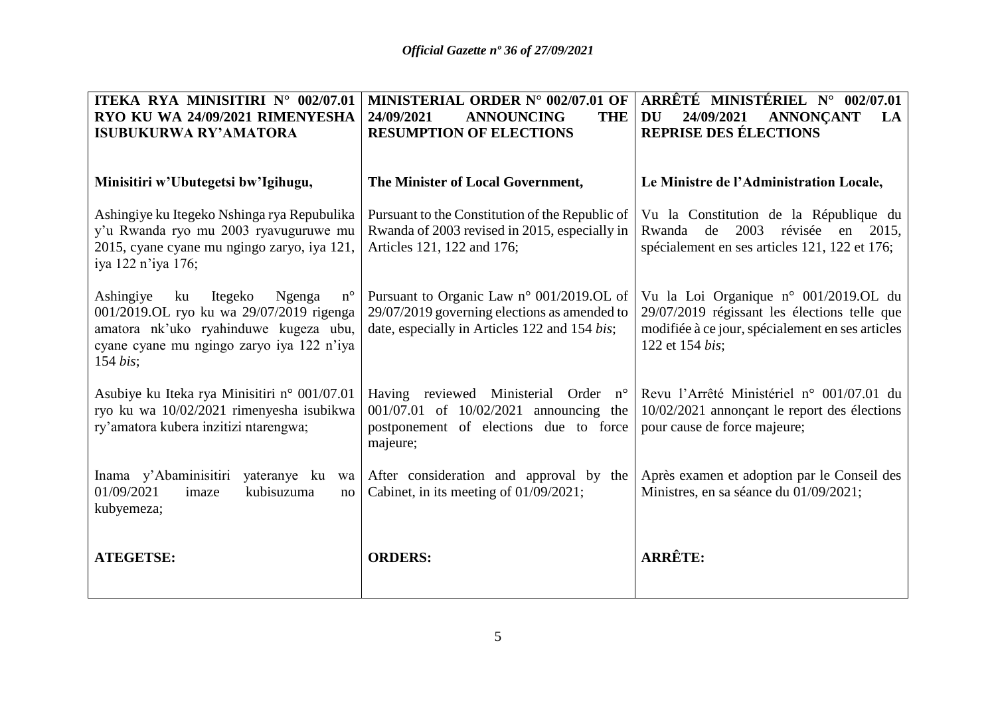| ITEKA RYA MINISITIRI N° 002/07.01<br>RYO KU WA 24/09/2021 RIMENYESHA                                                                                                                                   | MINISTERIAL ORDER N° 002/07.01 OF<br>24/09/2021<br><b>ANNOUNCING</b><br><b>THE</b>                                                                  | ARRÊTÉ MINISTÉRIEL N° 002/07.01<br><b>ANNONCANT</b><br>DU<br>24/09/2021<br>LA                                                                                |
|--------------------------------------------------------------------------------------------------------------------------------------------------------------------------------------------------------|-----------------------------------------------------------------------------------------------------------------------------------------------------|--------------------------------------------------------------------------------------------------------------------------------------------------------------|
| <b>ISUBUKURWA RY'AMATORA</b>                                                                                                                                                                           | <b>RESUMPTION OF ELECTIONS</b>                                                                                                                      | <b>REPRISE DES ÉLECTIONS</b>                                                                                                                                 |
|                                                                                                                                                                                                        |                                                                                                                                                     |                                                                                                                                                              |
| Minisitiri w'Ubutegetsi bw'Igihugu,                                                                                                                                                                    | The Minister of Local Government,                                                                                                                   | Le Ministre de l'Administration Locale,                                                                                                                      |
| Ashingiye ku Itegeko Nshinga rya Repubulika<br>y'u Rwanda ryo mu 2003 ryavuguruwe mu<br>2015, cyane cyane mu ngingo zaryo, iya 121,<br>iya 122 n'iya 176;                                              | Pursuant to the Constitution of the Republic of<br>Rwanda of 2003 revised in 2015, especially in<br>Articles 121, 122 and 176;                      | Vu la Constitution de la République du<br>de<br>2003<br>révisée<br>Rwanda<br>2015,<br>en<br>spécialement en ses articles 121, 122 et 176;                    |
| Ashingiye<br>Itegeko<br>Ngenga<br>$n^{\circ}$<br>ku<br>001/2019.OL ryo ku wa 29/07/2019 rigenga<br>amatora nk'uko ryahinduwe kugeza ubu,<br>cyane cyane mu ngingo zaryo iya 122 n'iya<br>$154 \; bis;$ | Pursuant to Organic Law $n^{\circ}$ 001/2019.OL of<br>29/07/2019 governing elections as amended to<br>date, especially in Articles 122 and 154 bis; | Vu la Loi Organique n° 001/2019.OL du<br>29/07/2019 régissant les élections telle que<br>modifiée à ce jour, spécialement en ses articles<br>122 et 154 bis; |
| Asubiye ku Iteka rya Minisitiri n° 001/07.01<br>ryo ku wa 10/02/2021 rimenyesha isubikwa<br>ry'amatora kubera inzitizi ntarengwa;                                                                      | Having reviewed Ministerial Order<br>$n^{\circ}$<br>001/07.01 of 10/02/2021 announcing the<br>postponement of elections due to force<br>majeure;    | Revu l'Arrêté Ministériel n° 001/07.01 du<br>$10/02/2021$ annonçant le report des élections<br>pour cause de force majeure;                                  |
| Inama y'Abaminisitiri<br>yateranye ku<br>01/09/2021<br>kubisuzuma<br>imaze<br>no<br>kubyemeza;                                                                                                         | wa After consideration and approval by the<br>Cabinet, in its meeting of 01/09/2021;                                                                | Après examen et adoption par le Conseil des<br>Ministres, en sa séance du 01/09/2021;                                                                        |
| <b>ATEGETSE:</b>                                                                                                                                                                                       | <b>ORDERS:</b>                                                                                                                                      | <b>ARRÊTE:</b>                                                                                                                                               |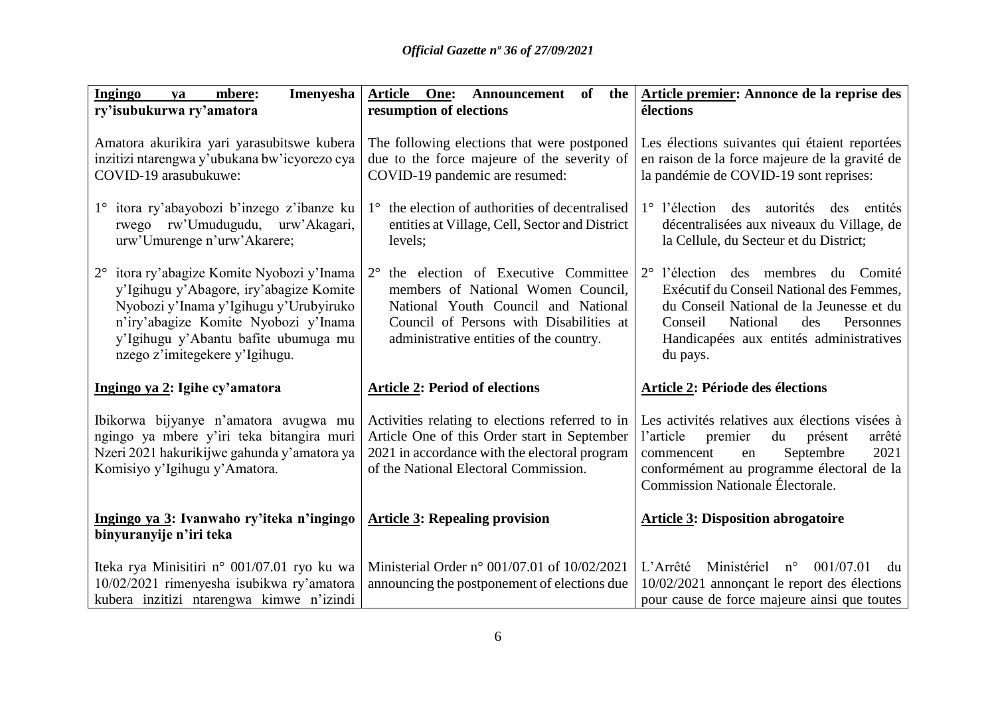| Ingingo<br>Imenyesha<br>mbere:<br>ya<br>ry'isubukurwa ry'amatora                                                                                                                                                                                              | Article One: Announcement of<br>the  <br>resumption of elections                                                                                                                                                      | Article premier: Annonce de la reprise des<br>élections                                                                                                                                                                       |
|---------------------------------------------------------------------------------------------------------------------------------------------------------------------------------------------------------------------------------------------------------------|-----------------------------------------------------------------------------------------------------------------------------------------------------------------------------------------------------------------------|-------------------------------------------------------------------------------------------------------------------------------------------------------------------------------------------------------------------------------|
| Amatora akurikira yari yarasubitswe kubera<br>inzitizi ntarengwa y'ubukana bw'icyorezo cya<br>COVID-19 arasubukuwe:                                                                                                                                           | The following elections that were postponed<br>due to the force majeure of the severity of<br>COVID-19 pandemic are resumed:                                                                                          | Les élections suivantes qui étaient reportées<br>en raison de la force majeure de la gravité de<br>la pandémie de COVID-19 sont reprises:                                                                                     |
| 1° itora ry'abayobozi b'inzego z'ibanze ku<br>rwego rw'Umudugudu, urw'Akagari,<br>urw'Umurenge n'urw'Akarere;                                                                                                                                                 | 1° the election of authorities of decentralised<br>entities at Village, Cell, Sector and District<br>levels;                                                                                                          | 1° l'élection des autorités des entités<br>décentralisées aux niveaux du Village, de<br>la Cellule, du Secteur et du District;                                                                                                |
| itora ry'abagize Komite Nyobozi y'Inama<br>$2^{\circ}$<br>y'Igihugu y'Abagore, iry'abagize Komite<br>Nyobozi y'Inama y'Igihugu y'Urubyiruko<br>n'iry'abagize Komite Nyobozi y'Inama<br>y'Igihugu y'Abantu bafite ubumuga mu<br>nzego z'imitegekere y'Igihugu. | the election of Executive Committee<br>$2^{\circ}$<br>members of National Women Council,<br>National Youth Council and National<br>Council of Persons with Disabilities at<br>administrative entities of the country. | 2° l'élection des membres du Comité<br>Exécutif du Conseil National des Femmes,<br>du Conseil National de la Jeunesse et du<br>Conseil<br>National<br>des<br>Personnes<br>Handicapées aux entités administratives<br>du pays. |
| Ingingo ya 2: Igihe cy'amatora                                                                                                                                                                                                                                | <b>Article 2: Period of elections</b>                                                                                                                                                                                 | Article 2: Période des élections                                                                                                                                                                                              |
| Ibikorwa bijyanye n'amatora avugwa mu<br>ngingo ya mbere y'iri teka bitangira muri<br>Nzeri 2021 hakurikijwe gahunda y'amatora ya<br>Komisiyo y'Igihugu y'Amatora.                                                                                            | Activities relating to elections referred to in<br>Article One of this Order start in September<br>2021 in accordance with the electoral program<br>of the National Electoral Commission.                             | Les activités relatives aux élections visées à<br>l'article<br>premier<br>du<br>présent<br>arrêté<br>Septembre<br>2021<br>commencent<br>en<br>conformément au programme électoral de la<br>Commission Nationale Électorale.   |
| Ingingo ya 3: Ivanwaho ry'iteka n'ingingo<br>binyuranyije n'iri teka                                                                                                                                                                                          | <b>Article 3: Repealing provision</b>                                                                                                                                                                                 | <b>Article 3: Disposition abrogatoire</b>                                                                                                                                                                                     |
| Iteka rya Minisitiri n° 001/07.01 ryo ku wa<br>10/02/2021 rimenyesha isubikwa ry'amatora<br>kubera inzitizi ntarengwa kimwe n'izindi                                                                                                                          | Ministerial Order n° 001/07.01 of 10/02/2021<br>announcing the postponement of elections due                                                                                                                          | L'Arrêté<br>Ministériel<br>$n^{\circ}$<br>001/07.01<br>du<br>10/02/2021 annonçant le report des élections<br>pour cause de force majeure ainsi que toutes                                                                     |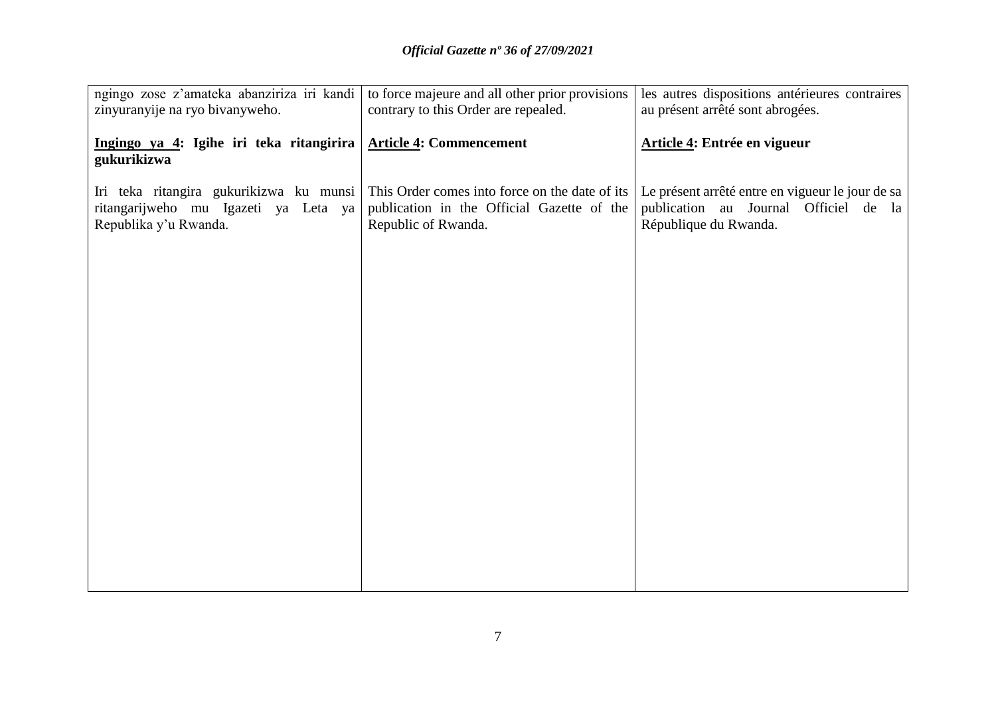| ngingo zose z'amateka abanziriza iri kandi                                                               | to force majeure and all other prior provisions                                                                     | les autres dispositions antérieures contraires                                                                     |
|----------------------------------------------------------------------------------------------------------|---------------------------------------------------------------------------------------------------------------------|--------------------------------------------------------------------------------------------------------------------|
| zinyuranyije na ryo bivanyweho.                                                                          | contrary to this Order are repealed.                                                                                | au présent arrêté sont abrogées.                                                                                   |
|                                                                                                          |                                                                                                                     |                                                                                                                    |
| Ingingo ya 4: Igihe iri teka ritangirira   Article 4: Commencement<br>gukurikizwa                        |                                                                                                                     | Article 4: Entrée en vigueur                                                                                       |
| Iri teka ritangira gukurikizwa ku munsi<br>ritangarijweho mu Igazeti ya Leta ya<br>Republika y'u Rwanda. | This Order comes into force on the date of its<br>publication in the Official Gazette of the<br>Republic of Rwanda. | Le présent arrêté entre en vigueur le jour de sa<br>publication au Journal Officiel de la<br>République du Rwanda. |
|                                                                                                          |                                                                                                                     |                                                                                                                    |
|                                                                                                          |                                                                                                                     |                                                                                                                    |
|                                                                                                          |                                                                                                                     |                                                                                                                    |
|                                                                                                          |                                                                                                                     |                                                                                                                    |
|                                                                                                          |                                                                                                                     |                                                                                                                    |
|                                                                                                          |                                                                                                                     |                                                                                                                    |
|                                                                                                          |                                                                                                                     |                                                                                                                    |
|                                                                                                          |                                                                                                                     |                                                                                                                    |
|                                                                                                          |                                                                                                                     |                                                                                                                    |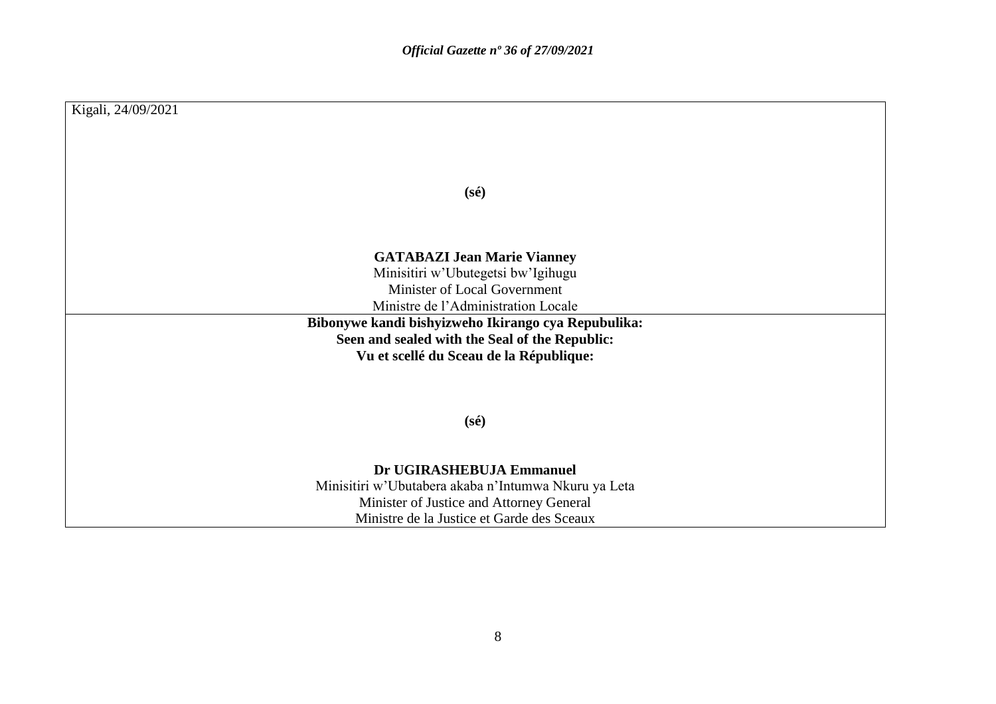| Kigali, 24/09/2021                                                 |
|--------------------------------------------------------------------|
|                                                                    |
|                                                                    |
|                                                                    |
| $(s\acute{e})$                                                     |
|                                                                    |
|                                                                    |
| <b>GATABAZI Jean Marie Vianney</b>                                 |
| Minisitiri w'Ubutegetsi bw'Igihugu<br>Minister of Local Government |
| Ministre de l'Administration Locale                                |
| Bibonywe kandi bishyizweho Ikirango cya Repubulika:                |
| Seen and sealed with the Seal of the Republic:                     |
| Vu et scellé du Sceau de la République:                            |
|                                                                    |
|                                                                    |
| $(s\acute{e})$                                                     |
|                                                                    |
| Dr UGIRASHEBUJA Emmanuel                                           |
| Minisitiri w'Ubutabera akaba n'Intumwa Nkuru ya Leta               |
| Minister of Justice and Attorney General                           |
| Ministre de la Justice et Garde des Sceaux                         |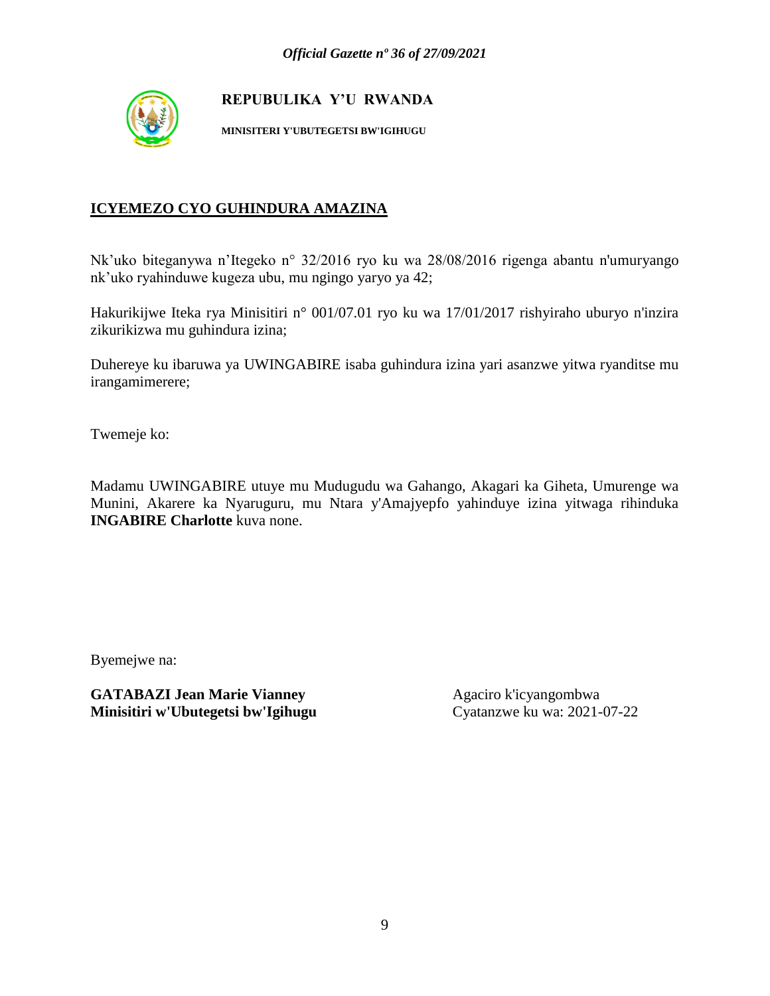

**MINISITERI Y'UBUTEGETSI BW'IGIHUGU**

### **ICYEMEZO CYO GUHINDURA AMAZINA**

Nk'uko biteganywa n'Itegeko n° 32/2016 ryo ku wa 28/08/2016 rigenga abantu n'umuryango nk'uko ryahinduwe kugeza ubu, mu ngingo yaryo ya 42;

Hakurikijwe Iteka rya Minisitiri n° 001/07.01 ryo ku wa 17/01/2017 rishyiraho uburyo n'inzira zikurikizwa mu guhindura izina;

Duhereye ku ibaruwa ya UWINGABIRE isaba guhindura izina yari asanzwe yitwa ryanditse mu irangamimerere;

Twemeje ko:

Madamu UWINGABIRE utuye mu Mudugudu wa Gahango, Akagari ka Giheta, Umurenge wa Munini, Akarere ka Nyaruguru, mu Ntara y'Amajyepfo yahinduye izina yitwaga rihinduka **INGABIRE Charlotte** kuva none.

Byemejwe na: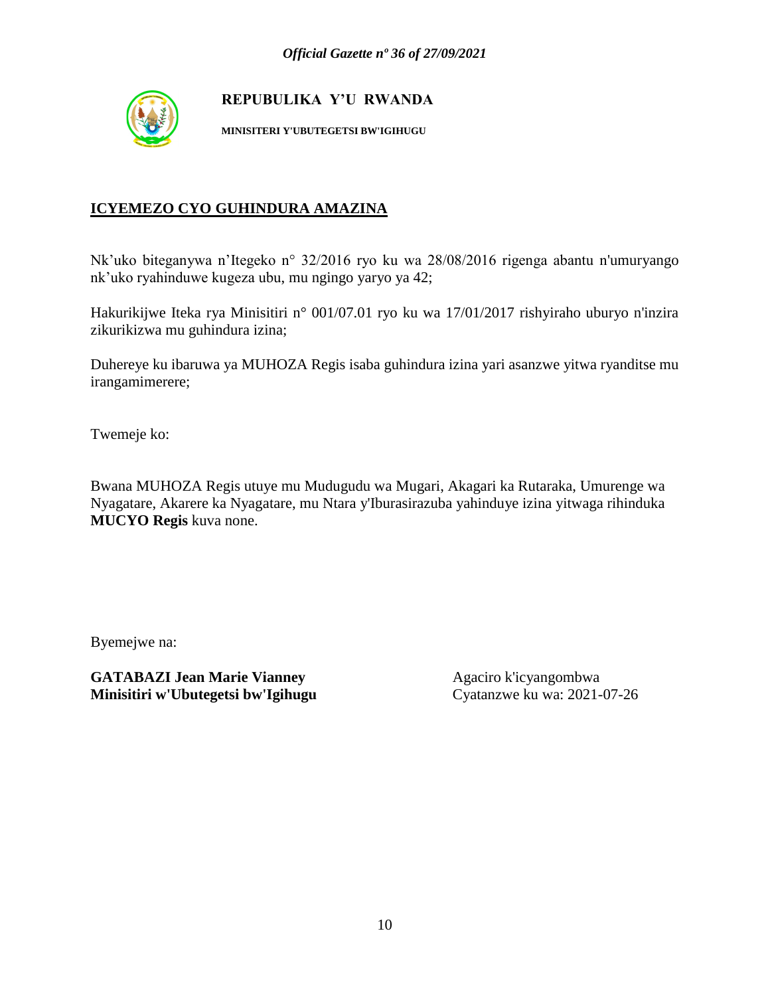

**MINISITERI Y'UBUTEGETSI BW'IGIHUGU**

### **ICYEMEZO CYO GUHINDURA AMAZINA**

Nk'uko biteganywa n'Itegeko n° 32/2016 ryo ku wa 28/08/2016 rigenga abantu n'umuryango nk'uko ryahinduwe kugeza ubu, mu ngingo yaryo ya 42;

Hakurikijwe Iteka rya Minisitiri n° 001/07.01 ryo ku wa 17/01/2017 rishyiraho uburyo n'inzira zikurikizwa mu guhindura izina;

Duhereye ku ibaruwa ya MUHOZA Regis isaba guhindura izina yari asanzwe yitwa ryanditse mu irangamimerere;

Twemeje ko:

Bwana MUHOZA Regis utuye mu Mudugudu wa Mugari, Akagari ka Rutaraka, Umurenge wa Nyagatare, Akarere ka Nyagatare, mu Ntara y'Iburasirazuba yahinduye izina yitwaga rihinduka **MUCYO Regis** kuva none.

Byemejwe na: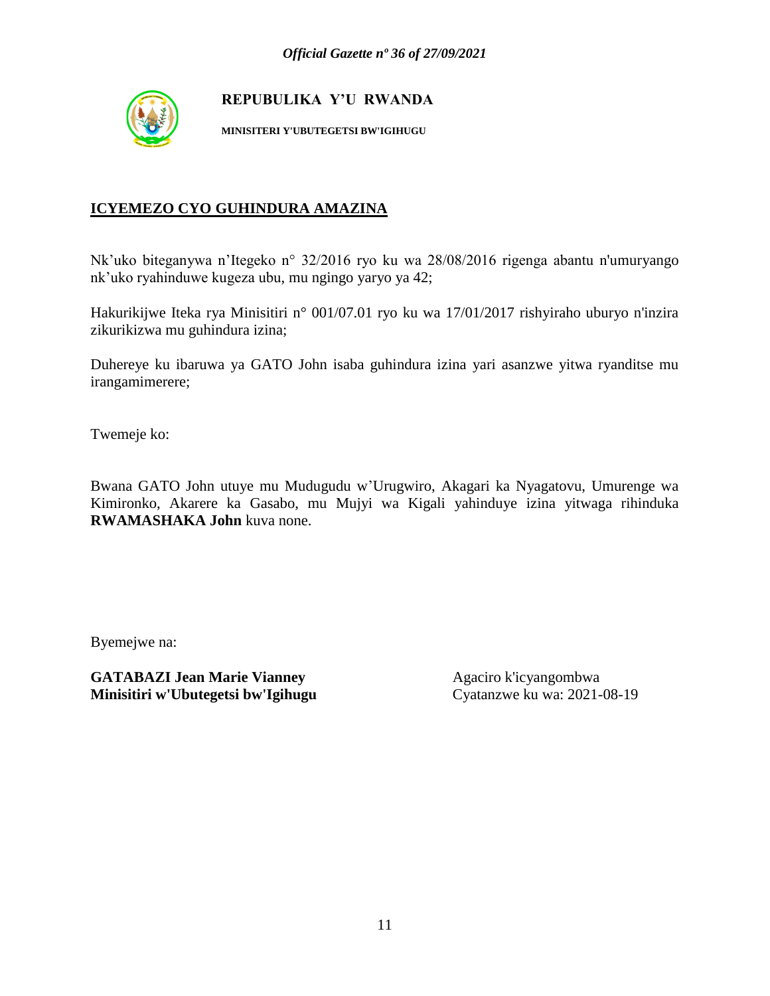

**MINISITERI Y'UBUTEGETSI BW'IGIHUGU**

### **ICYEMEZO CYO GUHINDURA AMAZINA**

Nk'uko biteganywa n'Itegeko n° 32/2016 ryo ku wa 28/08/2016 rigenga abantu n'umuryango nk'uko ryahinduwe kugeza ubu, mu ngingo yaryo ya 42;

Hakurikijwe Iteka rya Minisitiri n° 001/07.01 ryo ku wa 17/01/2017 rishyiraho uburyo n'inzira zikurikizwa mu guhindura izina;

Duhereye ku ibaruwa ya GATO John isaba guhindura izina yari asanzwe yitwa ryanditse mu irangamimerere;

Twemeje ko:

Bwana GATO John utuye mu Mudugudu w'Urugwiro, Akagari ka Nyagatovu, Umurenge wa Kimironko, Akarere ka Gasabo, mu Mujyi wa Kigali yahinduye izina yitwaga rihinduka **RWAMASHAKA John** kuva none.

Byemejwe na: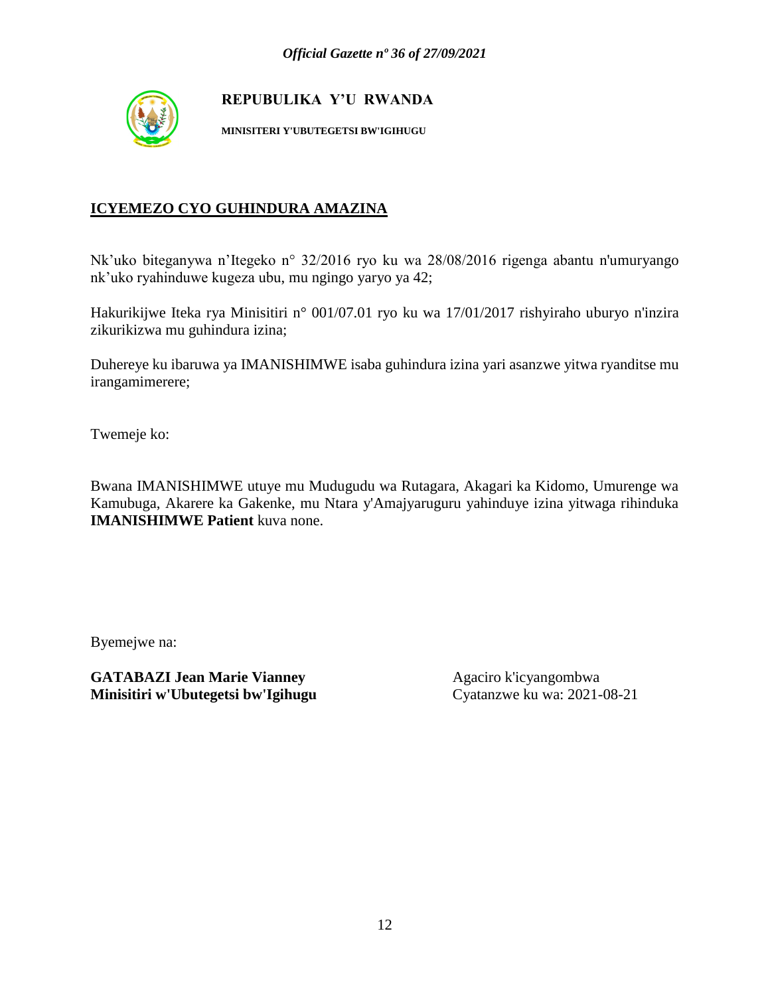

**MINISITERI Y'UBUTEGETSI BW'IGIHUGU**

### **ICYEMEZO CYO GUHINDURA AMAZINA**

Nk'uko biteganywa n'Itegeko n° 32/2016 ryo ku wa 28/08/2016 rigenga abantu n'umuryango nk'uko ryahinduwe kugeza ubu, mu ngingo yaryo ya 42;

Hakurikijwe Iteka rya Minisitiri n° 001/07.01 ryo ku wa 17/01/2017 rishyiraho uburyo n'inzira zikurikizwa mu guhindura izina;

Duhereye ku ibaruwa ya IMANISHIMWE isaba guhindura izina yari asanzwe yitwa ryanditse mu irangamimerere;

Twemeje ko:

Bwana IMANISHIMWE utuye mu Mudugudu wa Rutagara, Akagari ka Kidomo, Umurenge wa Kamubuga, Akarere ka Gakenke, mu Ntara y'Amajyaruguru yahinduye izina yitwaga rihinduka **IMANISHIMWE Patient** kuva none.

Byemejwe na: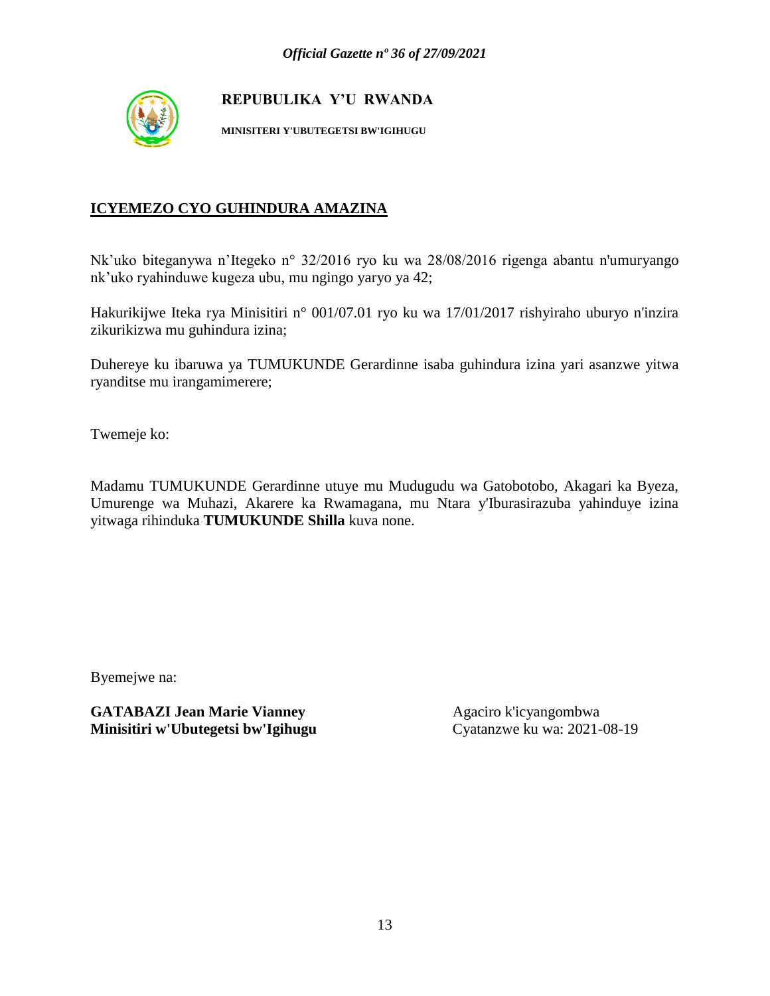

**MINISITERI Y'UBUTEGETSI BW'IGIHUGU**

### **ICYEMEZO CYO GUHINDURA AMAZINA**

Nk'uko biteganywa n'Itegeko n° 32/2016 ryo ku wa 28/08/2016 rigenga abantu n'umuryango nk'uko ryahinduwe kugeza ubu, mu ngingo yaryo ya 42;

Hakurikijwe Iteka rya Minisitiri n° 001/07.01 ryo ku wa 17/01/2017 rishyiraho uburyo n'inzira zikurikizwa mu guhindura izina;

Duhereye ku ibaruwa ya TUMUKUNDE Gerardinne isaba guhindura izina yari asanzwe yitwa ryanditse mu irangamimerere;

Twemeje ko:

Madamu TUMUKUNDE Gerardinne utuye mu Mudugudu wa Gatobotobo, Akagari ka Byeza, Umurenge wa Muhazi, Akarere ka Rwamagana, mu Ntara y'Iburasirazuba yahinduye izina yitwaga rihinduka **TUMUKUNDE Shilla** kuva none.

Byemejwe na: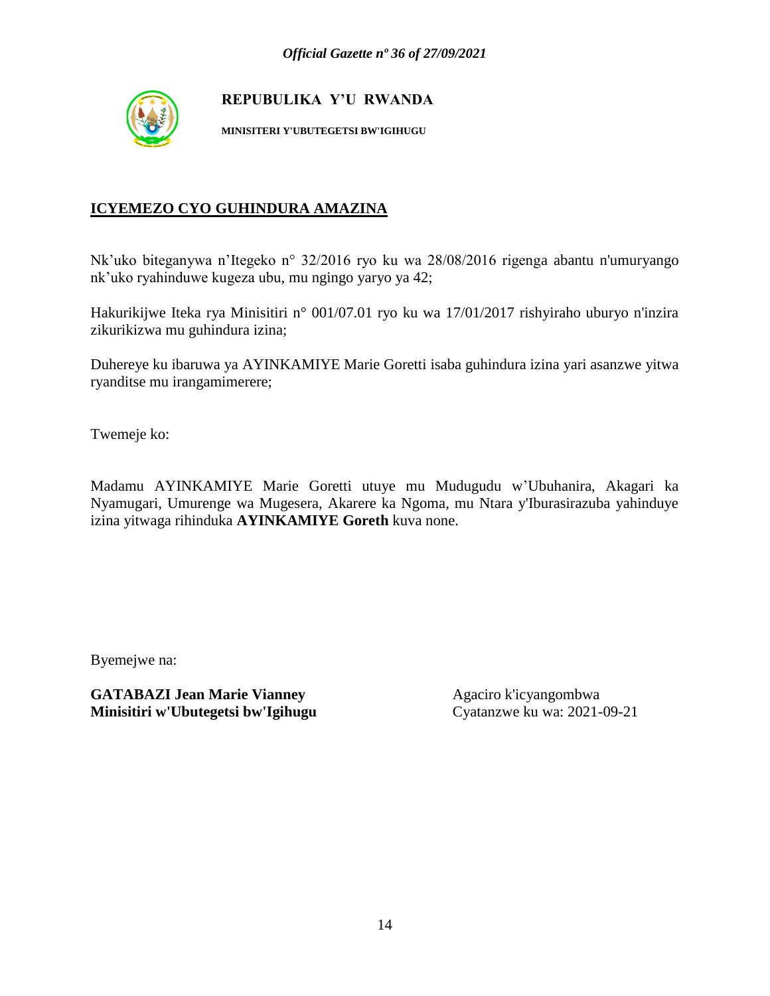

**MINISITERI Y'UBUTEGETSI BW'IGIHUGU**

### **ICYEMEZO CYO GUHINDURA AMAZINA**

Nk'uko biteganywa n'Itegeko n° 32/2016 ryo ku wa 28/08/2016 rigenga abantu n'umuryango nk'uko ryahinduwe kugeza ubu, mu ngingo yaryo ya 42;

Hakurikijwe Iteka rya Minisitiri n° 001/07.01 ryo ku wa 17/01/2017 rishyiraho uburyo n'inzira zikurikizwa mu guhindura izina;

Duhereye ku ibaruwa ya AYINKAMIYE Marie Goretti isaba guhindura izina yari asanzwe yitwa ryanditse mu irangamimerere;

Twemeje ko:

Madamu AYINKAMIYE Marie Goretti utuye mu Mudugudu w'Ubuhanira, Akagari ka Nyamugari, Umurenge wa Mugesera, Akarere ka Ngoma, mu Ntara y'Iburasirazuba yahinduye izina yitwaga rihinduka **AYINKAMIYE Goreth** kuva none.

Byemejwe na: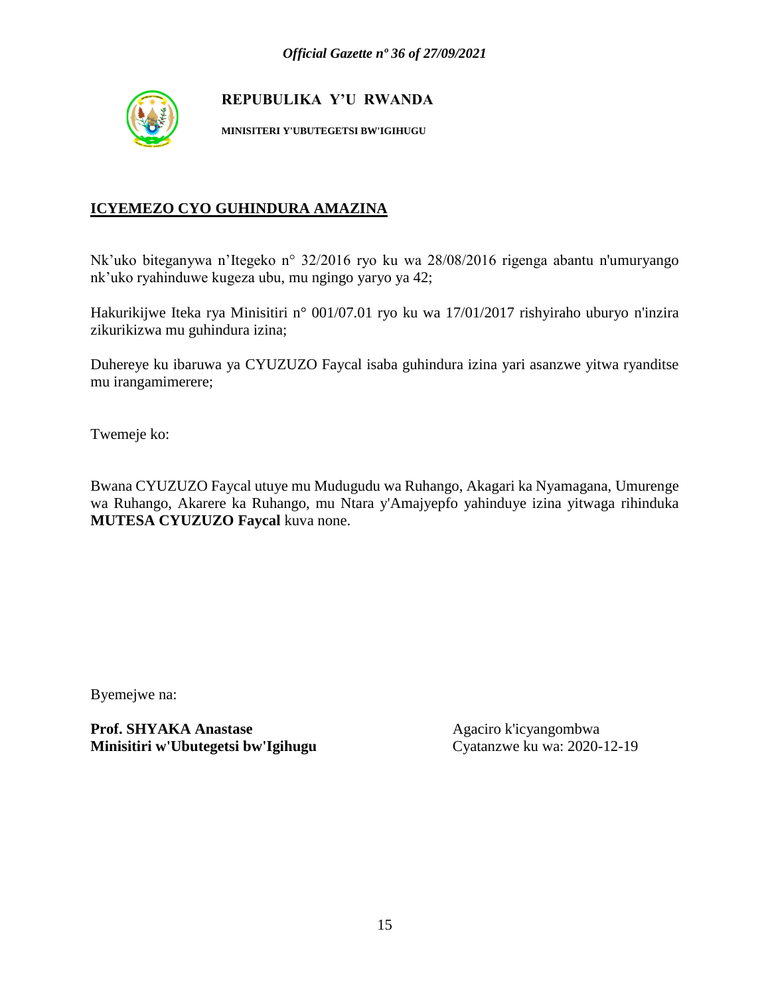

**MINISITERI Y'UBUTEGETSI BW'IGIHUGU**

### **ICYEMEZO CYO GUHINDURA AMAZINA**

Nk'uko biteganywa n'Itegeko n° 32/2016 ryo ku wa 28/08/2016 rigenga abantu n'umuryango nk'uko ryahinduwe kugeza ubu, mu ngingo yaryo ya 42;

Hakurikijwe Iteka rya Minisitiri n° 001/07.01 ryo ku wa 17/01/2017 rishyiraho uburyo n'inzira zikurikizwa mu guhindura izina;

Duhereye ku ibaruwa ya CYUZUZO Faycal isaba guhindura izina yari asanzwe yitwa ryanditse mu irangamimerere;

Twemeje ko:

Bwana CYUZUZO Faycal utuye mu Mudugudu wa Ruhango, Akagari ka Nyamagana, Umurenge wa Ruhango, Akarere ka Ruhango, mu Ntara y'Amajyepfo yahinduye izina yitwaga rihinduka **MUTESA CYUZUZO Faycal** kuva none.

Byemejwe na:

**Prof. SHYAKA Anastase** Agaciro k'icyangombwa **Minisitiri w'Ubutegetsi bw'Igihugu** Cyatanzwe ku wa: 2020-12-19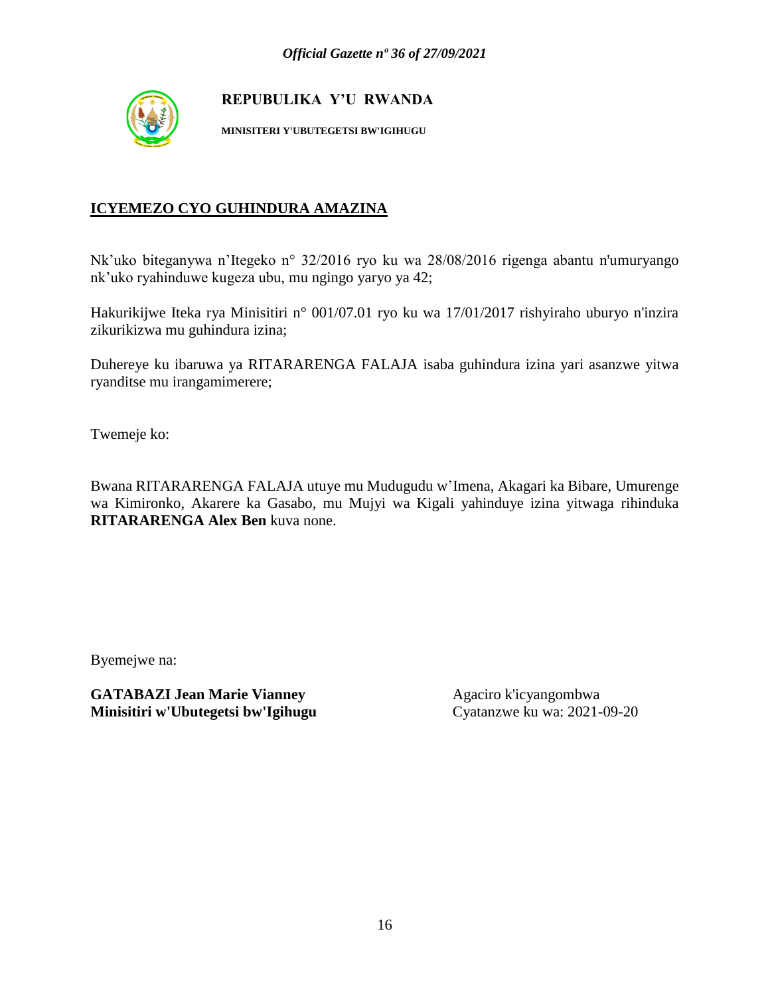

**MINISITERI Y'UBUTEGETSI BW'IGIHUGU**

### **ICYEMEZO CYO GUHINDURA AMAZINA**

Nk'uko biteganywa n'Itegeko n° 32/2016 ryo ku wa 28/08/2016 rigenga abantu n'umuryango nk'uko ryahinduwe kugeza ubu, mu ngingo yaryo ya 42;

Hakurikijwe Iteka rya Minisitiri n° 001/07.01 ryo ku wa 17/01/2017 rishyiraho uburyo n'inzira zikurikizwa mu guhindura izina;

Duhereye ku ibaruwa ya RITARARENGA FALAJA isaba guhindura izina yari asanzwe yitwa ryanditse mu irangamimerere;

Twemeje ko:

Bwana RITARARENGA FALAJA utuye mu Mudugudu w'Imena, Akagari ka Bibare, Umurenge wa Kimironko, Akarere ka Gasabo, mu Mujyi wa Kigali yahinduye izina yitwaga rihinduka **RITARARENGA Alex Ben** kuva none.

Byemejwe na: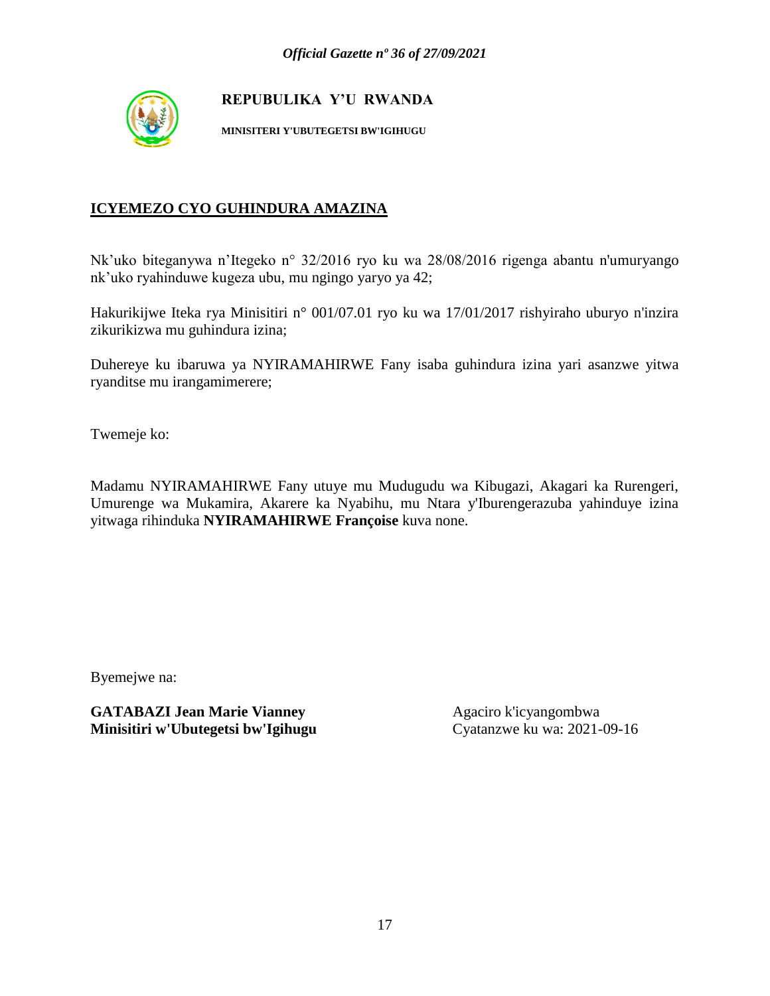

**MINISITERI Y'UBUTEGETSI BW'IGIHUGU**

### **ICYEMEZO CYO GUHINDURA AMAZINA**

Nk'uko biteganywa n'Itegeko n° 32/2016 ryo ku wa 28/08/2016 rigenga abantu n'umuryango nk'uko ryahinduwe kugeza ubu, mu ngingo yaryo ya 42;

Hakurikijwe Iteka rya Minisitiri n° 001/07.01 ryo ku wa 17/01/2017 rishyiraho uburyo n'inzira zikurikizwa mu guhindura izina;

Duhereye ku ibaruwa ya NYIRAMAHIRWE Fany isaba guhindura izina yari asanzwe yitwa ryanditse mu irangamimerere;

Twemeje ko:

Madamu NYIRAMAHIRWE Fany utuye mu Mudugudu wa Kibugazi, Akagari ka Rurengeri, Umurenge wa Mukamira, Akarere ka Nyabihu, mu Ntara y'Iburengerazuba yahinduye izina yitwaga rihinduka **NYIRAMAHIRWE Françoise** kuva none.

Byemejwe na: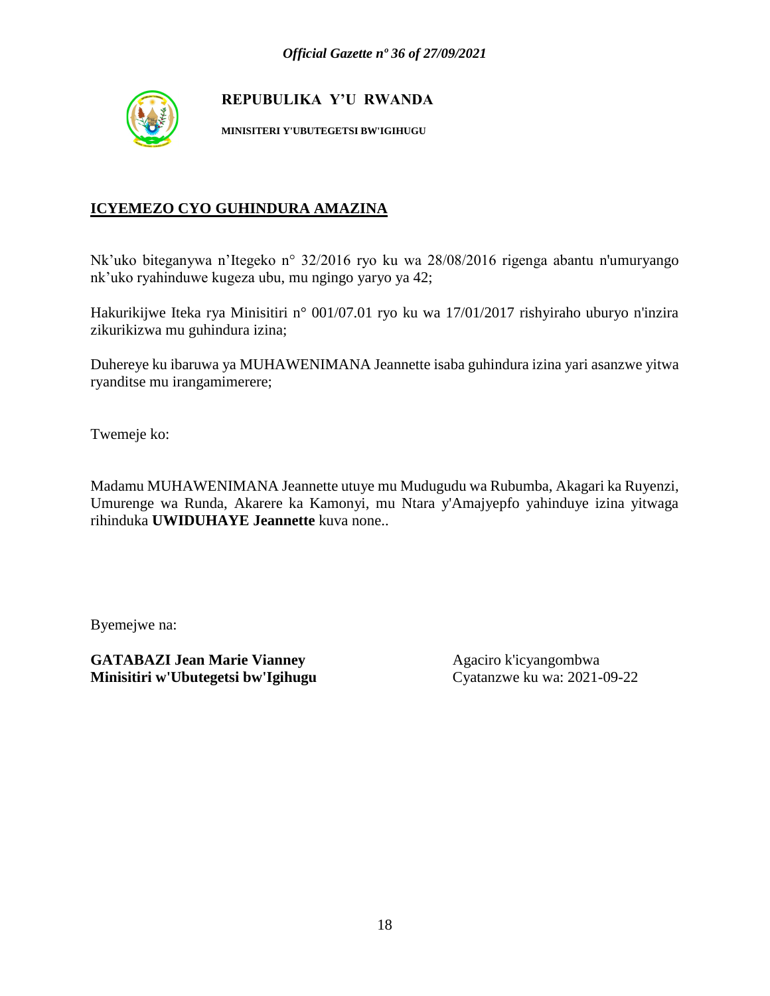

**MINISITERI Y'UBUTEGETSI BW'IGIHUGU**

### **ICYEMEZO CYO GUHINDURA AMAZINA**

Nk'uko biteganywa n'Itegeko n° 32/2016 ryo ku wa 28/08/2016 rigenga abantu n'umuryango nk'uko ryahinduwe kugeza ubu, mu ngingo yaryo ya 42;

Hakurikijwe Iteka rya Minisitiri n° 001/07.01 ryo ku wa 17/01/2017 rishyiraho uburyo n'inzira zikurikizwa mu guhindura izina;

Duhereye ku ibaruwa ya MUHAWENIMANA Jeannette isaba guhindura izina yari asanzwe yitwa ryanditse mu irangamimerere;

Twemeje ko:

Madamu MUHAWENIMANA Jeannette utuye mu Mudugudu wa Rubumba, Akagari ka Ruyenzi, Umurenge wa Runda, Akarere ka Kamonyi, mu Ntara y'Amajyepfo yahinduye izina yitwaga rihinduka **UWIDUHAYE Jeannette** kuva none..

Byemejwe na: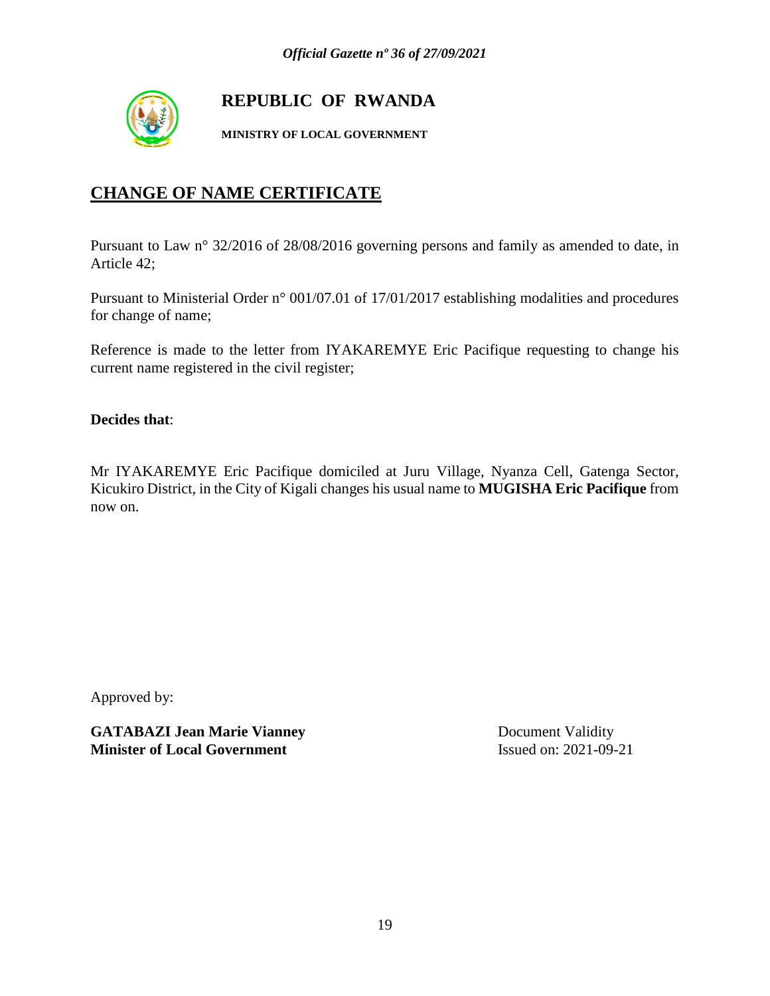

# **REPUBLIC OF RWANDA**

**MINISTRY OF LOCAL GOVERNMENT**

# **CHANGE OF NAME CERTIFICATE**

Pursuant to Law n° 32/2016 of 28/08/2016 governing persons and family as amended to date, in Article 42;

Pursuant to Ministerial Order n° 001/07.01 of 17/01/2017 establishing modalities and procedures for change of name;

Reference is made to the letter from IYAKAREMYE Eric Pacifique requesting to change his current name registered in the civil register;

**Decides that**:

Mr IYAKAREMYE Eric Pacifique domiciled at Juru Village, Nyanza Cell, Gatenga Sector, Kicukiro District, in the City of Kigali changes his usual name to **MUGISHA Eric Pacifique** from now on.

Approved by:

**GATABAZI Jean Marie Vianney** Document Validity **Minister of Local Government** Issued on: 2021-09-21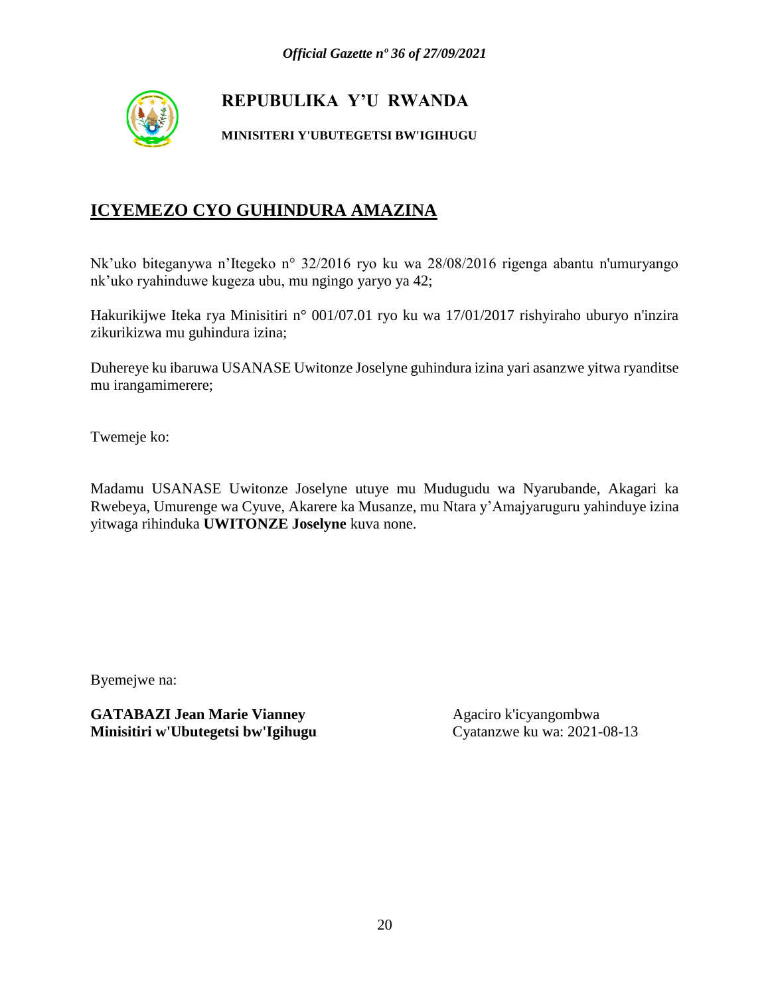

#### **MINISITERI Y'UBUTEGETSI BW'IGIHUGU**

# **ICYEMEZO CYO GUHINDURA AMAZINA**

Nk'uko biteganywa n'Itegeko n° 32/2016 ryo ku wa 28/08/2016 rigenga abantu n'umuryango nk'uko ryahinduwe kugeza ubu, mu ngingo yaryo ya 42;

Hakurikijwe Iteka rya Minisitiri n° 001/07.01 ryo ku wa 17/01/2017 rishyiraho uburyo n'inzira zikurikizwa mu guhindura izina;

Duhereye ku ibaruwa USANASE Uwitonze Joselyne guhindura izina yari asanzwe yitwa ryanditse mu irangamimerere;

Twemeje ko:

Madamu USANASE Uwitonze Joselyne utuye mu Mudugudu wa Nyarubande, Akagari ka Rwebeya, Umurenge wa Cyuve, Akarere ka Musanze, mu Ntara y'Amajyaruguru yahinduye izina yitwaga rihinduka **UWITONZE Joselyne** kuva none.

Byemejwe na: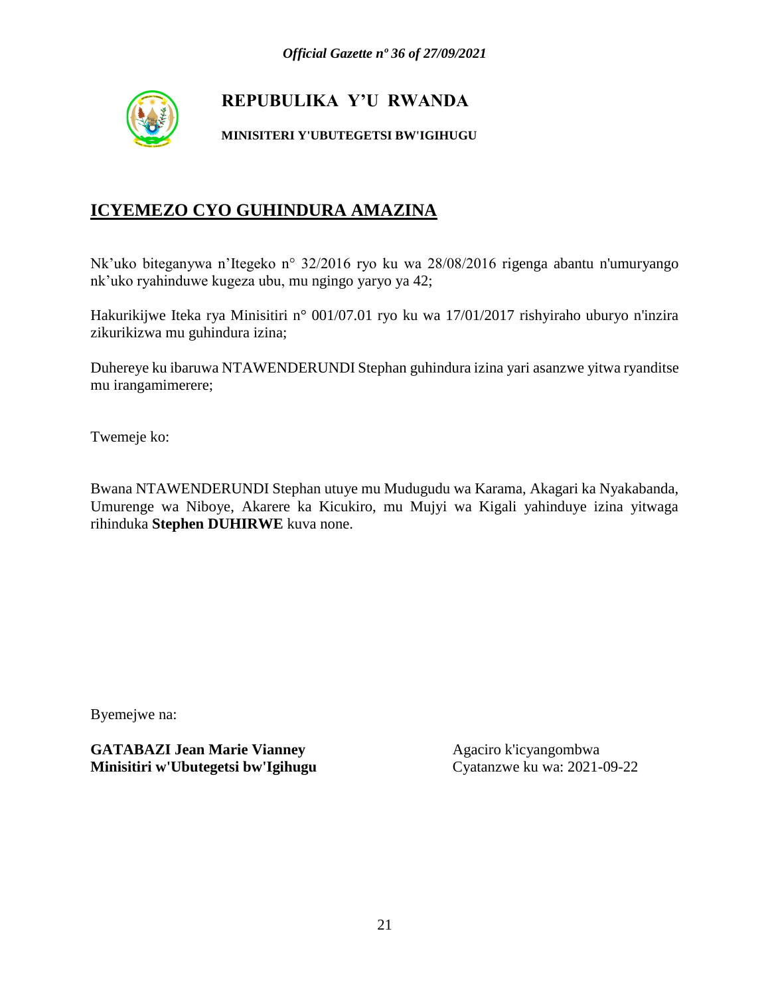

#### **MINISITERI Y'UBUTEGETSI BW'IGIHUGU**

# **ICYEMEZO CYO GUHINDURA AMAZINA**

Nk'uko biteganywa n'Itegeko n° 32/2016 ryo ku wa 28/08/2016 rigenga abantu n'umuryango nk'uko ryahinduwe kugeza ubu, mu ngingo yaryo ya 42;

Hakurikijwe Iteka rya Minisitiri n° 001/07.01 ryo ku wa 17/01/2017 rishyiraho uburyo n'inzira zikurikizwa mu guhindura izina;

Duhereye ku ibaruwa NTAWENDERUNDI Stephan guhindura izina yari asanzwe yitwa ryanditse mu irangamimerere;

Twemeje ko:

Bwana NTAWENDERUNDI Stephan utuye mu Mudugudu wa Karama, Akagari ka Nyakabanda, Umurenge wa Niboye, Akarere ka Kicukiro, mu Mujyi wa Kigali yahinduye izina yitwaga rihinduka **Stephen DUHIRWE** kuva none.

Byemejwe na: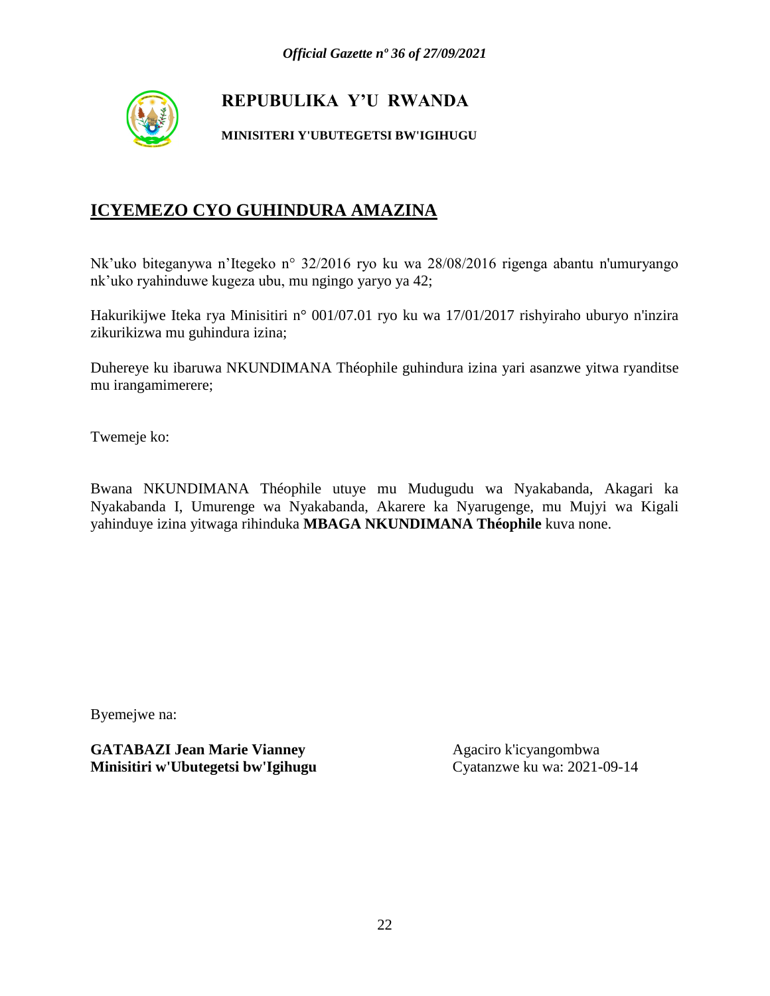

#### **MINISITERI Y'UBUTEGETSI BW'IGIHUGU**

# **ICYEMEZO CYO GUHINDURA AMAZINA**

Nk'uko biteganywa n'Itegeko n° 32/2016 ryo ku wa 28/08/2016 rigenga abantu n'umuryango nk'uko ryahinduwe kugeza ubu, mu ngingo yaryo ya 42;

Hakurikijwe Iteka rya Minisitiri n° 001/07.01 ryo ku wa 17/01/2017 rishyiraho uburyo n'inzira zikurikizwa mu guhindura izina;

Duhereye ku ibaruwa NKUNDIMANA Théophile guhindura izina yari asanzwe yitwa ryanditse mu irangamimerere;

Twemeje ko:

Bwana NKUNDIMANA Théophile utuye mu Mudugudu wa Nyakabanda, Akagari ka Nyakabanda I, Umurenge wa Nyakabanda, Akarere ka Nyarugenge, mu Mujyi wa Kigali yahinduye izina yitwaga rihinduka **MBAGA NKUNDIMANA Théophile** kuva none.

Byemejwe na: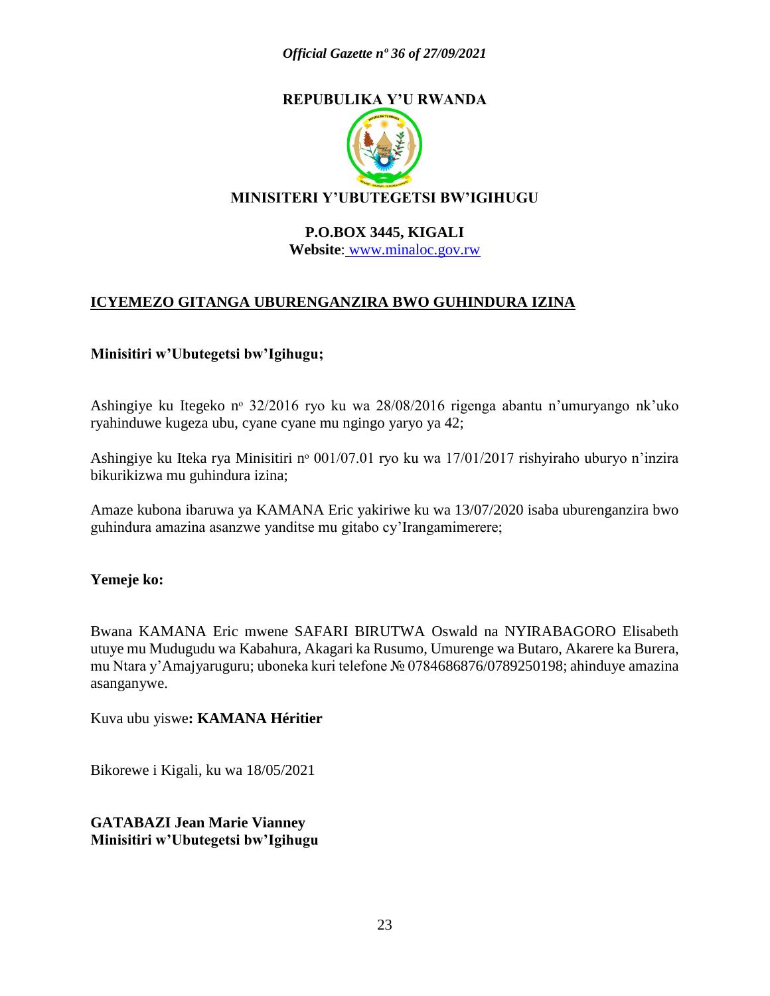

#### **P.O.BOX 3445, KIGALI Website**: [www.minaloc.gov.rw](http://www.minaloc.gov.rw/)

# **ICYEMEZO GITANGA UBURENGANZIRA BWO GUHINDURA IZINA**

#### **Minisitiri w'Ubutegetsi bw'Igihugu;**

Ashingiye ku Itegeko nº 32/2016 ryo ku wa 28/08/2016 rigenga abantu n'umuryango nk'uko ryahinduwe kugeza ubu, cyane cyane mu ngingo yaryo ya 42;

Ashingiye ku Iteka rya Minisitiri n<sup>o</sup> 001/07.01 ryo ku wa 17/01/2017 rishyiraho uburyo n'inzira bikurikizwa mu guhindura izina;

Amaze kubona ibaruwa ya KAMANA Eric yakiriwe ku wa 13/07/2020 isaba uburenganzira bwo guhindura amazina asanzwe yanditse mu gitabo cy'Irangamimerere;

#### **Yemeje ko:**

Bwana KAMANA Eric mwene SAFARI BIRUTWA Oswald na NYIRABAGORO Elisabeth utuye mu Mudugudu wa Kabahura, Akagari ka Rusumo, Umurenge wa Butaro, Akarere ka Burera, mu Ntara y'Amajyaruguru; uboneka kuri telefone № 0784686876/0789250198; ahinduye amazina asanganywe.

Kuva ubu yiswe**: KAMANA Héritier**

Bikorewe i Kigali, ku wa 18/05/2021

**GATABAZI Jean Marie Vianney Minisitiri w'Ubutegetsi bw'Igihugu**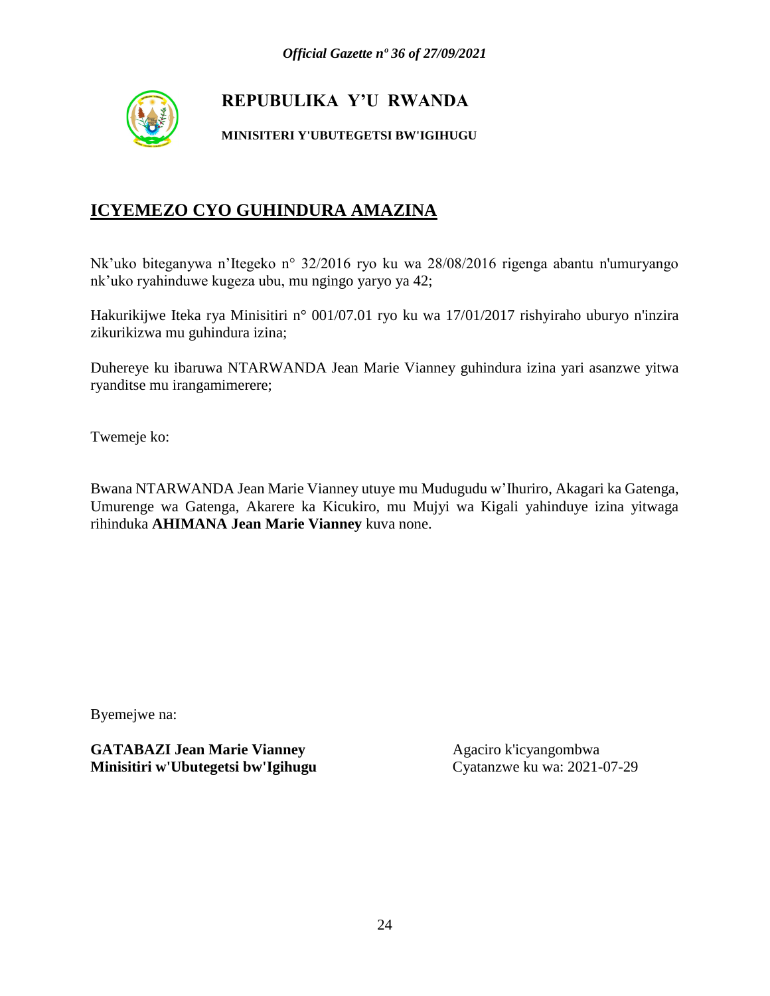

#### **MINISITERI Y'UBUTEGETSI BW'IGIHUGU**

# **ICYEMEZO CYO GUHINDURA AMAZINA**

Nk'uko biteganywa n'Itegeko n° 32/2016 ryo ku wa 28/08/2016 rigenga abantu n'umuryango nk'uko ryahinduwe kugeza ubu, mu ngingo yaryo ya 42;

Hakurikijwe Iteka rya Minisitiri n° 001/07.01 ryo ku wa 17/01/2017 rishyiraho uburyo n'inzira zikurikizwa mu guhindura izina;

Duhereye ku ibaruwa NTARWANDA Jean Marie Vianney guhindura izina yari asanzwe yitwa ryanditse mu irangamimerere;

Twemeje ko:

Bwana NTARWANDA Jean Marie Vianney utuye mu Mudugudu w'Ihuriro, Akagari ka Gatenga, Umurenge wa Gatenga, Akarere ka Kicukiro, mu Mujyi wa Kigali yahinduye izina yitwaga rihinduka **AHIMANA Jean Marie Vianney** kuva none.

Byemejwe na: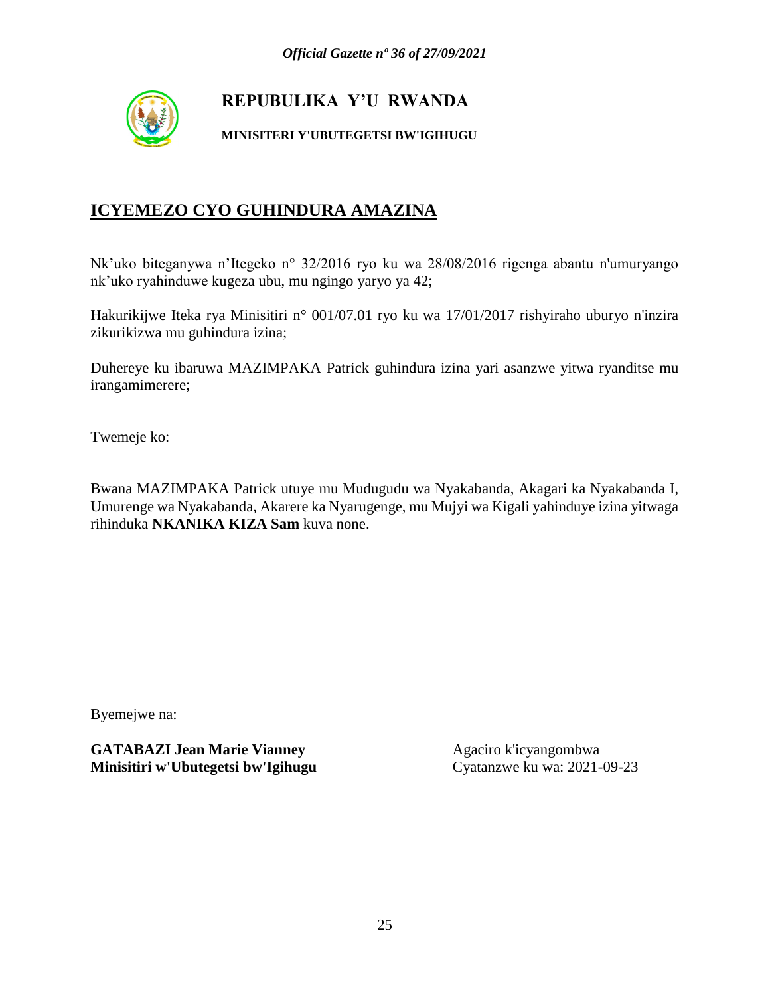

#### **MINISITERI Y'UBUTEGETSI BW'IGIHUGU**

# **ICYEMEZO CYO GUHINDURA AMAZINA**

Nk'uko biteganywa n'Itegeko n° 32/2016 ryo ku wa 28/08/2016 rigenga abantu n'umuryango nk'uko ryahinduwe kugeza ubu, mu ngingo yaryo ya 42;

Hakurikijwe Iteka rya Minisitiri n° 001/07.01 ryo ku wa 17/01/2017 rishyiraho uburyo n'inzira zikurikizwa mu guhindura izina;

Duhereye ku ibaruwa MAZIMPAKA Patrick guhindura izina yari asanzwe yitwa ryanditse mu irangamimerere;

Twemeje ko:

Bwana MAZIMPAKA Patrick utuye mu Mudugudu wa Nyakabanda, Akagari ka Nyakabanda I, Umurenge wa Nyakabanda, Akarere ka Nyarugenge, mu Mujyi wa Kigali yahinduye izina yitwaga rihinduka **NKANIKA KIZA Sam** kuva none.

Byemejwe na: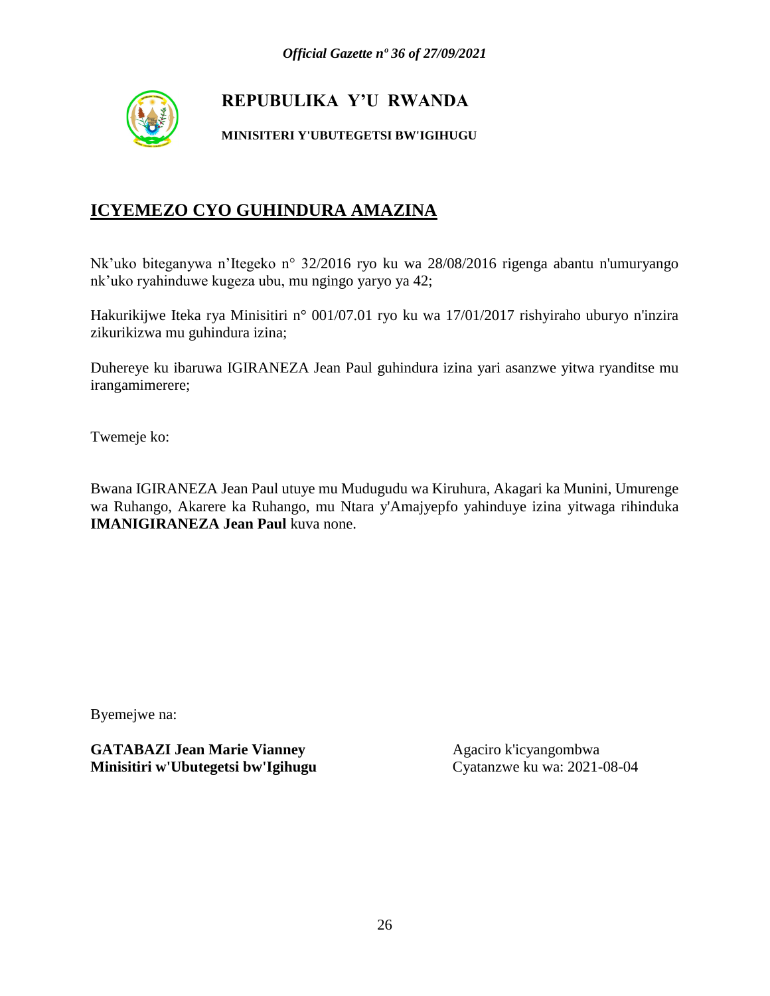

#### **MINISITERI Y'UBUTEGETSI BW'IGIHUGU**

# **ICYEMEZO CYO GUHINDURA AMAZINA**

Nk'uko biteganywa n'Itegeko n° 32/2016 ryo ku wa 28/08/2016 rigenga abantu n'umuryango nk'uko ryahinduwe kugeza ubu, mu ngingo yaryo ya 42;

Hakurikijwe Iteka rya Minisitiri n° 001/07.01 ryo ku wa 17/01/2017 rishyiraho uburyo n'inzira zikurikizwa mu guhindura izina;

Duhereye ku ibaruwa IGIRANEZA Jean Paul guhindura izina yari asanzwe yitwa ryanditse mu irangamimerere;

Twemeje ko:

Bwana IGIRANEZA Jean Paul utuye mu Mudugudu wa Kiruhura, Akagari ka Munini, Umurenge wa Ruhango, Akarere ka Ruhango, mu Ntara y'Amajyepfo yahinduye izina yitwaga rihinduka **IMANIGIRANEZA Jean Paul** kuva none.

Byemejwe na: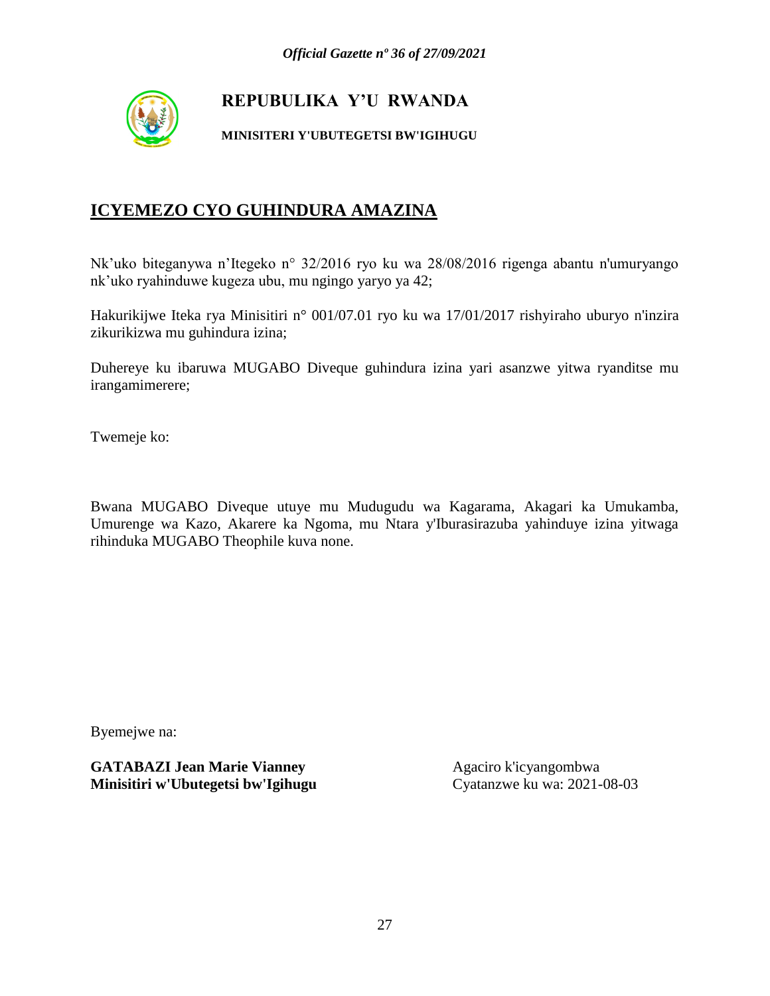

#### **MINISITERI Y'UBUTEGETSI BW'IGIHUGU**

# **ICYEMEZO CYO GUHINDURA AMAZINA**

Nk'uko biteganywa n'Itegeko n° 32/2016 ryo ku wa 28/08/2016 rigenga abantu n'umuryango nk'uko ryahinduwe kugeza ubu, mu ngingo yaryo ya 42;

Hakurikijwe Iteka rya Minisitiri n° 001/07.01 ryo ku wa 17/01/2017 rishyiraho uburyo n'inzira zikurikizwa mu guhindura izina;

Duhereye ku ibaruwa MUGABO Diveque guhindura izina yari asanzwe yitwa ryanditse mu irangamimerere;

Twemeje ko:

Bwana MUGABO Diveque utuye mu Mudugudu wa Kagarama, Akagari ka Umukamba, Umurenge wa Kazo, Akarere ka Ngoma, mu Ntara y'Iburasirazuba yahinduye izina yitwaga rihinduka MUGABO Theophile kuva none.

Byemejwe na: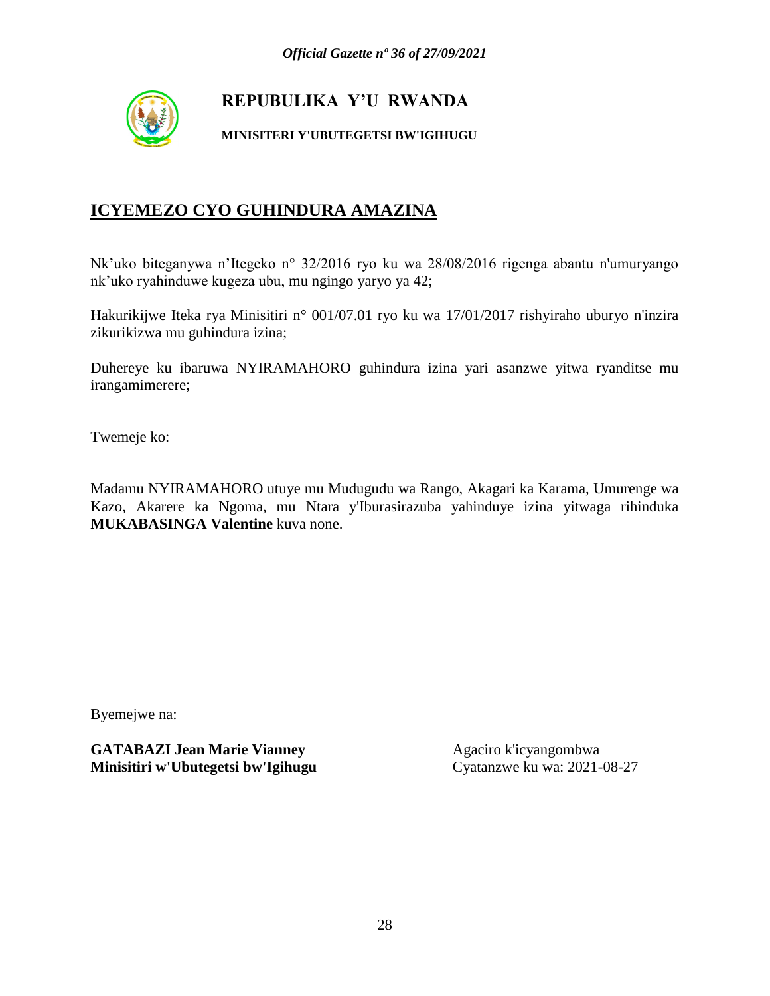

#### **MINISITERI Y'UBUTEGETSI BW'IGIHUGU**

# **ICYEMEZO CYO GUHINDURA AMAZINA**

Nk'uko biteganywa n'Itegeko n° 32/2016 ryo ku wa 28/08/2016 rigenga abantu n'umuryango nk'uko ryahinduwe kugeza ubu, mu ngingo yaryo ya 42;

Hakurikijwe Iteka rya Minisitiri n° 001/07.01 ryo ku wa 17/01/2017 rishyiraho uburyo n'inzira zikurikizwa mu guhindura izina;

Duhereye ku ibaruwa NYIRAMAHORO guhindura izina yari asanzwe yitwa ryanditse mu irangamimerere;

Twemeje ko:

Madamu NYIRAMAHORO utuye mu Mudugudu wa Rango, Akagari ka Karama, Umurenge wa Kazo, Akarere ka Ngoma, mu Ntara y'Iburasirazuba yahinduye izina yitwaga rihinduka **MUKABASINGA Valentine** kuva none.

Byemejwe na: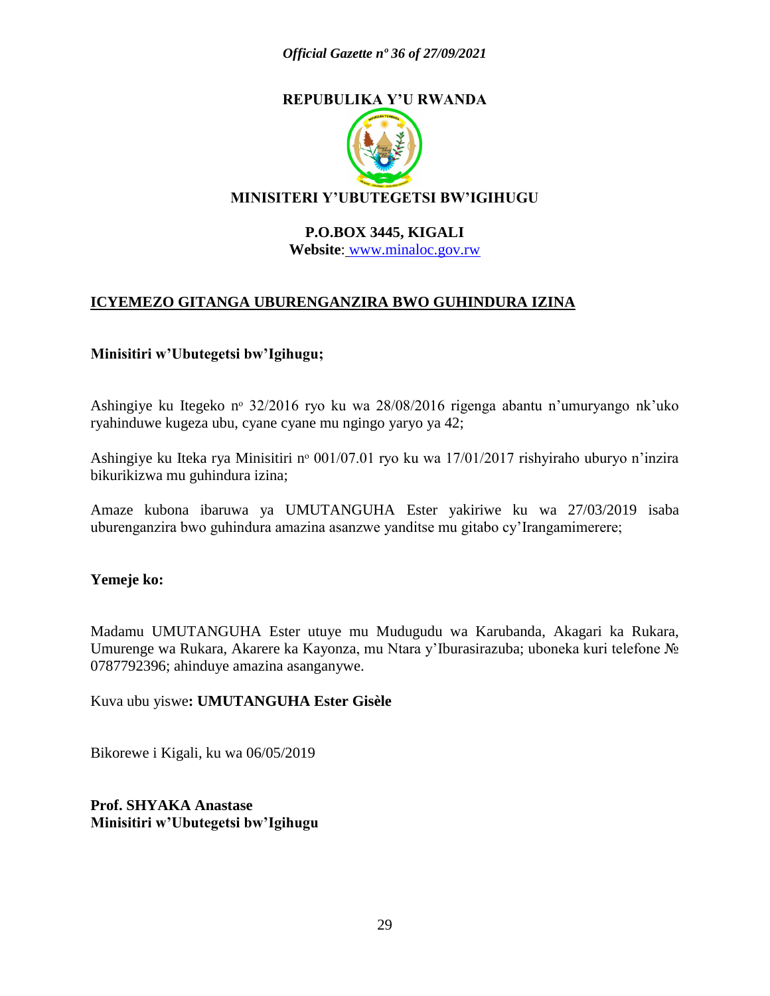

#### **P.O.BOX 3445, KIGALI Website**: [www.minaloc.gov.rw](http://www.minaloc.gov.rw/)

# **ICYEMEZO GITANGA UBURENGANZIRA BWO GUHINDURA IZINA**

#### **Minisitiri w'Ubutegetsi bw'Igihugu;**

Ashingiye ku Itegeko nº 32/2016 ryo ku wa 28/08/2016 rigenga abantu n'umuryango nk'uko ryahinduwe kugeza ubu, cyane cyane mu ngingo yaryo ya 42;

Ashingiye ku Iteka rya Minisitiri n<sup>o</sup> 001/07.01 ryo ku wa 17/01/2017 rishyiraho uburyo n'inzira bikurikizwa mu guhindura izina;

Amaze kubona ibaruwa ya UMUTANGUHA Ester yakiriwe ku wa 27/03/2019 isaba uburenganzira bwo guhindura amazina asanzwe yanditse mu gitabo cy'Irangamimerere;

#### **Yemeje ko:**

Madamu UMUTANGUHA Ester utuye mu Mudugudu wa Karubanda, Akagari ka Rukara, Umurenge wa Rukara, Akarere ka Kayonza, mu Ntara y'Iburasirazuba; uboneka kuri telefone № 0787792396; ahinduye amazina asanganywe.

Kuva ubu yiswe**: UMUTANGUHA Ester Gisèle**

Bikorewe i Kigali, ku wa 06/05/2019

**Prof. SHYAKA Anastase Minisitiri w'Ubutegetsi bw'Igihugu**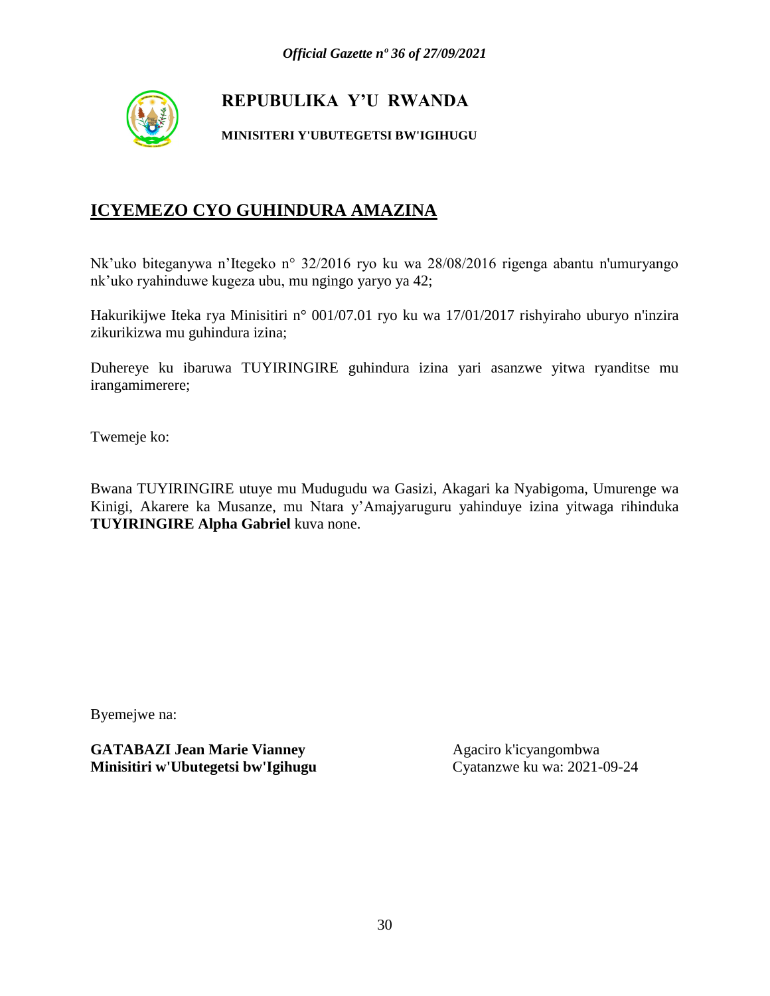

#### **MINISITERI Y'UBUTEGETSI BW'IGIHUGU**

# **ICYEMEZO CYO GUHINDURA AMAZINA**

Nk'uko biteganywa n'Itegeko n° 32/2016 ryo ku wa 28/08/2016 rigenga abantu n'umuryango nk'uko ryahinduwe kugeza ubu, mu ngingo yaryo ya 42;

Hakurikijwe Iteka rya Minisitiri n° 001/07.01 ryo ku wa 17/01/2017 rishyiraho uburyo n'inzira zikurikizwa mu guhindura izina;

Duhereye ku ibaruwa TUYIRINGIRE guhindura izina yari asanzwe yitwa ryanditse mu irangamimerere;

Twemeje ko:

Bwana TUYIRINGIRE utuye mu Mudugudu wa Gasizi, Akagari ka Nyabigoma, Umurenge wa Kinigi, Akarere ka Musanze, mu Ntara y'Amajyaruguru yahinduye izina yitwaga rihinduka **TUYIRINGIRE Alpha Gabriel** kuva none.

Byemejwe na: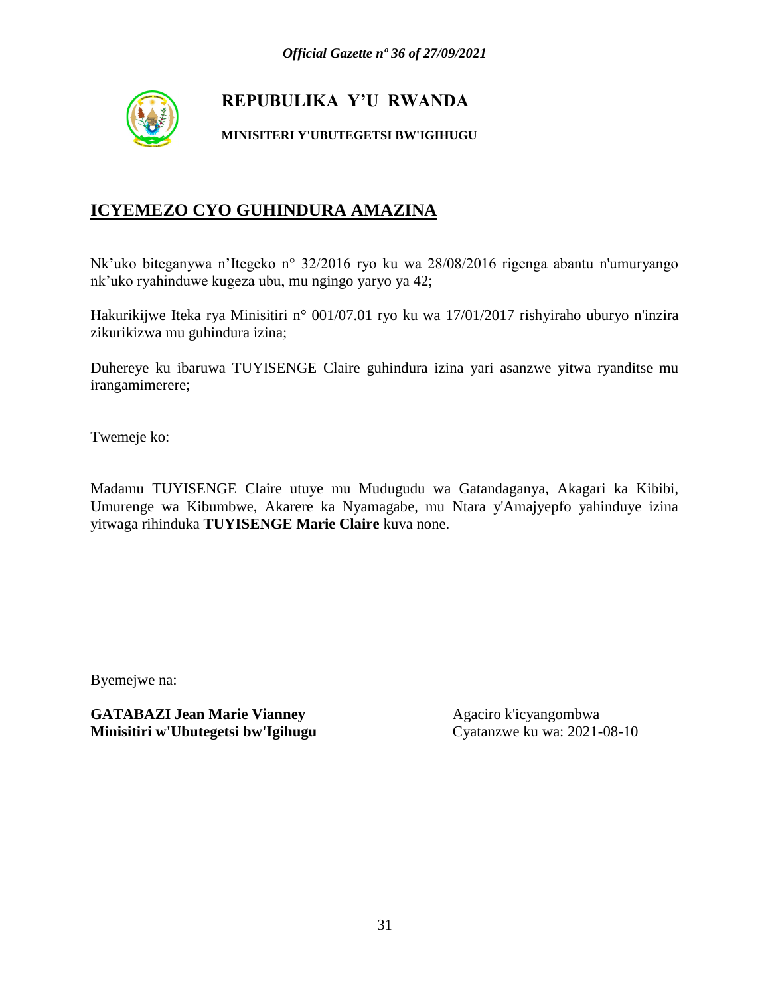

#### **MINISITERI Y'UBUTEGETSI BW'IGIHUGU**

# **ICYEMEZO CYO GUHINDURA AMAZINA**

Nk'uko biteganywa n'Itegeko n° 32/2016 ryo ku wa 28/08/2016 rigenga abantu n'umuryango nk'uko ryahinduwe kugeza ubu, mu ngingo yaryo ya 42;

Hakurikijwe Iteka rya Minisitiri n° 001/07.01 ryo ku wa 17/01/2017 rishyiraho uburyo n'inzira zikurikizwa mu guhindura izina;

Duhereye ku ibaruwa TUYISENGE Claire guhindura izina yari asanzwe yitwa ryanditse mu irangamimerere;

Twemeje ko:

Madamu TUYISENGE Claire utuye mu Mudugudu wa Gatandaganya, Akagari ka Kibibi, Umurenge wa Kibumbwe, Akarere ka Nyamagabe, mu Ntara y'Amajyepfo yahinduye izina yitwaga rihinduka **TUYISENGE Marie Claire** kuva none.

Byemejwe na: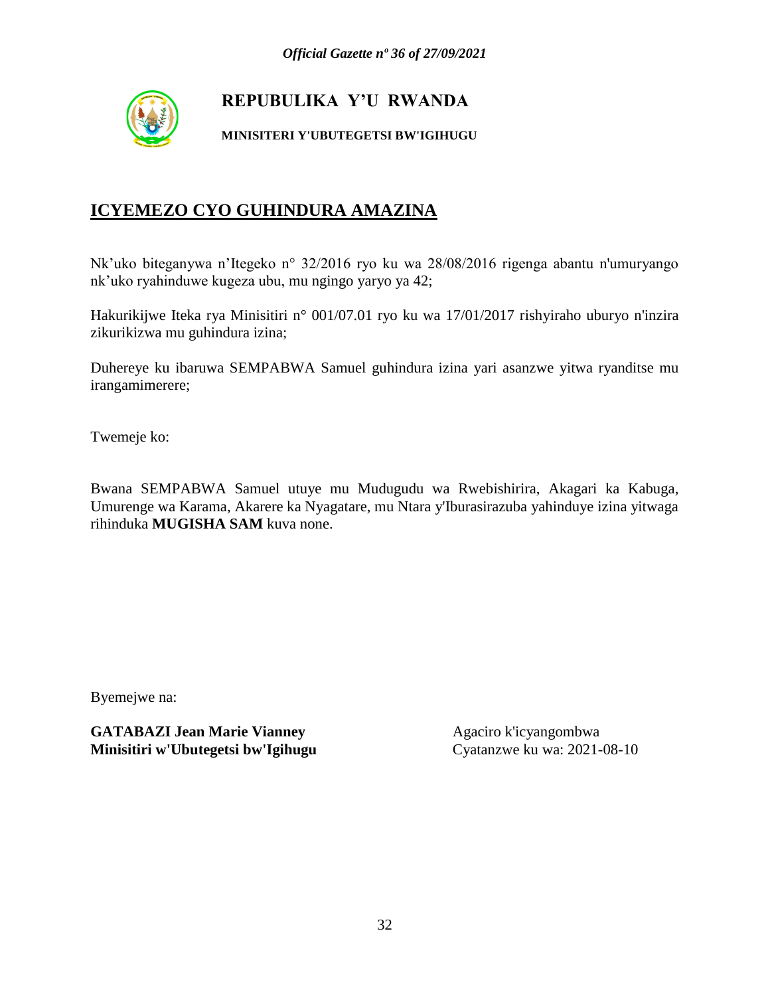

#### **MINISITERI Y'UBUTEGETSI BW'IGIHUGU**

# **ICYEMEZO CYO GUHINDURA AMAZINA**

Nk'uko biteganywa n'Itegeko n° 32/2016 ryo ku wa 28/08/2016 rigenga abantu n'umuryango nk'uko ryahinduwe kugeza ubu, mu ngingo yaryo ya 42;

Hakurikijwe Iteka rya Minisitiri n° 001/07.01 ryo ku wa 17/01/2017 rishyiraho uburyo n'inzira zikurikizwa mu guhindura izina;

Duhereye ku ibaruwa SEMPABWA Samuel guhindura izina yari asanzwe yitwa ryanditse mu irangamimerere;

Twemeje ko:

Bwana SEMPABWA Samuel utuye mu Mudugudu wa Rwebishirira, Akagari ka Kabuga, Umurenge wa Karama, Akarere ka Nyagatare, mu Ntara y'Iburasirazuba yahinduye izina yitwaga rihinduka **MUGISHA SAM** kuva none.

Byemejwe na: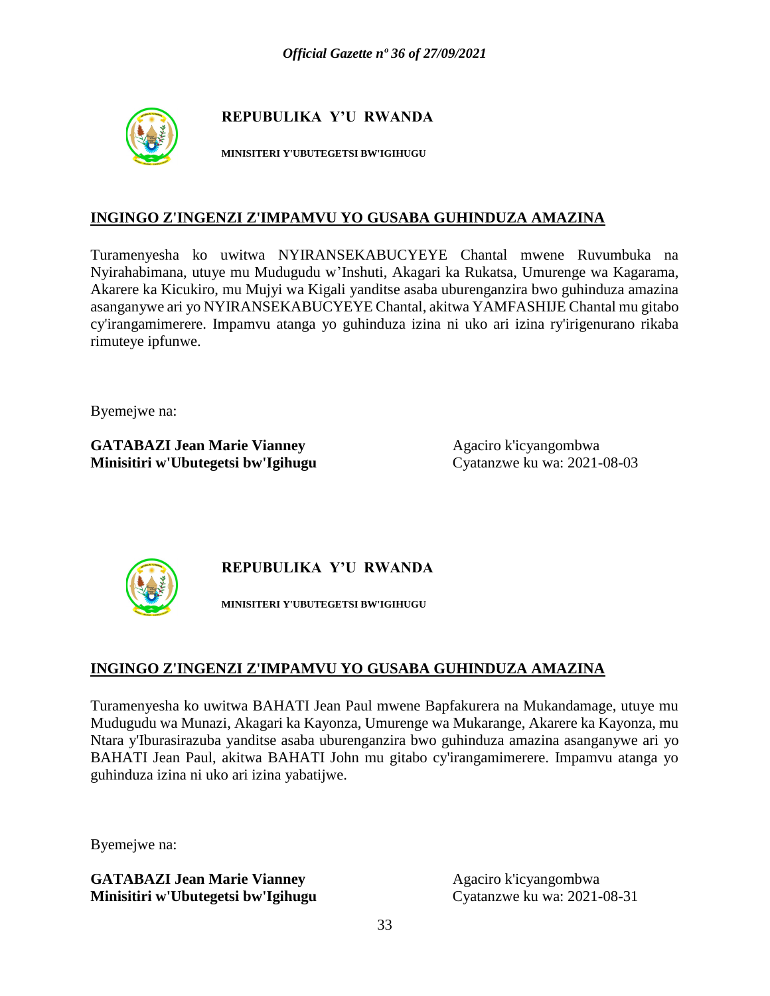

**MINISITERI Y'UBUTEGETSI BW'IGIHUGU**

#### **INGINGO Z'INGENZI Z'IMPAMVU YO GUSABA GUHINDUZA AMAZINA**

Turamenyesha ko uwitwa NYIRANSEKABUCYEYE Chantal mwene Ruvumbuka na Nyirahabimana, utuye mu Mudugudu w'Inshuti, Akagari ka Rukatsa, Umurenge wa Kagarama, Akarere ka Kicukiro, mu Mujyi wa Kigali yanditse asaba uburenganzira bwo guhinduza amazina asanganywe ari yo NYIRANSEKABUCYEYE Chantal, akitwa YAMFASHIJE Chantal mu gitabo cy'irangamimerere. Impamvu atanga yo guhinduza izina ni uko ari izina ry'irigenurano rikaba rimuteye ipfunwe.

Byemejwe na:

**GATABAZI Jean Marie Vianney** Agaciro k'icyangombwa **Minisitiri w'Ubutegetsi bw'Igihugu** Cyatanzwe ku wa: 2021-08-03



**REPUBULIKA Y'U RWANDA**

**MINISITERI Y'UBUTEGETSI BW'IGIHUGU**

#### **INGINGO Z'INGENZI Z'IMPAMVU YO GUSABA GUHINDUZA AMAZINA**

Turamenyesha ko uwitwa BAHATI Jean Paul mwene Bapfakurera na Mukandamage, utuye mu Mudugudu wa Munazi, Akagari ka Kayonza, Umurenge wa Mukarange, Akarere ka Kayonza, mu Ntara y'Iburasirazuba yanditse asaba uburenganzira bwo guhinduza amazina asanganywe ari yo BAHATI Jean Paul, akitwa BAHATI John mu gitabo cy'irangamimerere. Impamvu atanga yo guhinduza izina ni uko ari izina yabatijwe.

Byemejwe na: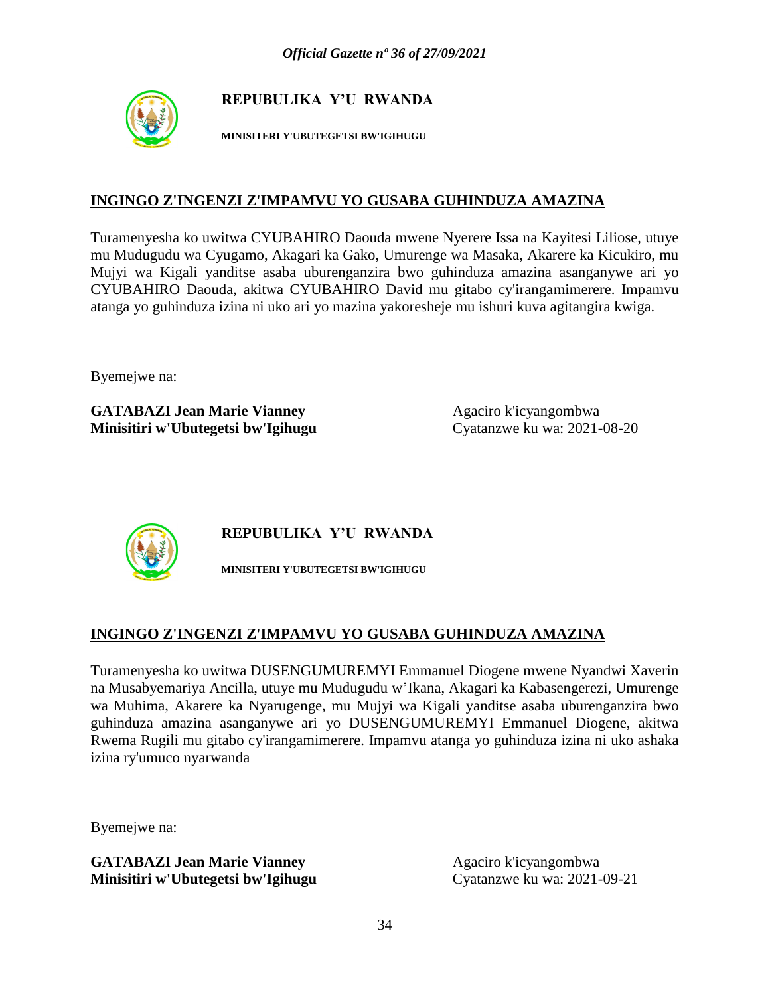

**MINISITERI Y'UBUTEGETSI BW'IGIHUGU**

#### **INGINGO Z'INGENZI Z'IMPAMVU YO GUSABA GUHINDUZA AMAZINA**

Turamenyesha ko uwitwa CYUBAHIRO Daouda mwene Nyerere Issa na Kayitesi Liliose, utuye mu Mudugudu wa Cyugamo, Akagari ka Gako, Umurenge wa Masaka, Akarere ka Kicukiro, mu Mujyi wa Kigali yanditse asaba uburenganzira bwo guhinduza amazina asanganywe ari yo CYUBAHIRO Daouda, akitwa CYUBAHIRO David mu gitabo cy'irangamimerere. Impamvu atanga yo guhinduza izina ni uko ari yo mazina yakoresheje mu ishuri kuva agitangira kwiga.

Byemejwe na:

**GATABAZI Jean Marie Vianney** Agaciro k'icyangombwa **Minisitiri w'Ubutegetsi bw'Igihugu** Cyatanzwe ku wa: 2021-08-20



**REPUBULIKA Y'U RWANDA**

**MINISITERI Y'UBUTEGETSI BW'IGIHUGU**

# **INGINGO Z'INGENZI Z'IMPAMVU YO GUSABA GUHINDUZA AMAZINA**

Turamenyesha ko uwitwa DUSENGUMUREMYI Emmanuel Diogene mwene Nyandwi Xaverin na Musabyemariya Ancilla, utuye mu Mudugudu w'Ikana, Akagari ka Kabasengerezi, Umurenge wa Muhima, Akarere ka Nyarugenge, mu Mujyi wa Kigali yanditse asaba uburenganzira bwo guhinduza amazina asanganywe ari yo DUSENGUMUREMYI Emmanuel Diogene, akitwa Rwema Rugili mu gitabo cy'irangamimerere. Impamvu atanga yo guhinduza izina ni uko ashaka izina ry'umuco nyarwanda

Byemejwe na: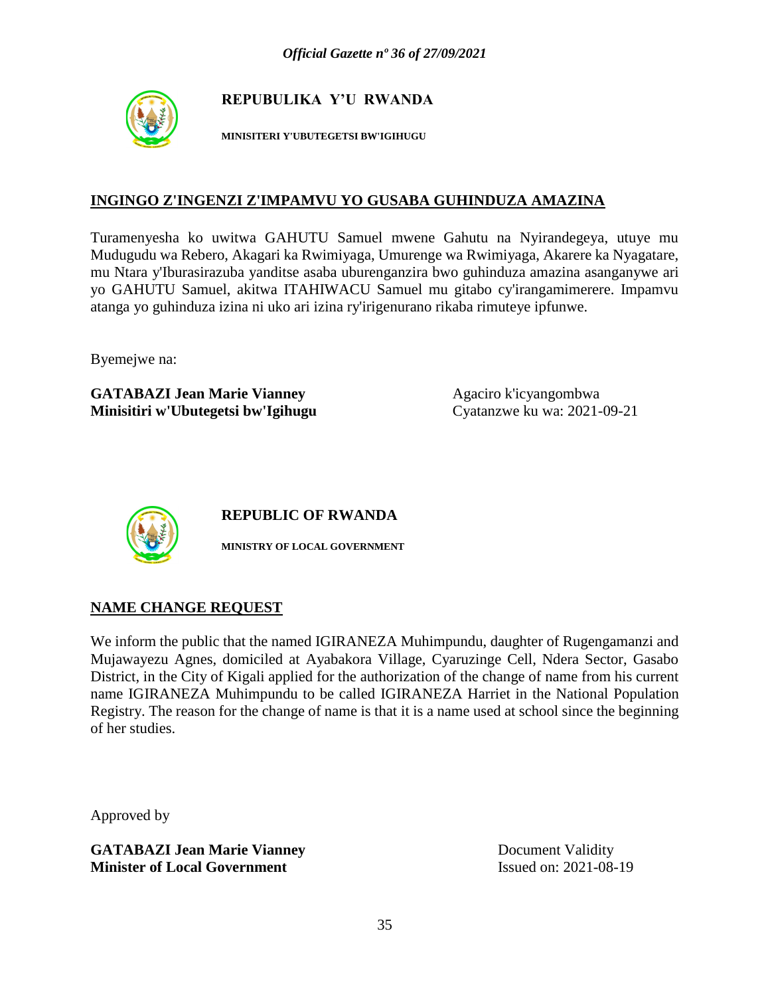

**MINISITERI Y'UBUTEGETSI BW'IGIHUGU**

#### **INGINGO Z'INGENZI Z'IMPAMVU YO GUSABA GUHINDUZA AMAZINA**

Turamenyesha ko uwitwa GAHUTU Samuel mwene Gahutu na Nyirandegeya, utuye mu Mudugudu wa Rebero, Akagari ka Rwimiyaga, Umurenge wa Rwimiyaga, Akarere ka Nyagatare, mu Ntara y'Iburasirazuba yanditse asaba uburenganzira bwo guhinduza amazina asanganywe ari yo GAHUTU Samuel, akitwa ITAHIWACU Samuel mu gitabo cy'irangamimerere. Impamvu atanga yo guhinduza izina ni uko ari izina ry'irigenurano rikaba rimuteye ipfunwe.

Byemejwe na:

**GATABAZI Jean Marie Vianney** Agaciro k'icyangombwa **Minisitiri w'Ubutegetsi bw'Igihugu** Cyatanzwe ku wa: 2021-09-21



**REPUBLIC OF RWANDA**

**MINISTRY OF LOCAL GOVERNMENT**

#### **NAME CHANGE REQUEST**

We inform the public that the named IGIRANEZA Muhimpundu, daughter of Rugengamanzi and Mujawayezu Agnes, domiciled at Ayabakora Village, Cyaruzinge Cell, Ndera Sector, Gasabo District, in the City of Kigali applied for the authorization of the change of name from his current name IGIRANEZA Muhimpundu to be called IGIRANEZA Harriet in the National Population Registry. The reason for the change of name is that it is a name used at school since the beginning of her studies.

Approved by

**GATABAZI Jean Marie Vianney** Document Validity **Minister of Local Government** Issued on: 2021-08-19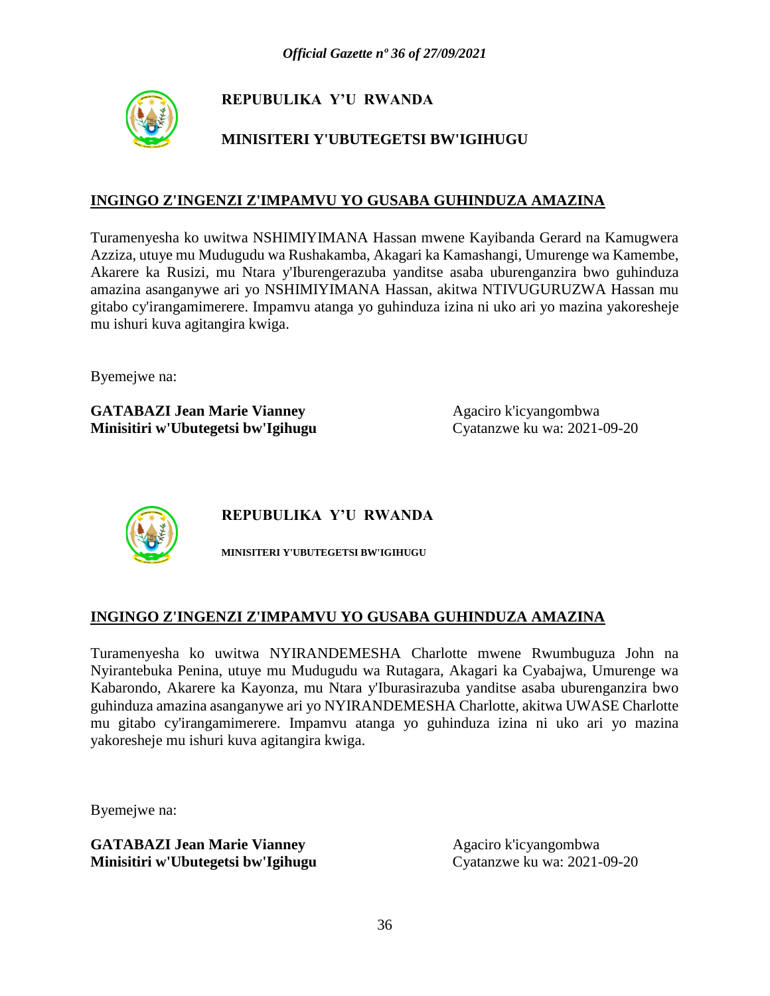

# **MINISITERI Y'UBUTEGETSI BW'IGIHUGU**

### **INGINGO Z'INGENZI Z'IMPAMVU YO GUSABA GUHINDUZA AMAZINA**

Turamenyesha ko uwitwa NSHIMIYIMANA Hassan mwene Kayibanda Gerard na Kamugwera Azziza, utuye mu Mudugudu wa Rushakamba, Akagari ka Kamashangi, Umurenge wa Kamembe, Akarere ka Rusizi, mu Ntara y'Iburengerazuba yanditse asaba uburenganzira bwo guhinduza amazina asanganywe ari yo NSHIMIYIMANA Hassan, akitwa NTIVUGURUZWA Hassan mu gitabo cy'irangamimerere. Impamvu atanga yo guhinduza izina ni uko ari yo mazina yakoresheje mu ishuri kuva agitangira kwiga.

Byemejwe na:

**GATABAZI Jean Marie Vianney** Agaciro k'icyangombwa **Minisitiri w'Ubutegetsi bw'Igihugu** Cyatanzwe ku wa: 2021-09-20



**REPUBULIKA Y'U RWANDA**

**MINISITERI Y'UBUTEGETSI BW'IGIHUGU**

#### **INGINGO Z'INGENZI Z'IMPAMVU YO GUSABA GUHINDUZA AMAZINA**

Turamenyesha ko uwitwa NYIRANDEMESHA Charlotte mwene Rwumbuguza John na Nyirantebuka Penina, utuye mu Mudugudu wa Rutagara, Akagari ka Cyabajwa, Umurenge wa Kabarondo, Akarere ka Kayonza, mu Ntara y'Iburasirazuba yanditse asaba uburenganzira bwo guhinduza amazina asanganywe ari yo NYIRANDEMESHA Charlotte, akitwa UWASE Charlotte mu gitabo cy'irangamimerere. Impamvu atanga yo guhinduza izina ni uko ari yo mazina yakoresheje mu ishuri kuva agitangira kwiga.

Byemejwe na: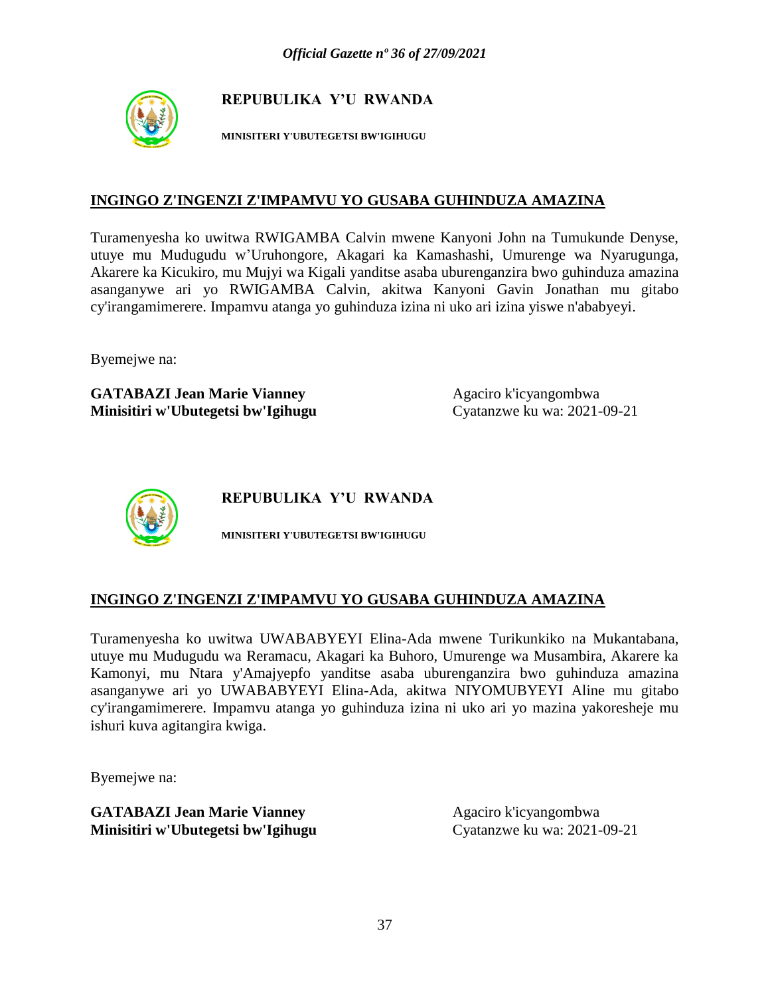

**MINISITERI Y'UBUTEGETSI BW'IGIHUGU**

#### **INGINGO Z'INGENZI Z'IMPAMVU YO GUSABA GUHINDUZA AMAZINA**

Turamenyesha ko uwitwa RWIGAMBA Calvin mwene Kanyoni John na Tumukunde Denyse, utuye mu Mudugudu w'Uruhongore, Akagari ka Kamashashi, Umurenge wa Nyarugunga, Akarere ka Kicukiro, mu Mujyi wa Kigali yanditse asaba uburenganzira bwo guhinduza amazina asanganywe ari yo RWIGAMBA Calvin, akitwa Kanyoni Gavin Jonathan mu gitabo cy'irangamimerere. Impamvu atanga yo guhinduza izina ni uko ari izina yiswe n'ababyeyi.

Byemejwe na:

**GATABAZI Jean Marie Vianney** Agaciro k'icyangombwa **Minisitiri w'Ubutegetsi bw'Igihugu** Cyatanzwe ku wa: 2021-09-21



**REPUBULIKA Y'U RWANDA**

**MINISITERI Y'UBUTEGETSI BW'IGIHUGU**

#### **INGINGO Z'INGENZI Z'IMPAMVU YO GUSABA GUHINDUZA AMAZINA**

Turamenyesha ko uwitwa UWABABYEYI Elina-Ada mwene Turikunkiko na Mukantabana, utuye mu Mudugudu wa Reramacu, Akagari ka Buhoro, Umurenge wa Musambira, Akarere ka Kamonyi, mu Ntara y'Amajyepfo yanditse asaba uburenganzira bwo guhinduza amazina asanganywe ari yo UWABABYEYI Elina-Ada, akitwa NIYOMUBYEYI Aline mu gitabo cy'irangamimerere. Impamvu atanga yo guhinduza izina ni uko ari yo mazina yakoresheje mu ishuri kuva agitangira kwiga.

Byemejwe na: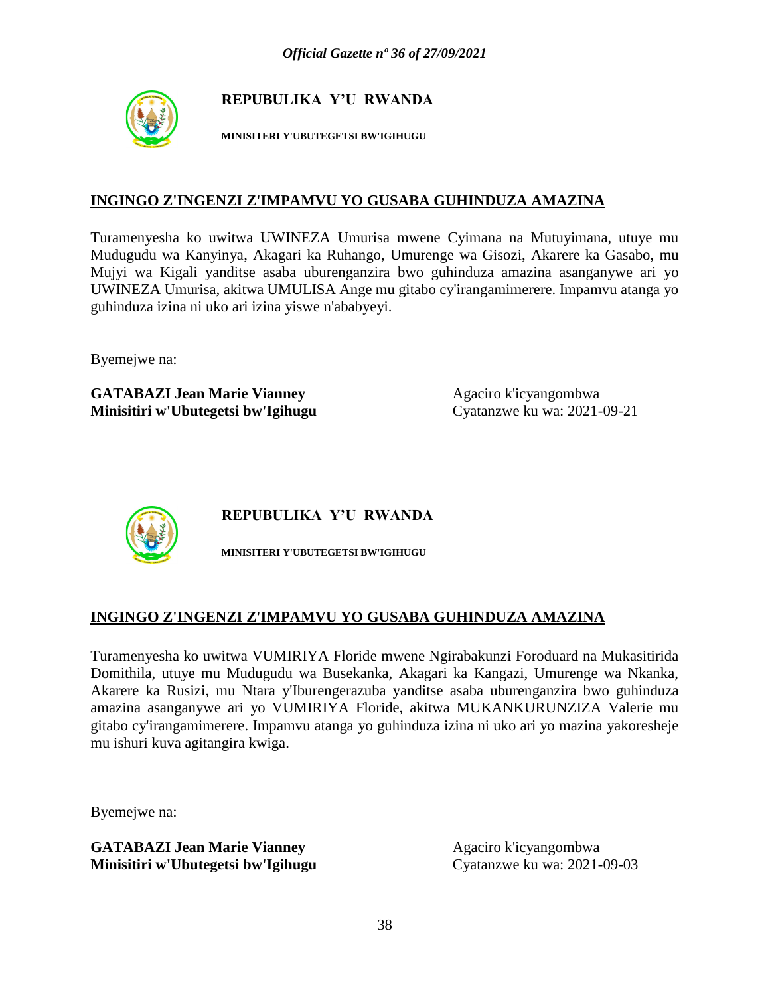

**MINISITERI Y'UBUTEGETSI BW'IGIHUGU**

#### **INGINGO Z'INGENZI Z'IMPAMVU YO GUSABA GUHINDUZA AMAZINA**

Turamenyesha ko uwitwa UWINEZA Umurisa mwene Cyimana na Mutuyimana, utuye mu Mudugudu wa Kanyinya, Akagari ka Ruhango, Umurenge wa Gisozi, Akarere ka Gasabo, mu Mujyi wa Kigali yanditse asaba uburenganzira bwo guhinduza amazina asanganywe ari yo UWINEZA Umurisa, akitwa UMULISA Ange mu gitabo cy'irangamimerere. Impamvu atanga yo guhinduza izina ni uko ari izina yiswe n'ababyeyi.

Byemejwe na:

**GATABAZI Jean Marie Vianney** Agaciro k'icyangombwa **Minisitiri w'Ubutegetsi bw'Igihugu** Cyatanzwe ku wa: 2021-09-21



**REPUBULIKA Y'U RWANDA**

**MINISITERI Y'UBUTEGETSI BW'IGIHUGU**

# **INGINGO Z'INGENZI Z'IMPAMVU YO GUSABA GUHINDUZA AMAZINA**

Turamenyesha ko uwitwa VUMIRIYA Floride mwene Ngirabakunzi Foroduard na Mukasitirida Domithila, utuye mu Mudugudu wa Busekanka, Akagari ka Kangazi, Umurenge wa Nkanka, Akarere ka Rusizi, mu Ntara y'Iburengerazuba yanditse asaba uburenganzira bwo guhinduza amazina asanganywe ari yo VUMIRIYA Floride, akitwa MUKANKURUNZIZA Valerie mu gitabo cy'irangamimerere. Impamvu atanga yo guhinduza izina ni uko ari yo mazina yakoresheje mu ishuri kuva agitangira kwiga.

Byemejwe na: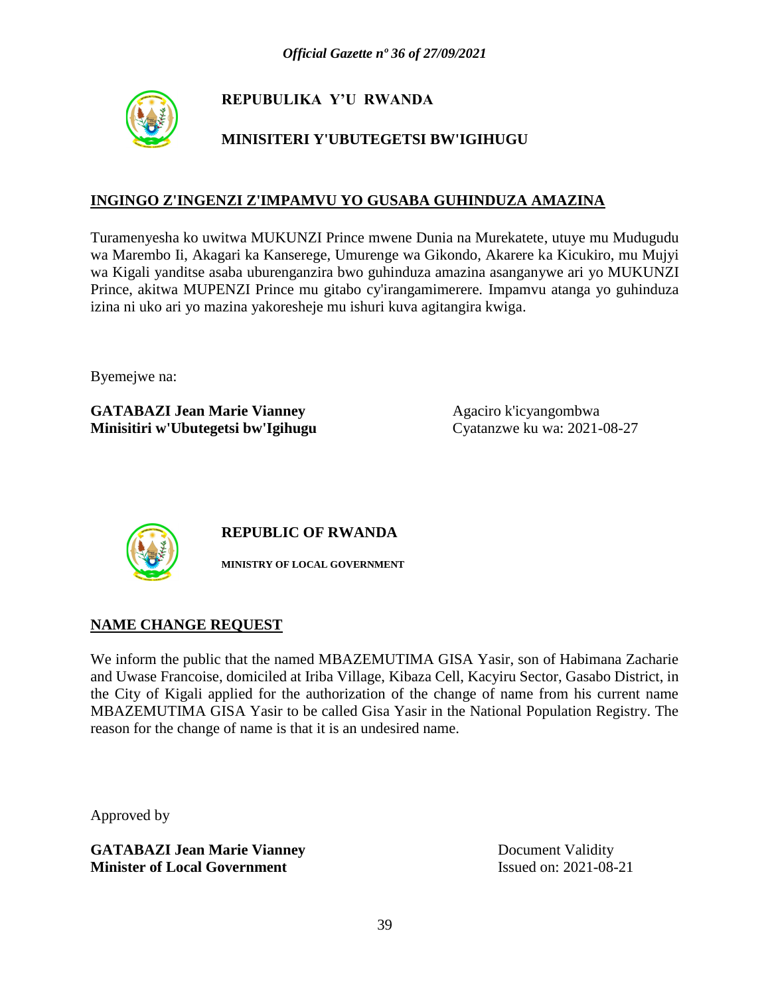

# **MINISITERI Y'UBUTEGETSI BW'IGIHUGU**

### **INGINGO Z'INGENZI Z'IMPAMVU YO GUSABA GUHINDUZA AMAZINA**

Turamenyesha ko uwitwa MUKUNZI Prince mwene Dunia na Murekatete, utuye mu Mudugudu wa Marembo Ii, Akagari ka Kanserege, Umurenge wa Gikondo, Akarere ka Kicukiro, mu Mujyi wa Kigali yanditse asaba uburenganzira bwo guhinduza amazina asanganywe ari yo MUKUNZI Prince, akitwa MUPENZI Prince mu gitabo cy'irangamimerere. Impamvu atanga yo guhinduza izina ni uko ari yo mazina yakoresheje mu ishuri kuva agitangira kwiga.

Byemejwe na:

**GATABAZI Jean Marie Vianney** Agaciro k'icyangombwa **Minisitiri w'Ubutegetsi bw'Igihugu** Cyatanzwe ku wa: 2021-08-27



**REPUBLIC OF RWANDA**

**MINISTRY OF LOCAL GOVERNMENT**

#### **NAME CHANGE REQUEST**

We inform the public that the named MBAZEMUTIMA GISA Yasir, son of Habimana Zacharie and Uwase Francoise, domiciled at Iriba Village, Kibaza Cell, Kacyiru Sector, Gasabo District, in the City of Kigali applied for the authorization of the change of name from his current name MBAZEMUTIMA GISA Yasir to be called Gisa Yasir in the National Population Registry. The reason for the change of name is that it is an undesired name.

Approved by

**GATABAZI Jean Marie Vianney** Document Validity **Minister of Local Government** Issued on: 2021-08-21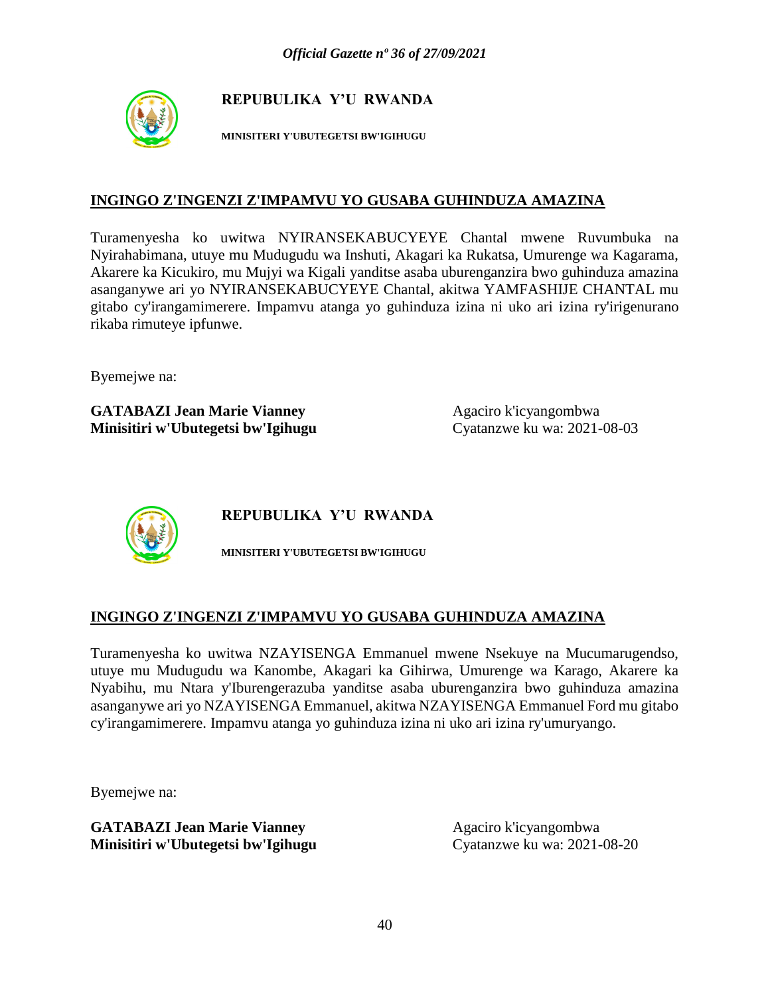

**MINISITERI Y'UBUTEGETSI BW'IGIHUGU**

#### **INGINGO Z'INGENZI Z'IMPAMVU YO GUSABA GUHINDUZA AMAZINA**

Turamenyesha ko uwitwa NYIRANSEKABUCYEYE Chantal mwene Ruvumbuka na Nyirahabimana, utuye mu Mudugudu wa Inshuti, Akagari ka Rukatsa, Umurenge wa Kagarama, Akarere ka Kicukiro, mu Mujyi wa Kigali yanditse asaba uburenganzira bwo guhinduza amazina asanganywe ari yo NYIRANSEKABUCYEYE Chantal, akitwa YAMFASHIJE CHANTAL mu gitabo cy'irangamimerere. Impamvu atanga yo guhinduza izina ni uko ari izina ry'irigenurano rikaba rimuteye ipfunwe.

Byemejwe na:

**GATABAZI Jean Marie Vianney** Agaciro k'icyangombwa **Minisitiri w'Ubutegetsi bw'Igihugu** Cyatanzwe ku wa: 2021-08-03



**REPUBULIKA Y'U RWANDA**

**MINISITERI Y'UBUTEGETSI BW'IGIHUGU**

#### **INGINGO Z'INGENZI Z'IMPAMVU YO GUSABA GUHINDUZA AMAZINA**

Turamenyesha ko uwitwa NZAYISENGA Emmanuel mwene Nsekuye na Mucumarugendso, utuye mu Mudugudu wa Kanombe, Akagari ka Gihirwa, Umurenge wa Karago, Akarere ka Nyabihu, mu Ntara y'Iburengerazuba yanditse asaba uburenganzira bwo guhinduza amazina asanganywe ari yo NZAYISENGA Emmanuel, akitwa NZAYISENGA Emmanuel Ford mu gitabo cy'irangamimerere. Impamvu atanga yo guhinduza izina ni uko ari izina ry'umuryango.

Byemejwe na: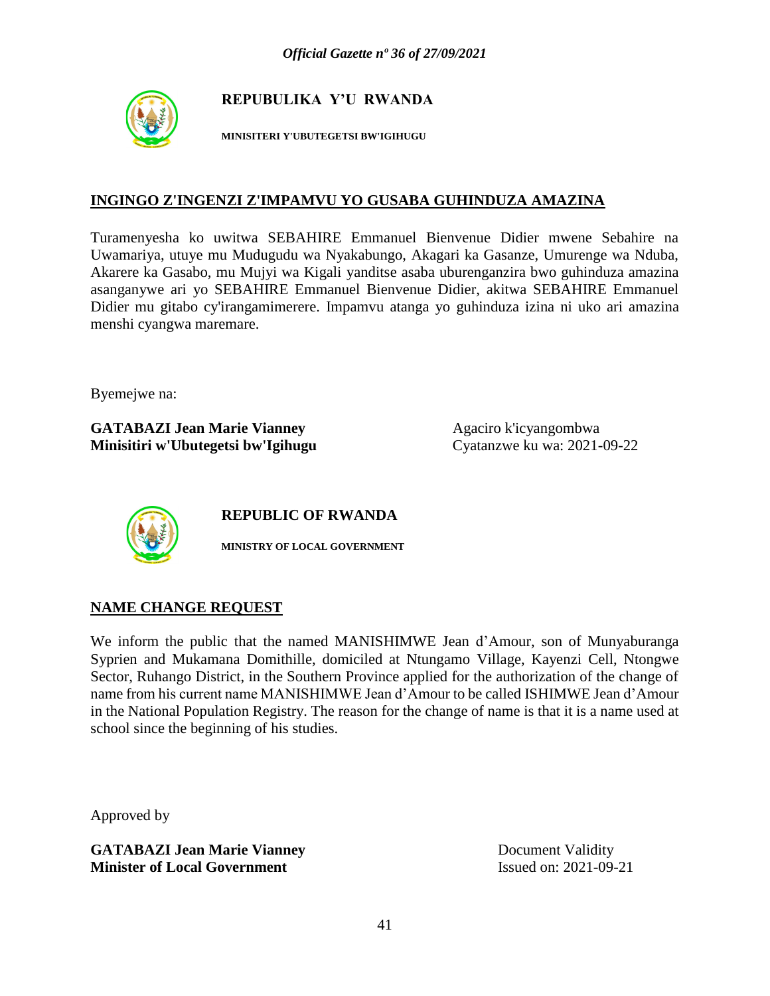

**MINISITERI Y'UBUTEGETSI BW'IGIHUGU**

#### **INGINGO Z'INGENZI Z'IMPAMVU YO GUSABA GUHINDUZA AMAZINA**

Turamenyesha ko uwitwa SEBAHIRE Emmanuel Bienvenue Didier mwene Sebahire na Uwamariya, utuye mu Mudugudu wa Nyakabungo, Akagari ka Gasanze, Umurenge wa Nduba, Akarere ka Gasabo, mu Mujyi wa Kigali yanditse asaba uburenganzira bwo guhinduza amazina asanganywe ari yo SEBAHIRE Emmanuel Bienvenue Didier, akitwa SEBAHIRE Emmanuel Didier mu gitabo cy'irangamimerere. Impamvu atanga yo guhinduza izina ni uko ari amazina menshi cyangwa maremare.

Byemejwe na:

**GATABAZI Jean Marie Vianney** Agaciro k'icyangombwa **Minisitiri w'Ubutegetsi bw'Igihugu** Cyatanzwe ku wa: 2021-09-22



**REPUBLIC OF RWANDA**

**MINISTRY OF LOCAL GOVERNMENT**

#### **NAME CHANGE REQUEST**

We inform the public that the named MANISHIMWE Jean d'Amour, son of Munyaburanga Syprien and Mukamana Domithille, domiciled at Ntungamo Village, Kayenzi Cell, Ntongwe Sector, Ruhango District, in the Southern Province applied for the authorization of the change of name from his current name MANISHIMWE Jean d'Amour to be called ISHIMWE Jean d'Amour in the National Population Registry. The reason for the change of name is that it is a name used at school since the beginning of his studies.

Approved by

**GATABAZI Jean Marie Vianney** Document Validity **Minister of Local Government** Issued on: 2021-09-21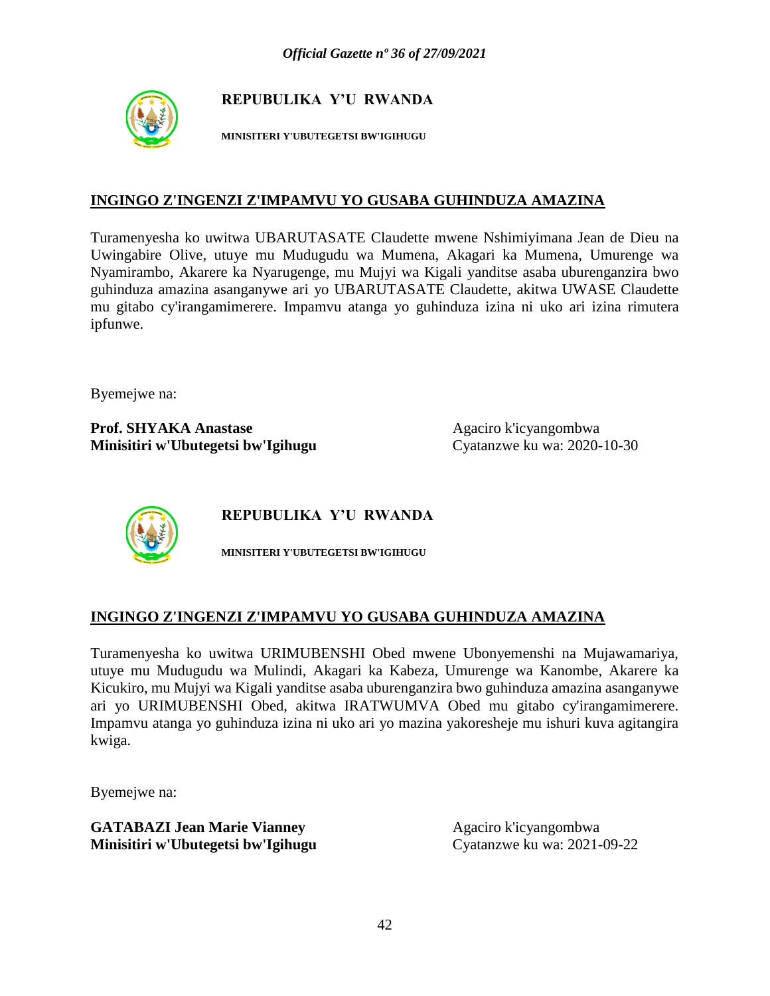

**MINISITERI Y'UBUTEGETSI BW'IGIHUGU**

#### **INGINGO Z'INGENZI Z'IMPAMVU YO GUSABA GUHINDUZA AMAZINA**

Turamenyesha ko uwitwa UBARUTASATE Claudette mwene Nshimiyimana Jean de Dieu na Uwingabire Olive, utuye mu Mudugudu wa Mumena, Akagari ka Mumena, Umurenge wa Nyamirambo, Akarere ka Nyarugenge, mu Mujyi wa Kigali yanditse asaba uburenganzira bwo guhinduza amazina asanganywe ari yo UBARUTASATE Claudette, akitwa UWASE Claudette mu gitabo cy'irangamimerere. Impamvu atanga yo guhinduza izina ni uko ari izina rimutera ipfunwe.

Byemejwe na:

**Prof. SHYAKA Anastase** Agaciro k'icyangombwa **Minisitiri w'Ubutegetsi bw'Igihugu** Cyatanzwe ku wa: 2020-10-30



**REPUBULIKA Y'U RWANDA**

**MINISITERI Y'UBUTEGETSI BW'IGIHUGU**

#### **INGINGO Z'INGENZI Z'IMPAMVU YO GUSABA GUHINDUZA AMAZINA**

Turamenyesha ko uwitwa URIMUBENSHI Obed mwene Ubonyemenshi na Mujawamariya, utuye mu Mudugudu wa Mulindi, Akagari ka Kabeza, Umurenge wa Kanombe, Akarere ka Kicukiro, mu Mujyi wa Kigali yanditse asaba uburenganzira bwo guhinduza amazina asanganywe ari yo URIMUBENSHI Obed, akitwa IRATWUMVA Obed mu gitabo cy'irangamimerere. Impamvu atanga yo guhinduza izina ni uko ari yo mazina yakoresheje mu ishuri kuva agitangira kwiga.

Byemejwe na: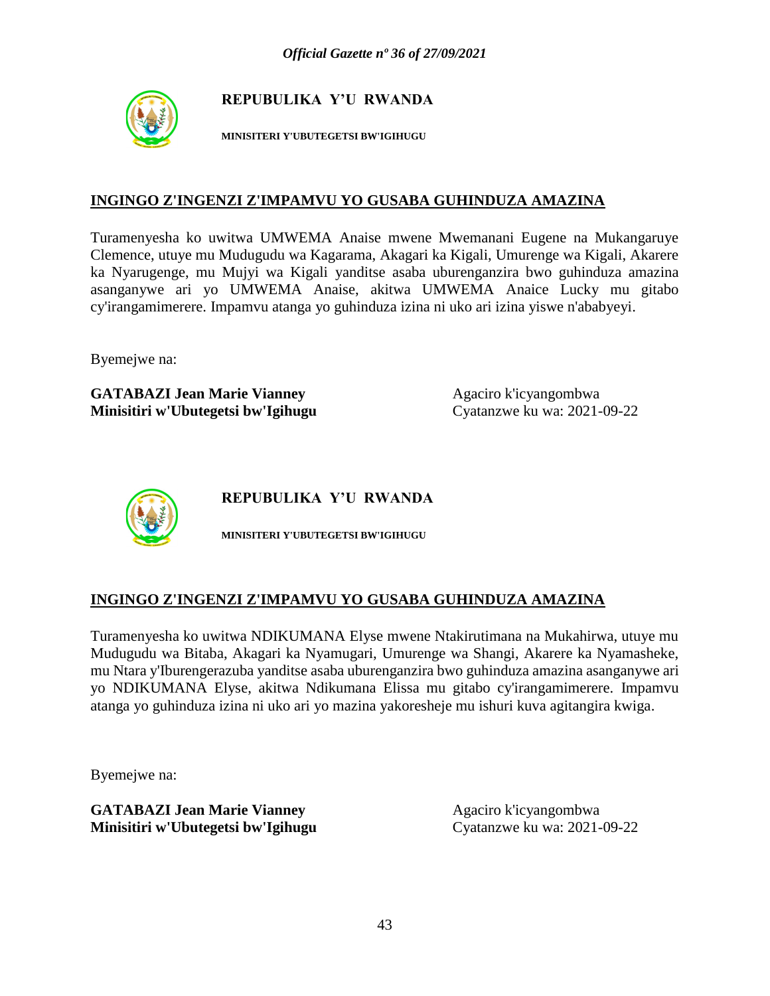

**MINISITERI Y'UBUTEGETSI BW'IGIHUGU**

#### **INGINGO Z'INGENZI Z'IMPAMVU YO GUSABA GUHINDUZA AMAZINA**

Turamenyesha ko uwitwa UMWEMA Anaise mwene Mwemanani Eugene na Mukangaruye Clemence, utuye mu Mudugudu wa Kagarama, Akagari ka Kigali, Umurenge wa Kigali, Akarere ka Nyarugenge, mu Mujyi wa Kigali yanditse asaba uburenganzira bwo guhinduza amazina asanganywe ari yo UMWEMA Anaise, akitwa UMWEMA Anaice Lucky mu gitabo cy'irangamimerere. Impamvu atanga yo guhinduza izina ni uko ari izina yiswe n'ababyeyi.

Byemejwe na:

**GATABAZI Jean Marie Vianney** Agaciro k'icyangombwa **Minisitiri w'Ubutegetsi bw'Igihugu** Cyatanzwe ku wa: 2021-09-22



**REPUBULIKA Y'U RWANDA**

**MINISITERI Y'UBUTEGETSI BW'IGIHUGU**

#### **INGINGO Z'INGENZI Z'IMPAMVU YO GUSABA GUHINDUZA AMAZINA**

Turamenyesha ko uwitwa NDIKUMANA Elyse mwene Ntakirutimana na Mukahirwa, utuye mu Mudugudu wa Bitaba, Akagari ka Nyamugari, Umurenge wa Shangi, Akarere ka Nyamasheke, mu Ntara y'Iburengerazuba yanditse asaba uburenganzira bwo guhinduza amazina asanganywe ari yo NDIKUMANA Elyse, akitwa Ndikumana Elissa mu gitabo cy'irangamimerere. Impamvu atanga yo guhinduza izina ni uko ari yo mazina yakoresheje mu ishuri kuva agitangira kwiga.

Byemejwe na: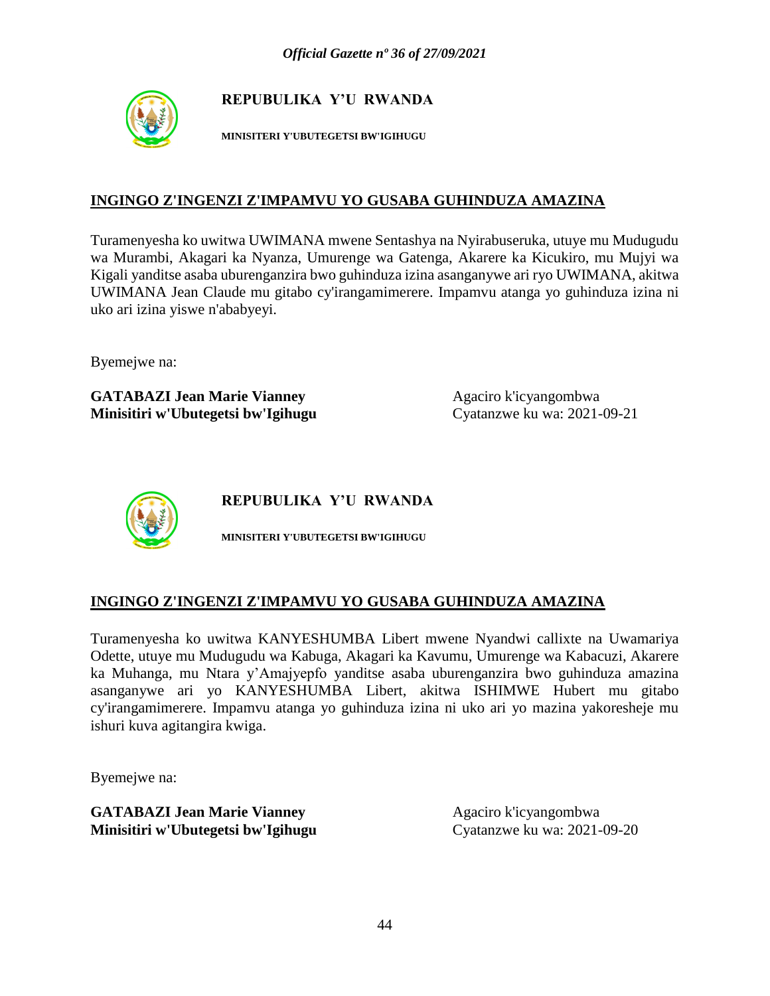

**MINISITERI Y'UBUTEGETSI BW'IGIHUGU**

### **INGINGO Z'INGENZI Z'IMPAMVU YO GUSABA GUHINDUZA AMAZINA**

Turamenyesha ko uwitwa UWIMANA mwene Sentashya na Nyirabuseruka, utuye mu Mudugudu wa Murambi, Akagari ka Nyanza, Umurenge wa Gatenga, Akarere ka Kicukiro, mu Mujyi wa Kigali yanditse asaba uburenganzira bwo guhinduza izina asanganywe ari ryo UWIMANA, akitwa UWIMANA Jean Claude mu gitabo cy'irangamimerere. Impamvu atanga yo guhinduza izina ni uko ari izina yiswe n'ababyeyi.

Byemejwe na:

**GATABAZI Jean Marie Vianney** Agaciro k'icyangombwa **Minisitiri w'Ubutegetsi bw'Igihugu** Cyatanzwe ku wa: 2021-09-21



**REPUBULIKA Y'U RWANDA**

**MINISITERI Y'UBUTEGETSI BW'IGIHUGU**

#### **INGINGO Z'INGENZI Z'IMPAMVU YO GUSABA GUHINDUZA AMAZINA**

Turamenyesha ko uwitwa KANYESHUMBA Libert mwene Nyandwi callixte na Uwamariya Odette, utuye mu Mudugudu wa Kabuga, Akagari ka Kavumu, Umurenge wa Kabacuzi, Akarere ka Muhanga, mu Ntara y'Amajyepfo yanditse asaba uburenganzira bwo guhinduza amazina asanganywe ari yo KANYESHUMBA Libert, akitwa ISHIMWE Hubert mu gitabo cy'irangamimerere. Impamvu atanga yo guhinduza izina ni uko ari yo mazina yakoresheje mu ishuri kuva agitangira kwiga.

Byemejwe na: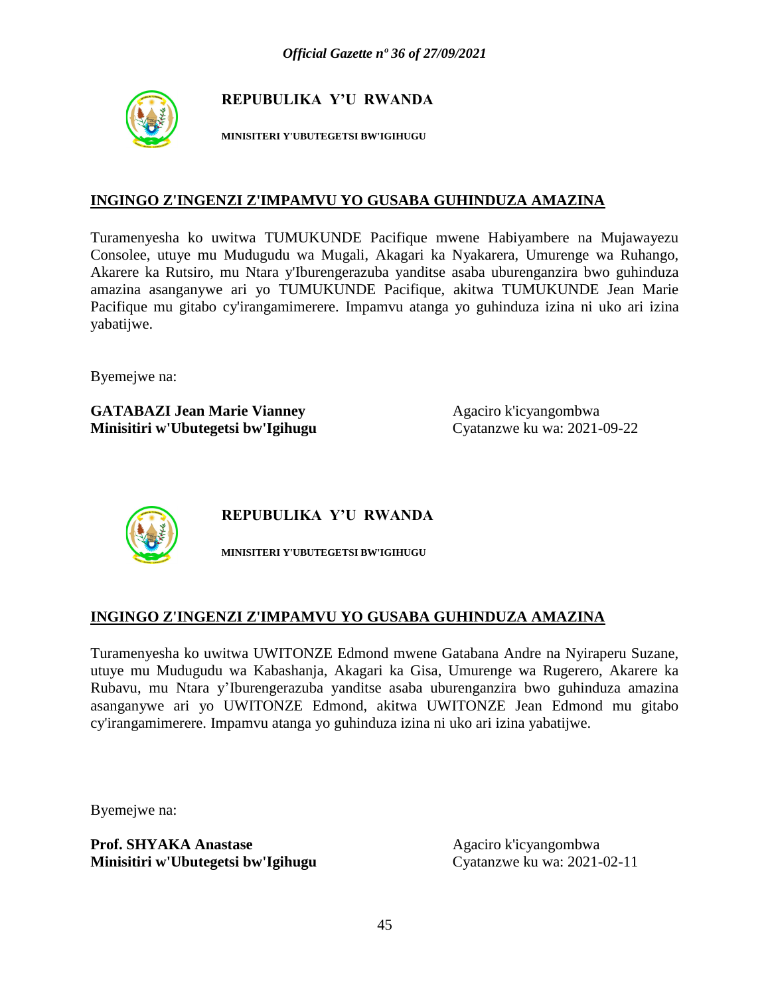

**MINISITERI Y'UBUTEGETSI BW'IGIHUGU**

#### **INGINGO Z'INGENZI Z'IMPAMVU YO GUSABA GUHINDUZA AMAZINA**

Turamenyesha ko uwitwa TUMUKUNDE Pacifique mwene Habiyambere na Mujawayezu Consolee, utuye mu Mudugudu wa Mugali, Akagari ka Nyakarera, Umurenge wa Ruhango, Akarere ka Rutsiro, mu Ntara y'Iburengerazuba yanditse asaba uburenganzira bwo guhinduza amazina asanganywe ari yo TUMUKUNDE Pacifique, akitwa TUMUKUNDE Jean Marie Pacifique mu gitabo cy'irangamimerere. Impamvu atanga yo guhinduza izina ni uko ari izina yabatijwe.

Byemejwe na:

**GATABAZI Jean Marie Vianney Agaciro k'icyangombwa Minisitiri w'Ubutegetsi bw'Igihugu** Cyatanzwe ku wa: 2021-09-22



**REPUBULIKA Y'U RWANDA**

**MINISITERI Y'UBUTEGETSI BW'IGIHUGU**

#### **INGINGO Z'INGENZI Z'IMPAMVU YO GUSABA GUHINDUZA AMAZINA**

Turamenyesha ko uwitwa UWITONZE Edmond mwene Gatabana Andre na Nyiraperu Suzane, utuye mu Mudugudu wa Kabashanja, Akagari ka Gisa, Umurenge wa Rugerero, Akarere ka Rubavu, mu Ntara y'Iburengerazuba yanditse asaba uburenganzira bwo guhinduza amazina asanganywe ari yo UWITONZE Edmond, akitwa UWITONZE Jean Edmond mu gitabo cy'irangamimerere. Impamvu atanga yo guhinduza izina ni uko ari izina yabatijwe.

Byemejwe na:

**Prof. SHYAKA Anastase** Agaciro k'icyangombwa **Minisitiri w'Ubutegetsi bw'Igihugu** Cyatanzwe ku wa: 2021-02-11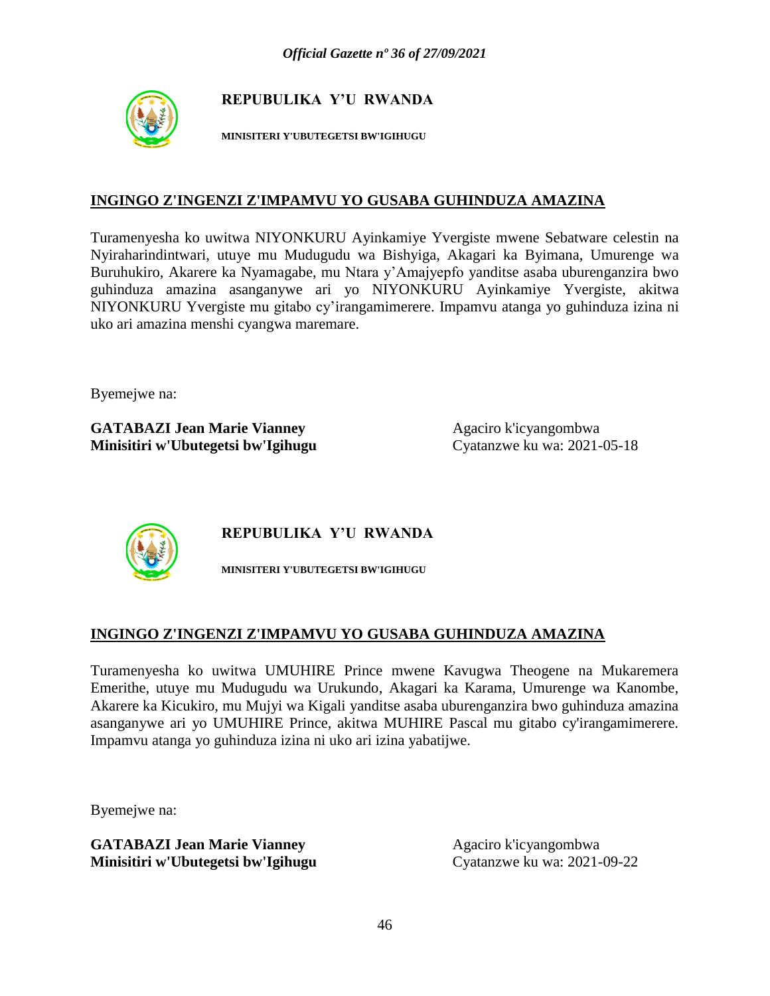

**MINISITERI Y'UBUTEGETSI BW'IGIHUGU**

#### **INGINGO Z'INGENZI Z'IMPAMVU YO GUSABA GUHINDUZA AMAZINA**

Turamenyesha ko uwitwa NIYONKURU Ayinkamiye Yvergiste mwene Sebatware celestin na Nyiraharindintwari, utuye mu Mudugudu wa Bishyiga, Akagari ka Byimana, Umurenge wa Buruhukiro, Akarere ka Nyamagabe, mu Ntara y'Amajyepfo yanditse asaba uburenganzira bwo guhinduza amazina asanganywe ari yo NIYONKURU Ayinkamiye Yvergiste, akitwa NIYONKURU Yvergiste mu gitabo cy'irangamimerere. Impamvu atanga yo guhinduza izina ni uko ari amazina menshi cyangwa maremare.

Byemejwe na:

**GATABAZI Jean Marie Vianney** Agaciro k'icyangombwa **Minisitiri w'Ubutegetsi bw'Igihugu** Cyatanzwe ku wa: 2021-05-18



**REPUBULIKA Y'U RWANDA**

**MINISITERI Y'UBUTEGETSI BW'IGIHUGU**

#### **INGINGO Z'INGENZI Z'IMPAMVU YO GUSABA GUHINDUZA AMAZINA**

Turamenyesha ko uwitwa UMUHIRE Prince mwene Kavugwa Theogene na Mukaremera Emerithe, utuye mu Mudugudu wa Urukundo, Akagari ka Karama, Umurenge wa Kanombe, Akarere ka Kicukiro, mu Mujyi wa Kigali yanditse asaba uburenganzira bwo guhinduza amazina asanganywe ari yo UMUHIRE Prince, akitwa MUHIRE Pascal mu gitabo cy'irangamimerere. Impamvu atanga yo guhinduza izina ni uko ari izina yabatijwe.

Byemejwe na: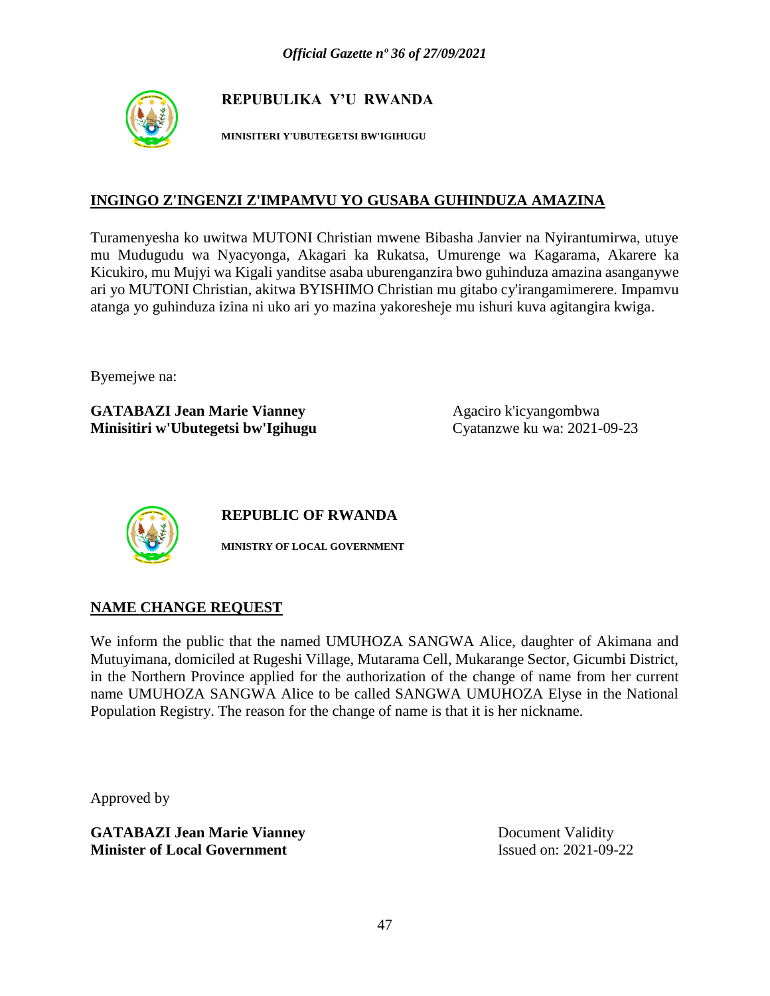

**MINISITERI Y'UBUTEGETSI BW'IGIHUGU**

#### **INGINGO Z'INGENZI Z'IMPAMVU YO GUSABA GUHINDUZA AMAZINA**

Turamenyesha ko uwitwa MUTONI Christian mwene Bibasha Janvier na Nyirantumirwa, utuye mu Mudugudu wa Nyacyonga, Akagari ka Rukatsa, Umurenge wa Kagarama, Akarere ka Kicukiro, mu Mujyi wa Kigali yanditse asaba uburenganzira bwo guhinduza amazina asanganywe ari yo MUTONI Christian, akitwa BYISHIMO Christian mu gitabo cy'irangamimerere. Impamvu atanga yo guhinduza izina ni uko ari yo mazina yakoresheje mu ishuri kuva agitangira kwiga.

Byemejwe na:

**GATABAZI Jean Marie Vianney** Agaciro k'icyangombwa **Minisitiri w'Ubutegetsi bw'Igihugu** Cyatanzwe ku wa: 2021-09-23



**REPUBLIC OF RWANDA**

**MINISTRY OF LOCAL GOVERNMENT**

#### **NAME CHANGE REQUEST**

We inform the public that the named UMUHOZA SANGWA Alice, daughter of Akimana and Mutuyimana, domiciled at Rugeshi Village, Mutarama Cell, Mukarange Sector, Gicumbi District, in the Northern Province applied for the authorization of the change of name from her current name UMUHOZA SANGWA Alice to be called SANGWA UMUHOZA Elyse in the National Population Registry. The reason for the change of name is that it is her nickname.

Approved by

**GATABAZI Jean Marie Vianney** Document Validity **Minister of Local Government** Issued on: 2021-09-22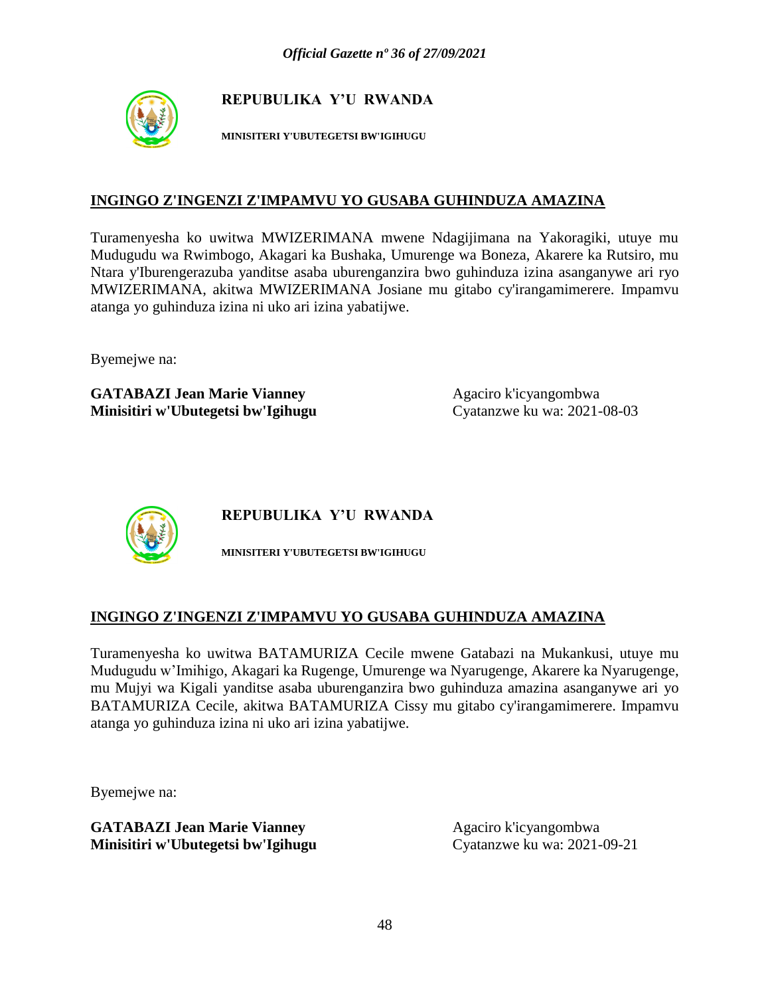

**MINISITERI Y'UBUTEGETSI BW'IGIHUGU**

### **INGINGO Z'INGENZI Z'IMPAMVU YO GUSABA GUHINDUZA AMAZINA**

Turamenyesha ko uwitwa MWIZERIMANA mwene Ndagijimana na Yakoragiki, utuye mu Mudugudu wa Rwimbogo, Akagari ka Bushaka, Umurenge wa Boneza, Akarere ka Rutsiro, mu Ntara y'Iburengerazuba yanditse asaba uburenganzira bwo guhinduza izina asanganywe ari ryo MWIZERIMANA, akitwa MWIZERIMANA Josiane mu gitabo cy'irangamimerere. Impamvu atanga yo guhinduza izina ni uko ari izina yabatijwe.

Byemejwe na:

**GATABAZI Jean Marie Vianney** Agaciro k'icyangombwa **Minisitiri w'Ubutegetsi bw'Igihugu** Cyatanzwe ku wa: 2021-08-03



**REPUBULIKA Y'U RWANDA**

**MINISITERI Y'UBUTEGETSI BW'IGIHUGU**

# **INGINGO Z'INGENZI Z'IMPAMVU YO GUSABA GUHINDUZA AMAZINA**

Turamenyesha ko uwitwa BATAMURIZA Cecile mwene Gatabazi na Mukankusi, utuye mu Mudugudu w'Imihigo, Akagari ka Rugenge, Umurenge wa Nyarugenge, Akarere ka Nyarugenge, mu Mujyi wa Kigali yanditse asaba uburenganzira bwo guhinduza amazina asanganywe ari yo BATAMURIZA Cecile, akitwa BATAMURIZA Cissy mu gitabo cy'irangamimerere. Impamvu atanga yo guhinduza izina ni uko ari izina yabatijwe.

Byemejwe na: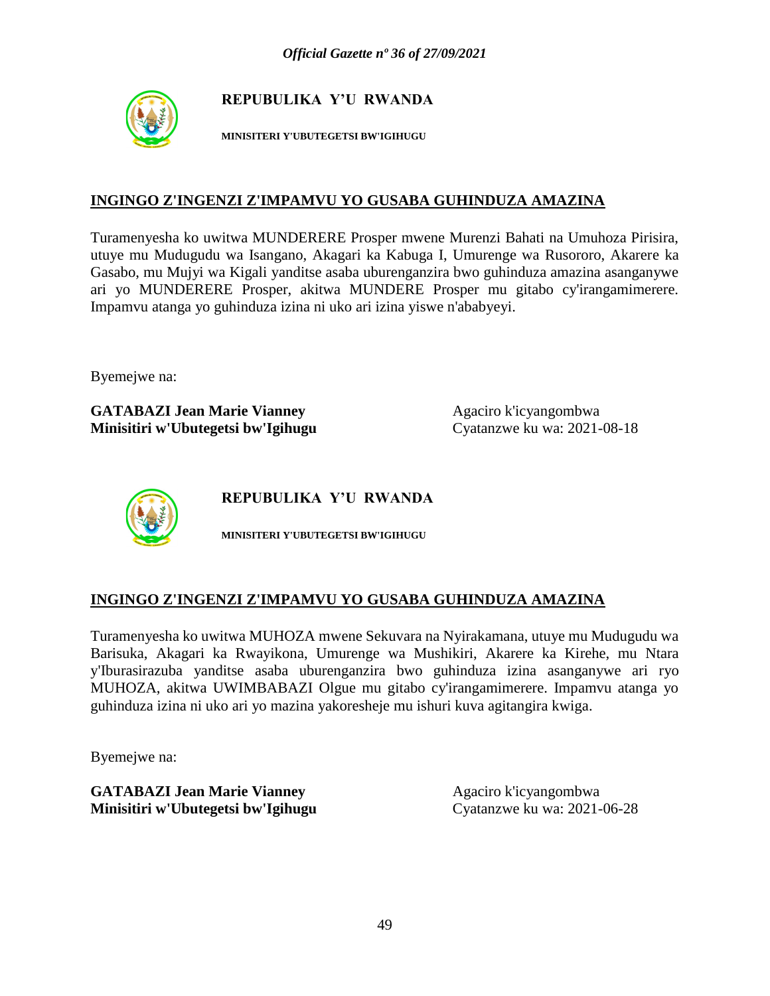

**MINISITERI Y'UBUTEGETSI BW'IGIHUGU**

#### **INGINGO Z'INGENZI Z'IMPAMVU YO GUSABA GUHINDUZA AMAZINA**

Turamenyesha ko uwitwa MUNDERERE Prosper mwene Murenzi Bahati na Umuhoza Pirisira, utuye mu Mudugudu wa Isangano, Akagari ka Kabuga I, Umurenge wa Rusororo, Akarere ka Gasabo, mu Mujyi wa Kigali yanditse asaba uburenganzira bwo guhinduza amazina asanganywe ari yo MUNDERERE Prosper, akitwa MUNDERE Prosper mu gitabo cy'irangamimerere. Impamvu atanga yo guhinduza izina ni uko ari izina yiswe n'ababyeyi.

Byemejwe na:

**GATABAZI Jean Marie Vianney** Agaciro k'icyangombwa **Minisitiri w'Ubutegetsi bw'Igihugu** Cyatanzwe ku wa: 2021-08-18



**REPUBULIKA Y'U RWANDA**

**MINISITERI Y'UBUTEGETSI BW'IGIHUGU**

#### **INGINGO Z'INGENZI Z'IMPAMVU YO GUSABA GUHINDUZA AMAZINA**

Turamenyesha ko uwitwa MUHOZA mwene Sekuvara na Nyirakamana, utuye mu Mudugudu wa Barisuka, Akagari ka Rwayikona, Umurenge wa Mushikiri, Akarere ka Kirehe, mu Ntara y'Iburasirazuba yanditse asaba uburenganzira bwo guhinduza izina asanganywe ari ryo MUHOZA, akitwa UWIMBABAZI Olgue mu gitabo cy'irangamimerere. Impamvu atanga yo guhinduza izina ni uko ari yo mazina yakoresheje mu ishuri kuva agitangira kwiga.

Byemejwe na: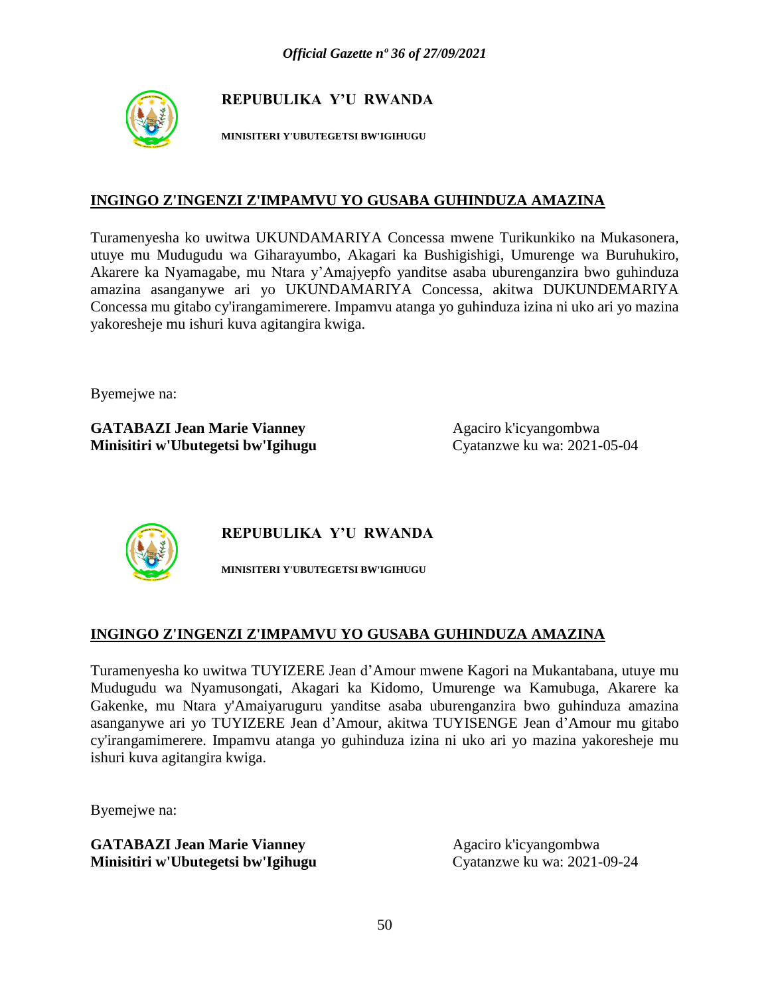

**MINISITERI Y'UBUTEGETSI BW'IGIHUGU**

#### **INGINGO Z'INGENZI Z'IMPAMVU YO GUSABA GUHINDUZA AMAZINA**

Turamenyesha ko uwitwa UKUNDAMARIYA Concessa mwene Turikunkiko na Mukasonera, utuye mu Mudugudu wa Giharayumbo, Akagari ka Bushigishigi, Umurenge wa Buruhukiro, Akarere ka Nyamagabe, mu Ntara y'Amajyepfo yanditse asaba uburenganzira bwo guhinduza amazina asanganywe ari yo UKUNDAMARIYA Concessa, akitwa DUKUNDEMARIYA Concessa mu gitabo cy'irangamimerere. Impamvu atanga yo guhinduza izina ni uko ari yo mazina yakoresheje mu ishuri kuva agitangira kwiga.

Byemejwe na:

**GATABAZI Jean Marie Vianney** Agaciro k'icyangombwa **Minisitiri w'Ubutegetsi bw'Igihugu** Cyatanzwe ku wa: 2021-05-04



**REPUBULIKA Y'U RWANDA**

**MINISITERI Y'UBUTEGETSI BW'IGIHUGU**

# **INGINGO Z'INGENZI Z'IMPAMVU YO GUSABA GUHINDUZA AMAZINA**

Turamenyesha ko uwitwa TUYIZERE Jean d'Amour mwene Kagori na Mukantabana, utuye mu Mudugudu wa Nyamusongati, Akagari ka Kidomo, Umurenge wa Kamubuga, Akarere ka Gakenke, mu Ntara y'Amaiyaruguru yanditse asaba uburenganzira bwo guhinduza amazina asanganywe ari yo TUYIZERE Jean d'Amour, akitwa TUYISENGE Jean d'Amour mu gitabo cy'irangamimerere. Impamvu atanga yo guhinduza izina ni uko ari yo mazina yakoresheje mu ishuri kuva agitangira kwiga.

Byemejwe na: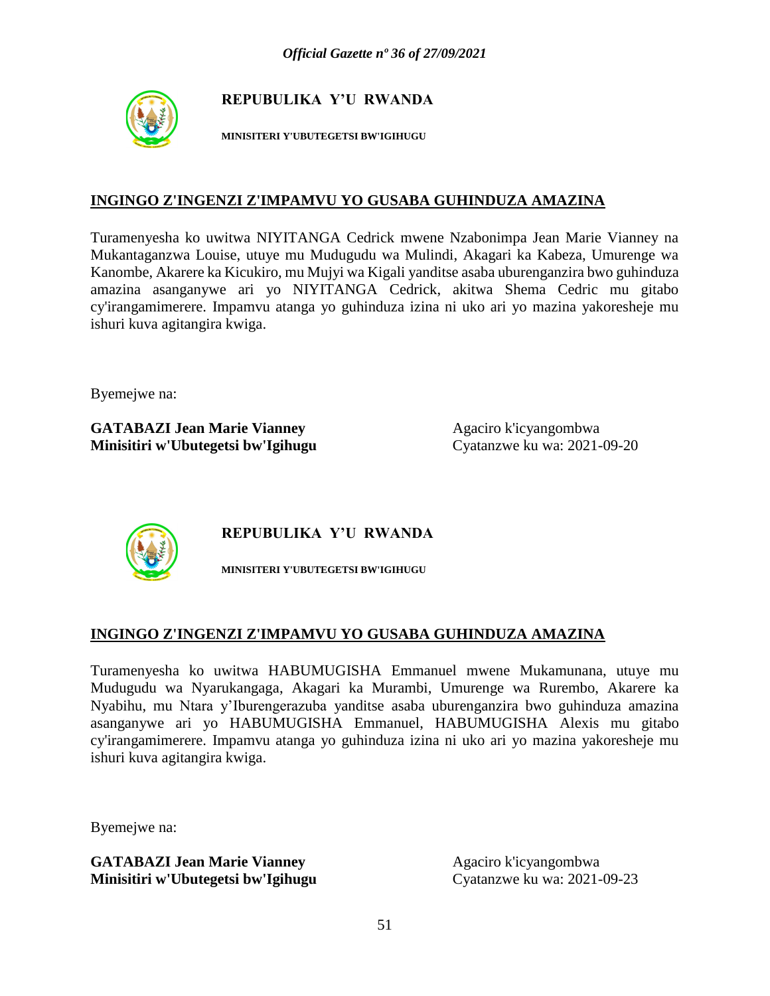

**MINISITERI Y'UBUTEGETSI BW'IGIHUGU**

#### **INGINGO Z'INGENZI Z'IMPAMVU YO GUSABA GUHINDUZA AMAZINA**

Turamenyesha ko uwitwa NIYITANGA Cedrick mwene Nzabonimpa Jean Marie Vianney na Mukantaganzwa Louise, utuye mu Mudugudu wa Mulindi, Akagari ka Kabeza, Umurenge wa Kanombe, Akarere ka Kicukiro, mu Mujyi wa Kigali yanditse asaba uburenganzira bwo guhinduza amazina asanganywe ari yo NIYITANGA Cedrick, akitwa Shema Cedric mu gitabo cy'irangamimerere. Impamvu atanga yo guhinduza izina ni uko ari yo mazina yakoresheje mu ishuri kuva agitangira kwiga.

Byemejwe na:

**GATABAZI Jean Marie Vianney** Agaciro k'icyangombwa **Minisitiri w'Ubutegetsi bw'Igihugu** Cyatanzwe ku wa: 2021-09-20



**REPUBULIKA Y'U RWANDA**

**MINISITERI Y'UBUTEGETSI BW'IGIHUGU**

# **INGINGO Z'INGENZI Z'IMPAMVU YO GUSABA GUHINDUZA AMAZINA**

Turamenyesha ko uwitwa HABUMUGISHA Emmanuel mwene Mukamunana, utuye mu Mudugudu wa Nyarukangaga, Akagari ka Murambi, Umurenge wa Rurembo, Akarere ka Nyabihu, mu Ntara y'Iburengerazuba yanditse asaba uburenganzira bwo guhinduza amazina asanganywe ari yo HABUMUGISHA Emmanuel, HABUMUGISHA Alexis mu gitabo cy'irangamimerere. Impamvu atanga yo guhinduza izina ni uko ari yo mazina yakoresheje mu ishuri kuva agitangira kwiga.

Byemejwe na: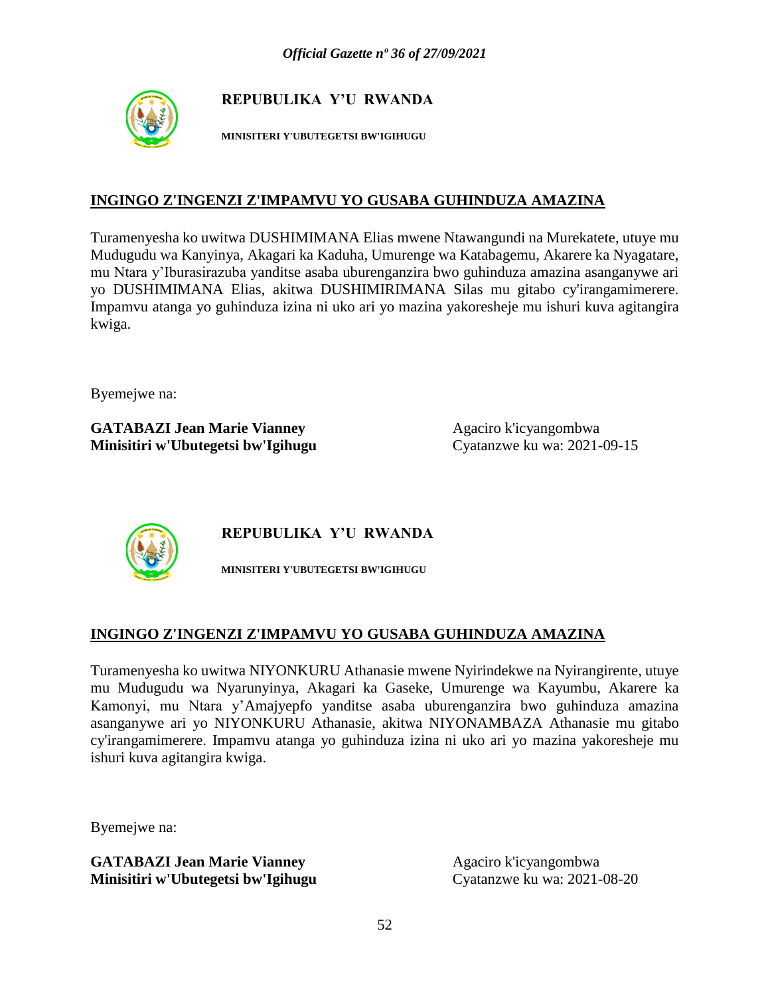

**MINISITERI Y'UBUTEGETSI BW'IGIHUGU**

### **INGINGO Z'INGENZI Z'IMPAMVU YO GUSABA GUHINDUZA AMAZINA**

Turamenyesha ko uwitwa DUSHIMIMANA Elias mwene Ntawangundi na Murekatete, utuye mu Mudugudu wa Kanyinya, Akagari ka Kaduha, Umurenge wa Katabagemu, Akarere ka Nyagatare, mu Ntara y'Iburasirazuba yanditse asaba uburenganzira bwo guhinduza amazina asanganywe ari yo DUSHIMIMANA Elias, akitwa DUSHIMIRIMANA Silas mu gitabo cy'irangamimerere. Impamvu atanga yo guhinduza izina ni uko ari yo mazina yakoresheje mu ishuri kuva agitangira kwiga.

Byemejwe na:

**GATABAZI Jean Marie Vianney** Agaciro k'icyangombwa **Minisitiri w'Ubutegetsi bw'Igihugu** Cyatanzwe ku wa: 2021-09-15



**REPUBULIKA Y'U RWANDA**

**MINISITERI Y'UBUTEGETSI BW'IGIHUGU**

# **INGINGO Z'INGENZI Z'IMPAMVU YO GUSABA GUHINDUZA AMAZINA**

Turamenyesha ko uwitwa NIYONKURU Athanasie mwene Nyirindekwe na Nyirangirente, utuye mu Mudugudu wa Nyarunyinya, Akagari ka Gaseke, Umurenge wa Kayumbu, Akarere ka Kamonyi, mu Ntara y'Amajyepfo yanditse asaba uburenganzira bwo guhinduza amazina asanganywe ari yo NIYONKURU Athanasie, akitwa NIYONAMBAZA Athanasie mu gitabo cy'irangamimerere. Impamvu atanga yo guhinduza izina ni uko ari yo mazina yakoresheje mu ishuri kuva agitangira kwiga.

Byemejwe na: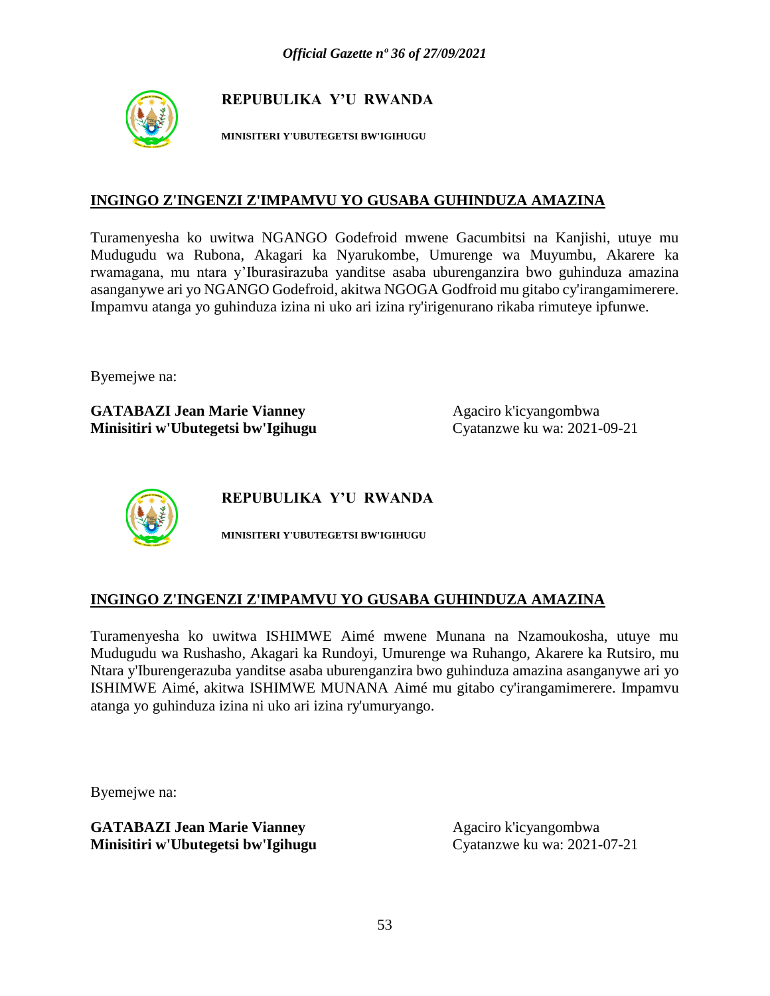

**MINISITERI Y'UBUTEGETSI BW'IGIHUGU**

#### **INGINGO Z'INGENZI Z'IMPAMVU YO GUSABA GUHINDUZA AMAZINA**

Turamenyesha ko uwitwa NGANGO Godefroid mwene Gacumbitsi na Kanjishi, utuye mu Mudugudu wa Rubona, Akagari ka Nyarukombe, Umurenge wa Muyumbu, Akarere ka rwamagana, mu ntara y'Iburasirazuba yanditse asaba uburenganzira bwo guhinduza amazina asanganywe ari yo NGANGO Godefroid, akitwa NGOGA Godfroid mu gitabo cy'irangamimerere. Impamvu atanga yo guhinduza izina ni uko ari izina ry'irigenurano rikaba rimuteye ipfunwe.

Byemejwe na:

**GATABAZI Jean Marie Vianney** Agaciro k'icyangombwa **Minisitiri w'Ubutegetsi bw'Igihugu** Cyatanzwe ku wa: 2021-09-21



**REPUBULIKA Y'U RWANDA**

**MINISITERI Y'UBUTEGETSI BW'IGIHUGU**

#### **INGINGO Z'INGENZI Z'IMPAMVU YO GUSABA GUHINDUZA AMAZINA**

Turamenyesha ko uwitwa ISHIMWE Aimé mwene Munana na Nzamoukosha, utuye mu Mudugudu wa Rushasho, Akagari ka Rundoyi, Umurenge wa Ruhango, Akarere ka Rutsiro, mu Ntara y'Iburengerazuba yanditse asaba uburenganzira bwo guhinduza amazina asanganywe ari yo ISHIMWE Aimé, akitwa ISHIMWE MUNANA Aimé mu gitabo cy'irangamimerere. Impamvu atanga yo guhinduza izina ni uko ari izina ry'umuryango.

Byemejwe na: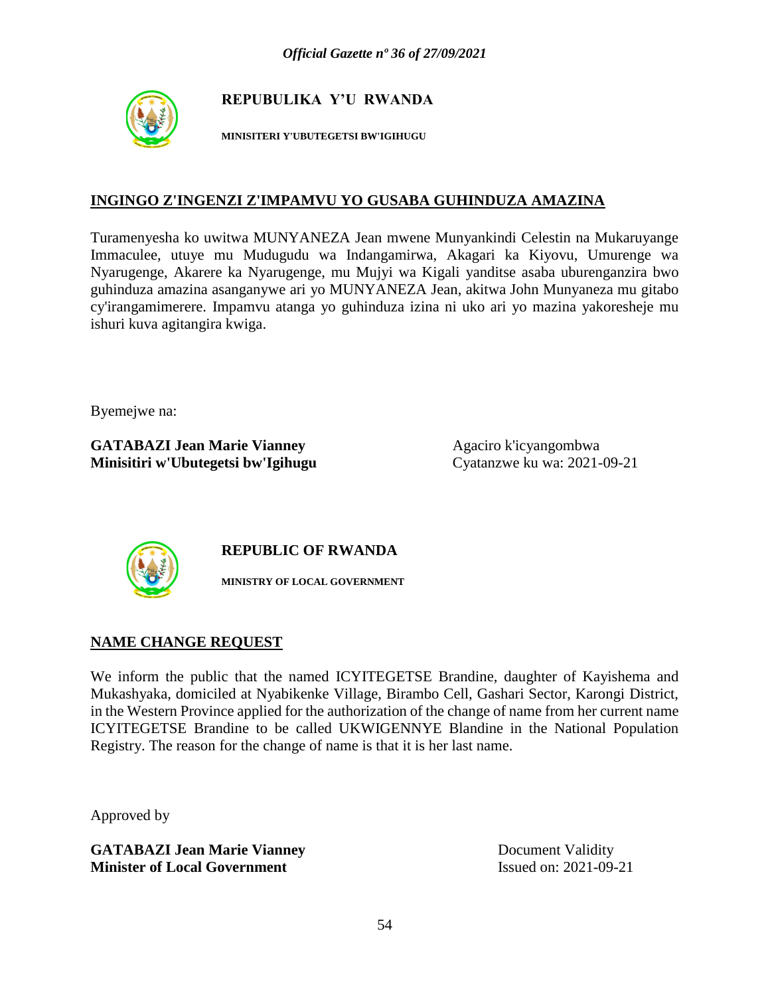

**MINISITERI Y'UBUTEGETSI BW'IGIHUGU**

#### **INGINGO Z'INGENZI Z'IMPAMVU YO GUSABA GUHINDUZA AMAZINA**

Turamenyesha ko uwitwa MUNYANEZA Jean mwene Munyankindi Celestin na Mukaruyange Immaculee, utuye mu Mudugudu wa Indangamirwa, Akagari ka Kiyovu, Umurenge wa Nyarugenge, Akarere ka Nyarugenge, mu Mujyi wa Kigali yanditse asaba uburenganzira bwo guhinduza amazina asanganywe ari yo MUNYANEZA Jean, akitwa John Munyaneza mu gitabo cy'irangamimerere. Impamvu atanga yo guhinduza izina ni uko ari yo mazina yakoresheje mu ishuri kuva agitangira kwiga.

Byemejwe na:

**GATABAZI Jean Marie Vianney** Agaciro k'icyangombwa **Minisitiri w'Ubutegetsi bw'Igihugu** Cyatanzwe ku wa: 2021-09-21



**REPUBLIC OF RWANDA**

**MINISTRY OF LOCAL GOVERNMENT**

#### **NAME CHANGE REQUEST**

We inform the public that the named ICYITEGETSE Brandine, daughter of Kayishema and Mukashyaka, domiciled at Nyabikenke Village, Birambo Cell, Gashari Sector, Karongi District, in the Western Province applied for the authorization of the change of name from her current name ICYITEGETSE Brandine to be called UKWIGENNYE Blandine in the National Population Registry. The reason for the change of name is that it is her last name.

Approved by

**GATABAZI Jean Marie Vianney** Document Validity **Minister of Local Government** Issued on: 2021-09-21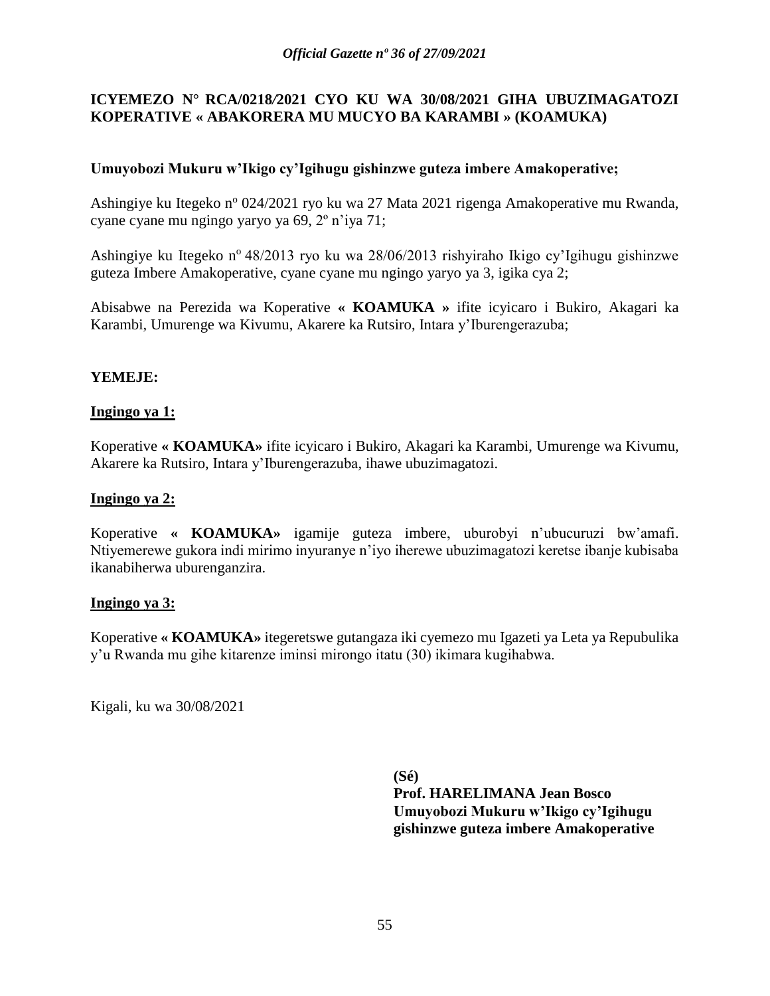#### **ICYEMEZO N° RCA/0218***/***2021 CYO KU WA 30/08/2021 GIHA UBUZIMAGATOZI KOPERATIVE « ABAKORERA MU MUCYO BA KARAMBI » (KOAMUKA)**

#### **Umuyobozi Mukuru w'Ikigo cy'Igihugu gishinzwe guteza imbere Amakoperative;**

Ashingiye ku Itegeko n<sup>o</sup> 024/2021 ryo ku wa 27 Mata 2021 rigenga Amakoperative mu Rwanda, cyane cyane mu ngingo yaryo ya 69, 2º n'iya 71;

Ashingiye ku Itegeko nº 48/2013 ryo ku wa 28/06/2013 rishyiraho Ikigo cy'Igihugu gishinzwe guteza Imbere Amakoperative, cyane cyane mu ngingo yaryo ya 3, igika cya 2;

Abisabwe na Perezida wa Koperative **« KOAMUKA »** ifite icyicaro i Bukiro, Akagari ka Karambi, Umurenge wa Kivumu, Akarere ka Rutsiro, Intara y'Iburengerazuba;

#### **YEMEJE:**

#### **Ingingo ya 1:**

Koperative **« KOAMUKA»** ifite icyicaro i Bukiro, Akagari ka Karambi, Umurenge wa Kivumu, Akarere ka Rutsiro, Intara y'Iburengerazuba, ihawe ubuzimagatozi.

#### **Ingingo ya 2:**

Koperative **« KOAMUKA»** igamije guteza imbere, uburobyi n'ubucuruzi bw'amafi. Ntiyemerewe gukora indi mirimo inyuranye n'iyo iherewe ubuzimagatozi keretse ibanje kubisaba ikanabiherwa uburenganzira.

#### **Ingingo ya 3:**

Koperative **« KOAMUKA»** itegeretswe gutangaza iki cyemezo mu Igazeti ya Leta ya Repubulika y'u Rwanda mu gihe kitarenze iminsi mirongo itatu (30) ikimara kugihabwa.

Kigali, ku wa 30/08/2021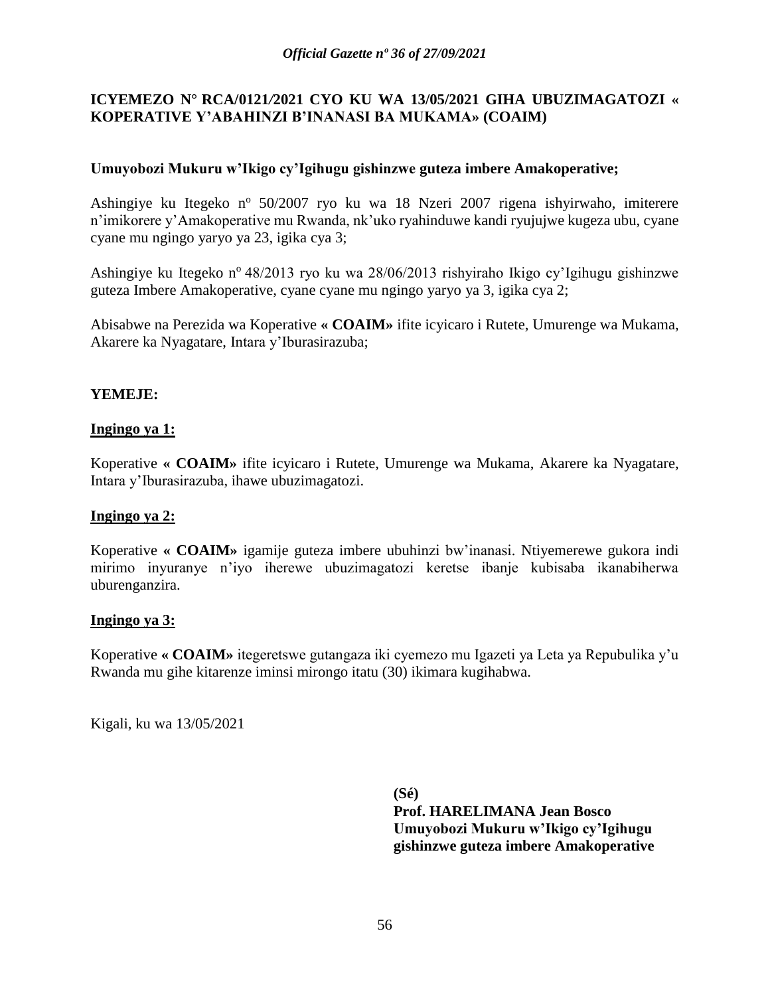### **ICYEMEZO N° RCA/0121***/***2021 CYO KU WA 13/05/2021 GIHA UBUZIMAGATOZI « KOPERATIVE Y'ABAHINZI B'INANASI BA MUKAMA» (COAIM)**

#### **Umuyobozi Mukuru w'Ikigo cy'Igihugu gishinzwe guteza imbere Amakoperative;**

Ashingiye ku Itegeko n<sup>o</sup> 50/2007 ryo ku wa 18 Nzeri 2007 rigena ishyirwaho, imiterere n'imikorere y'Amakoperative mu Rwanda, nk'uko ryahinduwe kandi ryujujwe kugeza ubu, cyane cyane mu ngingo yaryo ya 23, igika cya 3;

Ashingiye ku Itegeko n<sup>o</sup> 48/2013 ryo ku wa 28/06/2013 rishyiraho Ikigo cy'Igihugu gishinzwe guteza Imbere Amakoperative, cyane cyane mu ngingo yaryo ya 3, igika cya 2;

Abisabwe na Perezida wa Koperative **« COAIM»** ifite icyicaro i Rutete, Umurenge wa Mukama, Akarere ka Nyagatare, Intara y'Iburasirazuba;

#### **YEMEJE:**

#### **Ingingo ya 1:**

Koperative **« COAIM»** ifite icyicaro i Rutete, Umurenge wa Mukama, Akarere ka Nyagatare, Intara y'Iburasirazuba, ihawe ubuzimagatozi.

#### **Ingingo ya 2:**

Koperative **« COAIM»** igamije guteza imbere ubuhinzi bw'inanasi. Ntiyemerewe gukora indi mirimo inyuranye n'iyo iherewe ubuzimagatozi keretse ibanje kubisaba ikanabiherwa uburenganzira.

#### **Ingingo ya 3:**

Koperative **« COAIM»** itegeretswe gutangaza iki cyemezo mu Igazeti ya Leta ya Repubulika y'u Rwanda mu gihe kitarenze iminsi mirongo itatu (30) ikimara kugihabwa.

Kigali, ku wa 13/05/2021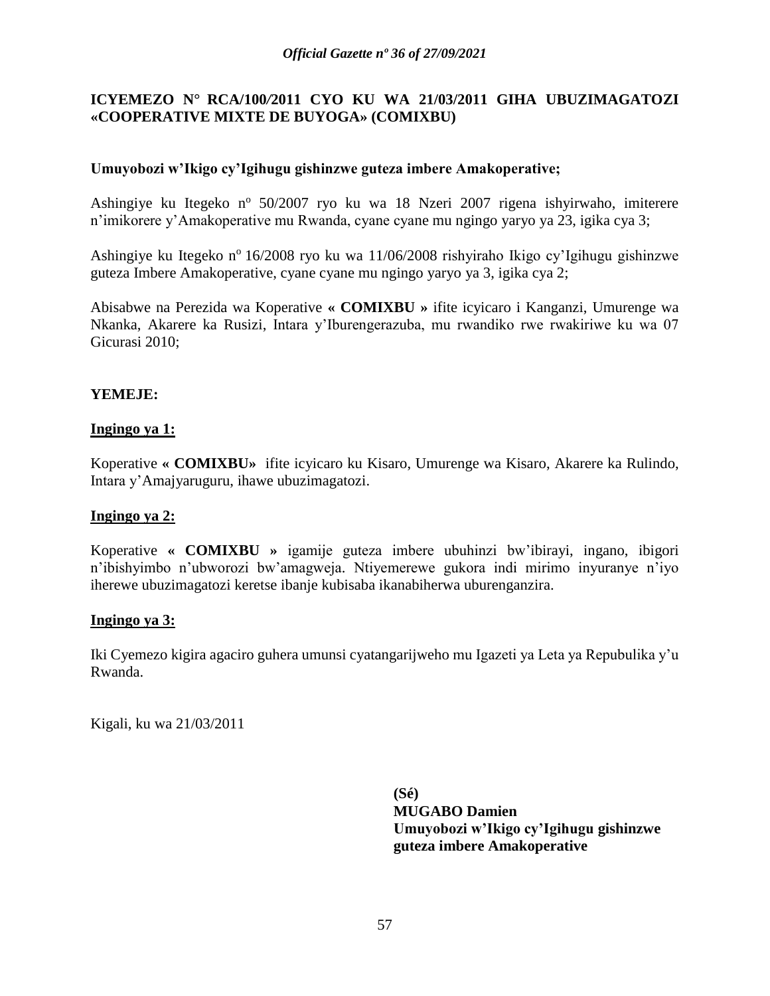### **ICYEMEZO N° RCA/100***/***2011 CYO KU WA 21/03/2011 GIHA UBUZIMAGATOZI «COOPERATIVE MIXTE DE BUYOGA» (COMIXBU)**

#### **Umuyobozi w'Ikigo cy'Igihugu gishinzwe guteza imbere Amakoperative;**

Ashingiye ku Itegeko n<sup>o</sup> 50/2007 ryo ku wa 18 Nzeri 2007 rigena ishyirwaho, imiterere n'imikorere y'Amakoperative mu Rwanda, cyane cyane mu ngingo yaryo ya 23, igika cya 3;

Ashingiye ku Itegeko nº 16/2008 ryo ku wa 11/06/2008 rishyiraho Ikigo cy'Igihugu gishinzwe guteza Imbere Amakoperative, cyane cyane mu ngingo yaryo ya 3, igika cya 2;

Abisabwe na Perezida wa Koperative **« COMIXBU »** ifite icyicaro i Kanganzi, Umurenge wa Nkanka, Akarere ka Rusizi, Intara y'Iburengerazuba, mu rwandiko rwe rwakiriwe ku wa 07 Gicurasi 2010;

#### **YEMEJE:**

#### **Ingingo ya 1:**

Koperative **« COMIXBU»** ifite icyicaro ku Kisaro, Umurenge wa Kisaro, Akarere ka Rulindo, Intara y'Amajyaruguru, ihawe ubuzimagatozi.

#### **Ingingo ya 2:**

Koperative **« COMIXBU »** igamije guteza imbere ubuhinzi bw'ibirayi, ingano, ibigori n'ibishyimbo n'ubworozi bw'amagweja. Ntiyemerewe gukora indi mirimo inyuranye n'iyo iherewe ubuzimagatozi keretse ibanje kubisaba ikanabiherwa uburenganzira.

#### **Ingingo ya 3:**

Iki Cyemezo kigira agaciro guhera umunsi cyatangarijweho mu Igazeti ya Leta ya Repubulika y'u Rwanda.

Kigali, ku wa 21/03/2011

**(Sé) MUGABO Damien Umuyobozi w'Ikigo cy'Igihugu gishinzwe guteza imbere Amakoperative**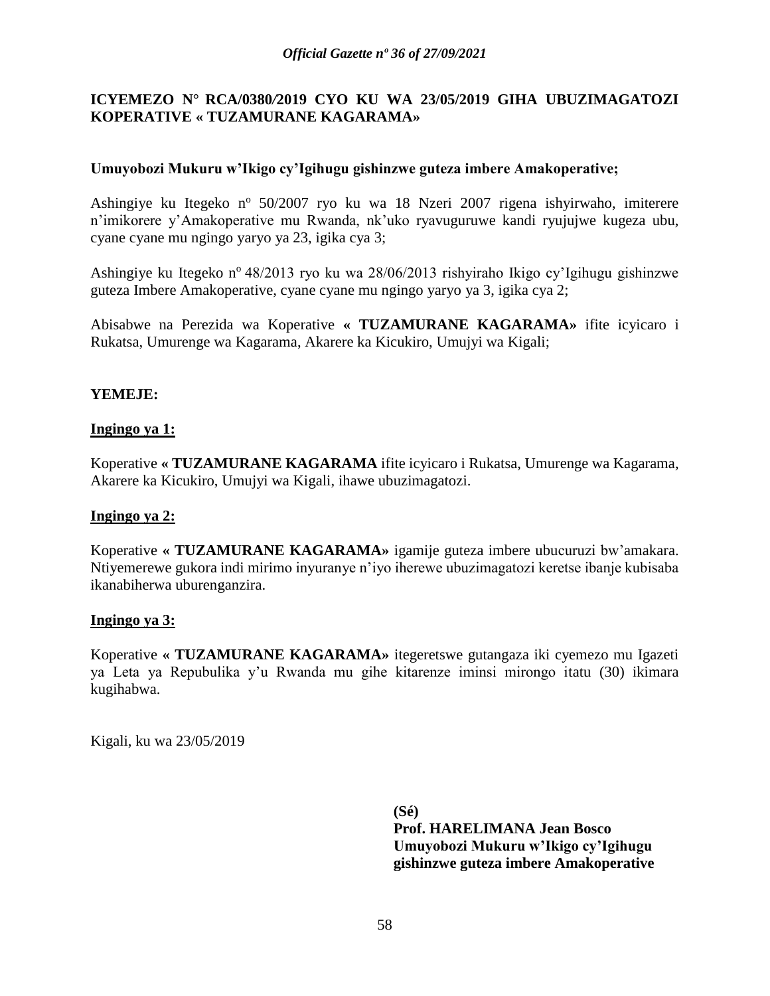### **ICYEMEZO N° RCA/0380***/***2019 CYO KU WA 23/05/2019 GIHA UBUZIMAGATOZI KOPERATIVE « TUZAMURANE KAGARAMA»**

#### **Umuyobozi Mukuru w'Ikigo cy'Igihugu gishinzwe guteza imbere Amakoperative;**

Ashingiye ku Itegeko n<sup>o</sup> 50/2007 ryo ku wa 18 Nzeri 2007 rigena ishyirwaho, imiterere n'imikorere y'Amakoperative mu Rwanda, nk'uko ryavuguruwe kandi ryujujwe kugeza ubu, cyane cyane mu ngingo yaryo ya 23, igika cya 3;

Ashingiye ku Itegeko n<sup>o</sup> 48/2013 ryo ku wa 28/06/2013 rishyiraho Ikigo cy'Igihugu gishinzwe guteza Imbere Amakoperative, cyane cyane mu ngingo yaryo ya 3, igika cya 2;

Abisabwe na Perezida wa Koperative **« TUZAMURANE KAGARAMA»** ifite icyicaro i Rukatsa, Umurenge wa Kagarama, Akarere ka Kicukiro, Umujyi wa Kigali;

#### **YEMEJE:**

#### **Ingingo ya 1:**

Koperative **« TUZAMURANE KAGARAMA** ifite icyicaro i Rukatsa, Umurenge wa Kagarama, Akarere ka Kicukiro, Umujyi wa Kigali, ihawe ubuzimagatozi.

#### **Ingingo ya 2:**

Koperative **« TUZAMURANE KAGARAMA»** igamije guteza imbere ubucuruzi bw'amakara. Ntiyemerewe gukora indi mirimo inyuranye n'iyo iherewe ubuzimagatozi keretse ibanje kubisaba ikanabiherwa uburenganzira.

#### **Ingingo ya 3:**

Koperative **« TUZAMURANE KAGARAMA»** itegeretswe gutangaza iki cyemezo mu Igazeti ya Leta ya Repubulika y'u Rwanda mu gihe kitarenze iminsi mirongo itatu (30) ikimara kugihabwa.

Kigali, ku wa 23/05/2019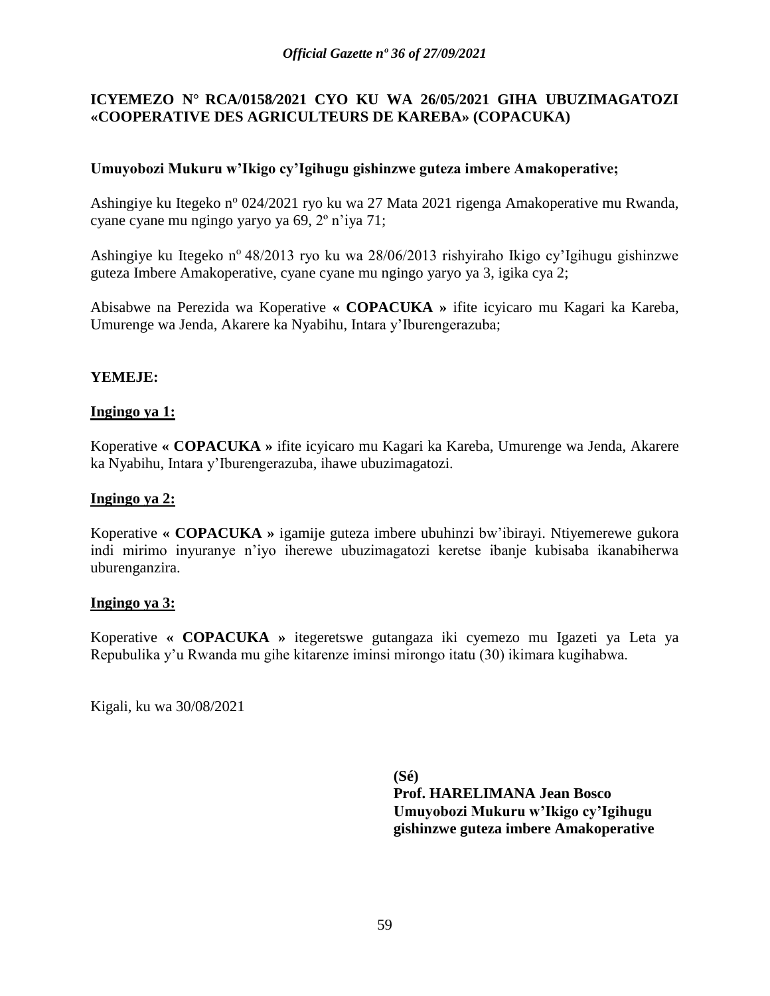#### **ICYEMEZO N° RCA/0158***/***2021 CYO KU WA 26/05/2021 GIHA UBUZIMAGATOZI «COOPERATIVE DES AGRICULTEURS DE KAREBA» (COPACUKA)**

#### **Umuyobozi Mukuru w'Ikigo cy'Igihugu gishinzwe guteza imbere Amakoperative;**

Ashingiye ku Itegeko n<sup>o</sup> 024/2021 ryo ku wa 27 Mata 2021 rigenga Amakoperative mu Rwanda, cyane cyane mu ngingo yaryo ya 69, 2º n'iya 71;

Ashingiye ku Itegeko n<sup>o</sup> 48/2013 ryo ku wa 28/06/2013 rishyiraho Ikigo cy'Igihugu gishinzwe guteza Imbere Amakoperative, cyane cyane mu ngingo yaryo ya 3, igika cya 2;

Abisabwe na Perezida wa Koperative **« COPACUKA »** ifite icyicaro mu Kagari ka Kareba, Umurenge wa Jenda, Akarere ka Nyabihu, Intara y'Iburengerazuba;

#### **YEMEJE:**

#### **Ingingo ya 1:**

Koperative **« COPACUKA »** ifite icyicaro mu Kagari ka Kareba, Umurenge wa Jenda, Akarere ka Nyabihu, Intara y'Iburengerazuba, ihawe ubuzimagatozi.

#### **Ingingo ya 2:**

Koperative **« COPACUKA »** igamije guteza imbere ubuhinzi bw'ibirayi. Ntiyemerewe gukora indi mirimo inyuranye n'iyo iherewe ubuzimagatozi keretse ibanje kubisaba ikanabiherwa uburenganzira.

#### **Ingingo ya 3:**

Koperative **« COPACUKA »** itegeretswe gutangaza iki cyemezo mu Igazeti ya Leta ya Repubulika y'u Rwanda mu gihe kitarenze iminsi mirongo itatu (30) ikimara kugihabwa.

Kigali, ku wa 30/08/2021